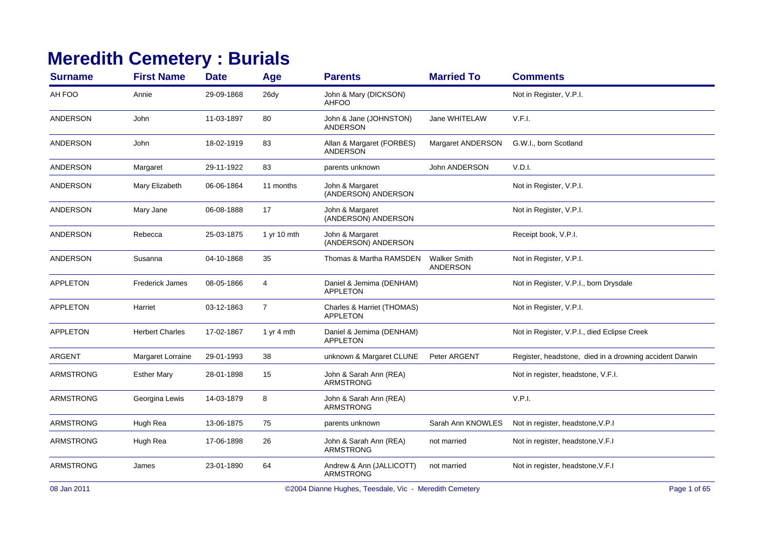## **Meredith Cemetery : Burials**

| <b>Surname</b>   | <b>First Name</b>      | <b>Date</b> | Age            | <b>Parents</b>                                | <b>Married To</b>                      | <b>Comments</b>                                         |
|------------------|------------------------|-------------|----------------|-----------------------------------------------|----------------------------------------|---------------------------------------------------------|
| AH FOO           | Annie                  | 29-09-1868  | 26dy           | John & Mary (DICKSON)<br><b>AHFOO</b>         |                                        | Not in Register, V.P.I.                                 |
| <b>ANDERSON</b>  | John                   | 11-03-1897  | 80             | John & Jane (JOHNSTON)<br><b>ANDERSON</b>     | Jane WHITELAW                          | V.F.I.                                                  |
| <b>ANDERSON</b>  | John                   | 18-02-1919  | 83             | Allan & Margaret (FORBES)<br>ANDERSON         | Margaret ANDERSON                      | G.W.I., born Scotland                                   |
| <b>ANDERSON</b>  | Margaret               | 29-11-1922  | 83             | parents unknown                               | <b>John ANDERSON</b>                   | V.D.I.                                                  |
| <b>ANDERSON</b>  | Mary Elizabeth         | 06-06-1864  | 11 months      | John & Margaret<br>(ANDERSON) ANDERSON        |                                        | Not in Register, V.P.I.                                 |
| <b>ANDERSON</b>  | Mary Jane              | 06-08-1888  | 17             | John & Margaret<br>(ANDERSON) ANDERSON        |                                        | Not in Register, V.P.I.                                 |
| <b>ANDERSON</b>  | Rebecca                | 25-03-1875  | 1 yr 10 mth    | John & Margaret<br>(ANDERSON) ANDERSON        |                                        | Receipt book, V.P.I.                                    |
| <b>ANDERSON</b>  | Susanna                | 04-10-1868  | 35             | Thomas & Martha RAMSDEN                       | <b>Walker Smith</b><br><b>ANDERSON</b> | Not in Register, V.P.I.                                 |
| <b>APPLETON</b>  | <b>Frederick James</b> | 08-05-1866  | 4              | Daniel & Jemima (DENHAM)<br><b>APPLETON</b>   |                                        | Not in Register, V.P.I., born Drysdale                  |
| <b>APPLETON</b>  | Harriet                | 03-12-1863  | $\overline{7}$ | Charles & Harriet (THOMAS)<br><b>APPLETON</b> |                                        | Not in Register, V.P.I.                                 |
| <b>APPLETON</b>  | <b>Herbert Charles</b> | 17-02-1867  | 1 yr 4 mth     | Daniel & Jemima (DENHAM)<br><b>APPLETON</b>   |                                        | Not in Register, V.P.I., died Eclipse Creek             |
| ARGENT           | Margaret Lorraine      | 29-01-1993  | 38             | unknown & Margaret CLUNE                      | Peter ARGENT                           | Register, headstone, died in a drowning accident Darwin |
| <b>ARMSTRONG</b> | <b>Esther Mary</b>     | 28-01-1898  | 15             | John & Sarah Ann (REA)<br><b>ARMSTRONG</b>    |                                        | Not in register, headstone, V.F.I.                      |
| <b>ARMSTRONG</b> | Georgina Lewis         | 14-03-1879  | 8              | John & Sarah Ann (REA)<br><b>ARMSTRONG</b>    |                                        | V.P.I.                                                  |
| <b>ARMSTRONG</b> | Hugh Rea               | 13-06-1875  | 75             | parents unknown                               | Sarah Ann KNOWLES                      | Not in register, headstone, V.P.I                       |
| <b>ARMSTRONG</b> | Hugh Rea               | 17-06-1898  | 26             | John & Sarah Ann (REA)<br><b>ARMSTRONG</b>    | not married                            | Not in register, headstone, V.F.I                       |
| <b>ARMSTRONG</b> | James                  | 23-01-1890  | 64             | Andrew & Ann (JALLICOTT)<br><b>ARMSTRONG</b>  | not married                            | Not in register, headstone, V.F.I                       |
|                  |                        |             |                |                                               |                                        |                                                         |

08 Jan 2011

©2004 Dianne Hughes, Teesdale, Vic - Meredith Cemetery Page 1 of 65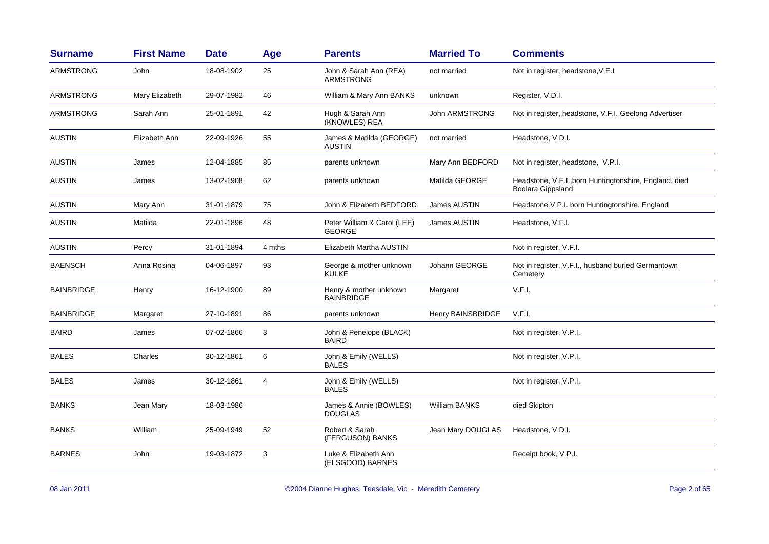| <b>Surname</b>    | <b>First Name</b> | <b>Date</b> | Age    | <b>Parents</b>                               | <b>Married To</b>     | <b>Comments</b>                                                                    |
|-------------------|-------------------|-------------|--------|----------------------------------------------|-----------------------|------------------------------------------------------------------------------------|
| <b>ARMSTRONG</b>  | John              | 18-08-1902  | 25     | John & Sarah Ann (REA)<br><b>ARMSTRONG</b>   | not married           | Not in register, headstone, V.E.I                                                  |
| <b>ARMSTRONG</b>  | Mary Elizabeth    | 29-07-1982  | 46     | William & Mary Ann BANKS                     | unknown               | Register, V.D.I.                                                                   |
| <b>ARMSTRONG</b>  | Sarah Ann         | 25-01-1891  | 42     | Hugh & Sarah Ann<br>(KNOWLES) REA            | <b>John ARMSTRONG</b> | Not in register, headstone, V.F.I. Geelong Advertiser                              |
| <b>AUSTIN</b>     | Elizabeth Ann     | 22-09-1926  | 55     | James & Matilda (GEORGE)<br><b>AUSTIN</b>    | not married           | Headstone, V.D.I.                                                                  |
| <b>AUSTIN</b>     | James             | 12-04-1885  | 85     | parents unknown                              | Mary Ann BEDFORD      | Not in register, headstone, V.P.I.                                                 |
| <b>AUSTIN</b>     | James             | 13-02-1908  | 62     | parents unknown                              | Matilda GEORGE        | Headstone, V.E.I., born Huntingtonshire, England, died<br><b>Boolara Gippsland</b> |
| <b>AUSTIN</b>     | Mary Ann          | 31-01-1879  | 75     | John & Elizabeth BEDFORD                     | James AUSTIN          | Headstone V.P.I. born Huntingtonshire, England                                     |
| <b>AUSTIN</b>     | Matilda           | 22-01-1896  | 48     | Peter William & Carol (LEE)<br><b>GEORGE</b> | James AUSTIN          | Headstone, V.F.I.                                                                  |
| <b>AUSTIN</b>     | Percy             | 31-01-1894  | 4 mths | Elizabeth Martha AUSTIN                      |                       | Not in register, V.F.I.                                                            |
| <b>BAENSCH</b>    | Anna Rosina       | 04-06-1897  | 93     | George & mother unknown<br><b>KULKE</b>      | Johann GEORGE         | Not in register, V.F.I., husband buried Germantown<br>Cemetery                     |
| <b>BAINBRIDGE</b> | Henry             | 16-12-1900  | 89     | Henry & mother unknown<br><b>BAINBRIDGE</b>  | Margaret              | V.F.I.                                                                             |
| <b>BAINBRIDGE</b> | Margaret          | 27-10-1891  | 86     | parents unknown                              | Henry BAINSBRIDGE     | V.F.I.                                                                             |
| <b>BAIRD</b>      | James             | 07-02-1866  | 3      | John & Penelope (BLACK)<br><b>BAIRD</b>      |                       | Not in register, V.P.I.                                                            |
| <b>BALES</b>      | Charles           | 30-12-1861  | 6      | John & Emily (WELLS)<br><b>BALES</b>         |                       | Not in register, V.P.I.                                                            |
| <b>BALES</b>      | James             | 30-12-1861  | 4      | John & Emily (WELLS)<br><b>BALES</b>         |                       | Not in register, V.P.I.                                                            |
| <b>BANKS</b>      | Jean Mary         | 18-03-1986  |        | James & Annie (BOWLES)<br><b>DOUGLAS</b>     | <b>William BANKS</b>  | died Skipton                                                                       |
| <b>BANKS</b>      | William           | 25-09-1949  | 52     | Robert & Sarah<br>(FERGUSON) BANKS           | Jean Mary DOUGLAS     | Headstone, V.D.I.                                                                  |
| <b>BARNES</b>     | John              | 19-03-1872  | 3      | Luke & Elizabeth Ann<br>(ELSGOOD) BARNES     |                       | Receipt book, V.P.I.                                                               |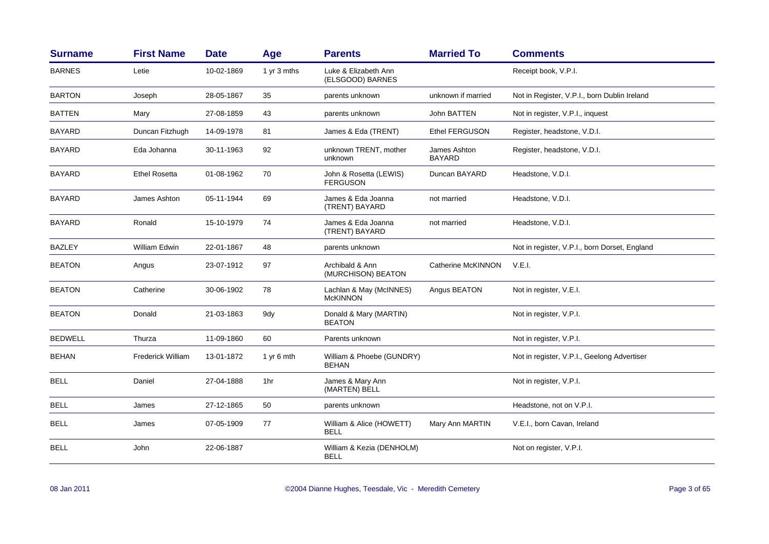| <b>Surname</b> | <b>First Name</b>        | <b>Date</b> | Age         | <b>Parents</b>                             | <b>Married To</b>             | <b>Comments</b>                               |
|----------------|--------------------------|-------------|-------------|--------------------------------------------|-------------------------------|-----------------------------------------------|
| <b>BARNES</b>  | Letie                    | 10-02-1869  | 1 yr 3 mths | Luke & Elizabeth Ann<br>(ELSGOOD) BARNES   |                               | Receipt book, V.P.I.                          |
| <b>BARTON</b>  | Joseph                   | 28-05-1867  | 35          | parents unknown                            | unknown if married            | Not in Register, V.P.I., born Dublin Ireland  |
| <b>BATTEN</b>  | Mary                     | 27-08-1859  | 43          | parents unknown                            | John BATTEN                   | Not in register, V.P.I., inquest              |
| <b>BAYARD</b>  | Duncan Fitzhugh          | 14-09-1978  | 81          | James & Eda (TRENT)                        | <b>Ethel FERGUSON</b>         | Register, headstone, V.D.I.                   |
| <b>BAYARD</b>  | Eda Johanna              | 30-11-1963  | 92          | unknown TRENT, mother<br>unknown           | James Ashton<br><b>BAYARD</b> | Register, headstone, V.D.I.                   |
| BAYARD         | <b>Ethel Rosetta</b>     | 01-08-1962  | 70          | John & Rosetta (LEWIS)<br><b>FERGUSON</b>  | Duncan BAYARD                 | Headstone, V.D.I.                             |
| BAYARD         | James Ashton             | 05-11-1944  | 69          | James & Eda Joanna<br>(TRENT) BAYARD       | not married                   | Headstone, V.D.I.                             |
| <b>BAYARD</b>  | Ronald                   | 15-10-1979  | 74          | James & Eda Joanna<br>(TRENT) BAYARD       | not married                   | Headstone, V.D.I.                             |
| <b>BAZLEY</b>  | William Edwin            | 22-01-1867  | 48          | parents unknown                            |                               | Not in register, V.P.I., born Dorset, England |
| <b>BEATON</b>  | Angus                    | 23-07-1912  | 97          | Archibald & Ann<br>(MURCHISON) BEATON      | Catherine McKINNON            | V.E.I.                                        |
| <b>BEATON</b>  | Catherine                | 30-06-1902  | 78          | Lachlan & May (McINNES)<br><b>McKINNON</b> | Angus BEATON                  | Not in register, V.E.I.                       |
| <b>BEATON</b>  | Donald                   | 21-03-1863  | 9dy         | Donald & Mary (MARTIN)<br><b>BEATON</b>    |                               | Not in register, V.P.I.                       |
| <b>BEDWELL</b> | Thurza                   | 11-09-1860  | 60          | Parents unknown                            |                               | Not in register, V.P.I.                       |
| <b>BEHAN</b>   | <b>Frederick William</b> | 13-01-1872  | 1 yr 6 mth  | William & Phoebe (GUNDRY)<br>BEHAN         |                               | Not in register, V.P.I., Geelong Advertiser   |
| BELL           | Daniel                   | 27-04-1888  | 1hr         | James & Mary Ann<br>(MARTEN) BELL          |                               | Not in register, V.P.I.                       |
| <b>BELL</b>    | James                    | 27-12-1865  | 50          | parents unknown                            |                               | Headstone, not on V.P.I.                      |
| BELL           | James                    | 07-05-1909  | 77          | William & Alice (HOWETT)<br>BELL           | Mary Ann MARTIN               | V.E.I., born Cavan, Ireland                   |
| <b>BELL</b>    | John                     | 22-06-1887  |             | William & Kezia (DENHOLM)<br><b>BELL</b>   |                               | Not on register, V.P.I.                       |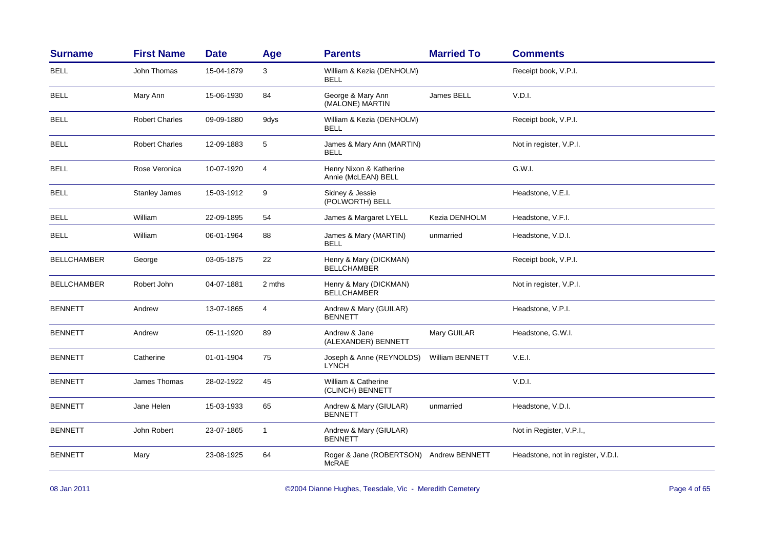| <b>Surname</b>     | <b>First Name</b>     | <b>Date</b> | Age                     | <b>Parents</b>                                 | <b>Married To</b>      | <b>Comments</b>                    |
|--------------------|-----------------------|-------------|-------------------------|------------------------------------------------|------------------------|------------------------------------|
| <b>BELL</b>        | John Thomas           | 15-04-1879  | 3                       | William & Kezia (DENHOLM)<br><b>BELL</b>       |                        | Receipt book, V.P.I.               |
| <b>BELL</b>        | Mary Ann              | 15-06-1930  | 84                      | George & Mary Ann<br>(MALONE) MARTIN           | James BELL             | V.D.I.                             |
| <b>BELL</b>        | <b>Robert Charles</b> | 09-09-1880  | 9dys                    | William & Kezia (DENHOLM)<br><b>BELL</b>       |                        | Receipt book, V.P.I.               |
| <b>BELL</b>        | <b>Robert Charles</b> | 12-09-1883  | $\sqrt{5}$              | James & Mary Ann (MARTIN)<br><b>BELL</b>       |                        | Not in register, V.P.I.            |
| <b>BELL</b>        | Rose Veronica         | 10-07-1920  | $\overline{\mathbf{4}}$ | Henry Nixon & Katherine<br>Annie (McLEAN) BELL |                        | G.W.I.                             |
| <b>BELL</b>        | <b>Stanley James</b>  | 15-03-1912  | 9                       | Sidney & Jessie<br>(POLWORTH) BELL             |                        | Headstone, V.E.I.                  |
| <b>BELL</b>        | William               | 22-09-1895  | 54                      | James & Margaret LYELL                         | Kezia DENHOLM          | Headstone, V.F.I.                  |
| <b>BELL</b>        | William               | 06-01-1964  | 88                      | James & Mary (MARTIN)<br>BELL                  | unmarried              | Headstone, V.D.I.                  |
| <b>BELLCHAMBER</b> | George                | 03-05-1875  | 22                      | Henry & Mary (DICKMAN)<br><b>BELLCHAMBER</b>   |                        | Receipt book, V.P.I.               |
| <b>BELLCHAMBER</b> | Robert John           | 04-07-1881  | 2 mths                  | Henry & Mary (DICKMAN)<br><b>BELLCHAMBER</b>   |                        | Not in register, V.P.I.            |
| <b>BENNETT</b>     | Andrew                | 13-07-1865  | $\overline{\mathbf{4}}$ | Andrew & Mary (GUILAR)<br><b>BENNETT</b>       |                        | Headstone, V.P.I.                  |
| <b>BENNETT</b>     | Andrew                | 05-11-1920  | 89                      | Andrew & Jane<br>(ALEXANDER) BENNETT           | Mary GUILAR            | Headstone, G.W.I.                  |
| <b>BENNETT</b>     | Catherine             | 01-01-1904  | 75                      | Joseph & Anne (REYNOLDS)<br><b>LYNCH</b>       | <b>William BENNETT</b> | V.E.I.                             |
| <b>BENNETT</b>     | James Thomas          | 28-02-1922  | 45                      | William & Catherine<br>(CLINCH) BENNETT        |                        | V.D.I.                             |
| <b>BENNETT</b>     | Jane Helen            | 15-03-1933  | 65                      | Andrew & Mary (GIULAR)<br><b>BENNETT</b>       | unmarried              | Headstone, V.D.I.                  |
| <b>BENNETT</b>     | John Robert           | 23-07-1865  | $\mathbf{1}$            | Andrew & Mary (GIULAR)<br><b>BENNETT</b>       |                        | Not in Register, V.P.I.,           |
| <b>BENNETT</b>     | Mary                  | 23-08-1925  | 64                      | Roger & Jane (ROBERTSON)<br><b>McRAE</b>       | Andrew BENNETT         | Headstone, not in register, V.D.I. |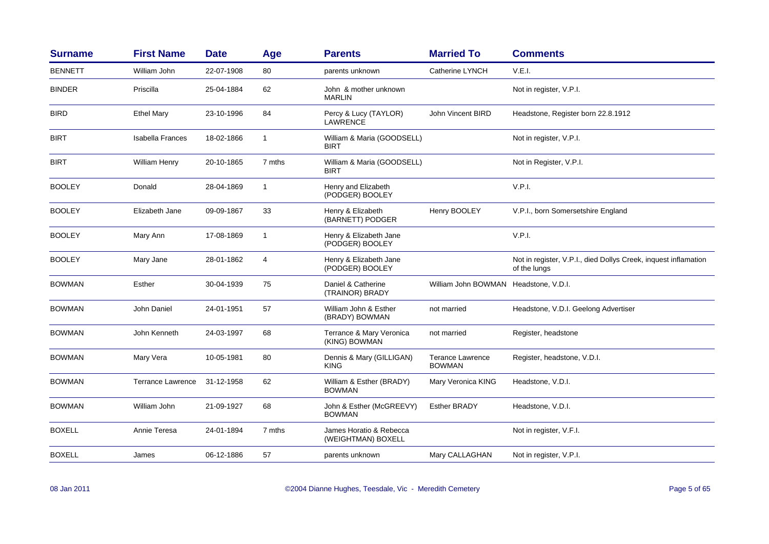| <b>Surname</b> | <b>First Name</b>        | <b>Date</b> | Age            | <b>Parents</b>                                | <b>Married To</b>                        | <b>Comments</b>                                                                 |
|----------------|--------------------------|-------------|----------------|-----------------------------------------------|------------------------------------------|---------------------------------------------------------------------------------|
| <b>BENNETT</b> | William John             | 22-07-1908  | 80             | parents unknown                               | Catherine LYNCH                          | V.E.I.                                                                          |
| <b>BINDER</b>  | Priscilla                | 25-04-1884  | 62             | John & mother unknown<br><b>MARLIN</b>        |                                          | Not in register, V.P.I.                                                         |
| <b>BIRD</b>    | <b>Ethel Mary</b>        | 23-10-1996  | 84             | Percy & Lucy (TAYLOR)<br><b>LAWRENCE</b>      | <b>John Vincent BIRD</b>                 | Headstone, Register born 22.8.1912                                              |
| <b>BIRT</b>    | <b>Isabella Frances</b>  | 18-02-1866  | $\mathbf{1}$   | William & Maria (GOODSELL)<br><b>BIRT</b>     |                                          | Not in register, V.P.I.                                                         |
| <b>BIRT</b>    | <b>William Henry</b>     | 20-10-1865  | 7 mths         | William & Maria (GOODSELL)<br><b>BIRT</b>     |                                          | Not in Register, V.P.I.                                                         |
| <b>BOOLEY</b>  | Donald                   | 28-04-1869  | $\overline{1}$ | Henry and Elizabeth<br>(PODGER) BOOLEY        |                                          | V.P.I.                                                                          |
| <b>BOOLEY</b>  | Elizabeth Jane           | 09-09-1867  | 33             | Henry & Elizabeth<br>(BARNETT) PODGER         | Henry BOOLEY                             | V.P.I., born Somersetshire England                                              |
| <b>BOOLEY</b>  | Mary Ann                 | 17-08-1869  | $\overline{1}$ | Henry & Elizabeth Jane<br>(PODGER) BOOLEY     |                                          | V.P.I.                                                                          |
| <b>BOOLEY</b>  | Mary Jane                | 28-01-1862  | $\overline{4}$ | Henry & Elizabeth Jane<br>(PODGER) BOOLEY     |                                          | Not in register, V.P.I., died Dollys Creek, inquest inflamation<br>of the lungs |
| <b>BOWMAN</b>  | Esther                   | 30-04-1939  | 75             | Daniel & Catherine<br>(TRAINOR) BRADY         | William John BOWMAN Headstone, V.D.I.    |                                                                                 |
| <b>BOWMAN</b>  | John Daniel              | 24-01-1951  | 57             | William John & Esther<br>(BRADY) BOWMAN       | not married                              | Headstone, V.D.I. Geelong Advertiser                                            |
| <b>BOWMAN</b>  | John Kenneth             | 24-03-1997  | 68             | Terrance & Mary Veronica<br>(KING) BOWMAN     | not married                              | Register, headstone                                                             |
| <b>BOWMAN</b>  | Mary Vera                | 10-05-1981  | 80             | Dennis & Mary (GILLIGAN)<br><b>KING</b>       | <b>Terance Lawrence</b><br><b>BOWMAN</b> | Register, headstone, V.D.I.                                                     |
| <b>BOWMAN</b>  | <b>Terrance Lawrence</b> | 31-12-1958  | 62             | William & Esther (BRADY)<br><b>BOWMAN</b>     | Mary Veronica KING                       | Headstone, V.D.I.                                                               |
| <b>BOWMAN</b>  | William John             | 21-09-1927  | 68             | John & Esther (McGREEVY)<br><b>BOWMAN</b>     | <b>Esther BRADY</b>                      | Headstone, V.D.I.                                                               |
| <b>BOXELL</b>  | Annie Teresa             | 24-01-1894  | 7 mths         | James Horatio & Rebecca<br>(WEIGHTMAN) BOXELL |                                          | Not in register, V.F.I.                                                         |
| <b>BOXELL</b>  | James                    | 06-12-1886  | 57             | parents unknown                               | Mary CALLAGHAN                           | Not in register, V.P.I.                                                         |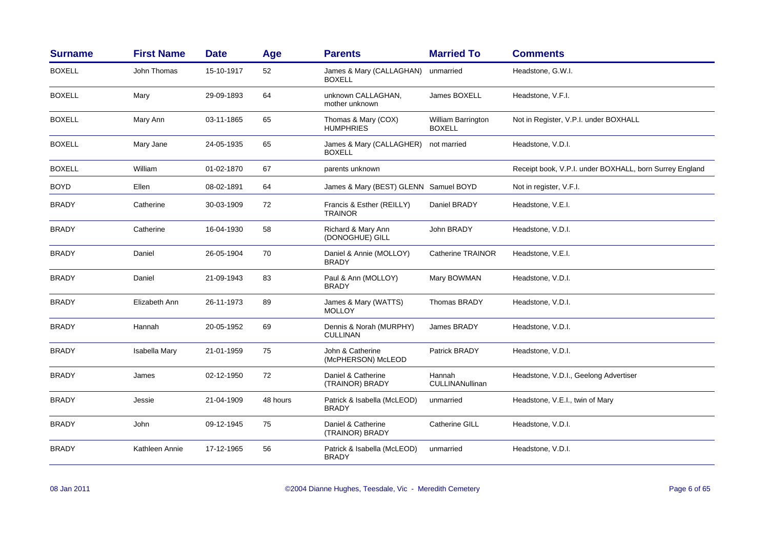| <b>Surname</b> | <b>First Name</b> | <b>Date</b> | Age      | <b>Parents</b>                              | <b>Married To</b>                   | <b>Comments</b>                                         |
|----------------|-------------------|-------------|----------|---------------------------------------------|-------------------------------------|---------------------------------------------------------|
| <b>BOXELL</b>  | John Thomas       | 15-10-1917  | 52       | James & Mary (CALLAGHAN)<br><b>BOXELL</b>   | unmarried                           | Headstone, G.W.I.                                       |
| <b>BOXELL</b>  | Mary              | 29-09-1893  | 64       | unknown CALLAGHAN,<br>mother unknown        | James BOXELL                        | Headstone, V.F.I.                                       |
| <b>BOXELL</b>  | Mary Ann          | 03-11-1865  | 65       | Thomas & Mary (COX)<br><b>HUMPHRIES</b>     | William Barrington<br><b>BOXELL</b> | Not in Register, V.P.I. under BOXHALL                   |
| <b>BOXELL</b>  | Mary Jane         | 24-05-1935  | 65       | James & Mary (CALLAGHER)<br><b>BOXELL</b>   | not married                         | Headstone, V.D.I.                                       |
| <b>BOXELL</b>  | William           | 01-02-1870  | 67       | parents unknown                             |                                     | Receipt book, V.P.I. under BOXHALL, born Surrey England |
| <b>BOYD</b>    | Ellen             | 08-02-1891  | 64       | James & Mary (BEST) GLENN Samuel BOYD       |                                     | Not in register, V.F.I.                                 |
| <b>BRADY</b>   | Catherine         | 30-03-1909  | 72       | Francis & Esther (REILLY)<br><b>TRAINOR</b> | Daniel BRADY                        | Headstone, V.E.I.                                       |
| <b>BRADY</b>   | Catherine         | 16-04-1930  | 58       | Richard & Mary Ann<br>(DONOGHUE) GILL       | John BRADY                          | Headstone, V.D.I.                                       |
| <b>BRADY</b>   | Daniel            | 26-05-1904  | 70       | Daniel & Annie (MOLLOY)<br><b>BRADY</b>     | <b>Catherine TRAINOR</b>            | Headstone, V.E.I.                                       |
| <b>BRADY</b>   | Daniel            | 21-09-1943  | 83       | Paul & Ann (MOLLOY)<br><b>BRADY</b>         | Mary BOWMAN                         | Headstone, V.D.I.                                       |
| <b>BRADY</b>   | Elizabeth Ann     | 26-11-1973  | 89       | James & Mary (WATTS)<br><b>MOLLOY</b>       | Thomas BRADY                        | Headstone, V.D.I.                                       |
| <b>BRADY</b>   | Hannah            | 20-05-1952  | 69       | Dennis & Norah (MURPHY)<br><b>CULLINAN</b>  | James BRADY                         | Headstone, V.D.I.                                       |
| <b>BRADY</b>   | Isabella Mary     | 21-01-1959  | 75       | John & Catherine<br>(McPHERSON) McLEOD      | Patrick BRADY                       | Headstone, V.D.I.                                       |
| <b>BRADY</b>   | James             | 02-12-1950  | 72       | Daniel & Catherine<br>(TRAINOR) BRADY       | Hannah<br>CULLINANullinan           | Headstone, V.D.I., Geelong Advertiser                   |
| <b>BRADY</b>   | Jessie            | 21-04-1909  | 48 hours | Patrick & Isabella (McLEOD)<br><b>BRADY</b> | unmarried                           | Headstone, V.E.I., twin of Mary                         |
| <b>BRADY</b>   | John              | 09-12-1945  | 75       | Daniel & Catherine<br>(TRAINOR) BRADY       | <b>Catherine GILL</b>               | Headstone, V.D.I.                                       |
| <b>BRADY</b>   | Kathleen Annie    | 17-12-1965  | 56       | Patrick & Isabella (McLEOD)<br><b>BRADY</b> | unmarried                           | Headstone, V.D.I.                                       |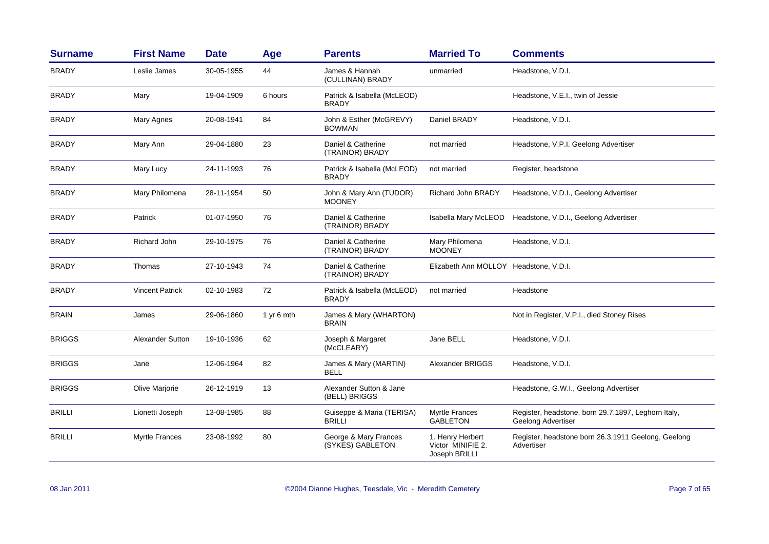| <b>Surname</b> | <b>First Name</b>      | <b>Date</b> | Age        | <b>Parents</b>                              | <b>Married To</b>                                      | <b>Comments</b>                                                           |
|----------------|------------------------|-------------|------------|---------------------------------------------|--------------------------------------------------------|---------------------------------------------------------------------------|
| <b>BRADY</b>   | Leslie James           | 30-05-1955  | 44         | James & Hannah<br>(CULLINAN) BRADY          | unmarried                                              | Headstone, V.D.I.                                                         |
| <b>BRADY</b>   | Mary                   | 19-04-1909  | 6 hours    | Patrick & Isabella (McLEOD)<br><b>BRADY</b> |                                                        | Headstone, V.E.I., twin of Jessie                                         |
| <b>BRADY</b>   | Mary Agnes             | 20-08-1941  | 84         | John & Esther (McGREVY)<br><b>BOWMAN</b>    | Daniel BRADY                                           | Headstone, V.D.I.                                                         |
| <b>BRADY</b>   | Mary Ann               | 29-04-1880  | 23         | Daniel & Catherine<br>(TRAINOR) BRADY       | not married                                            | Headstone, V.P.I. Geelong Advertiser                                      |
| <b>BRADY</b>   | Mary Lucy              | 24-11-1993  | 76         | Patrick & Isabella (McLEOD)<br><b>BRADY</b> | not married                                            | Register, headstone                                                       |
| <b>BRADY</b>   | Mary Philomena         | 28-11-1954  | 50         | John & Mary Ann (TUDOR)<br><b>MOONEY</b>    | Richard John BRADY                                     | Headstone, V.D.I., Geelong Advertiser                                     |
| <b>BRADY</b>   | Patrick                | 01-07-1950  | 76         | Daniel & Catherine<br>(TRAINOR) BRADY       | Isabella Mary McLEOD                                   | Headstone, V.D.I., Geelong Advertiser                                     |
| <b>BRADY</b>   | Richard John           | 29-10-1975  | 76         | Daniel & Catherine<br>(TRAINOR) BRADY       | Mary Philomena<br><b>MOONEY</b>                        | Headstone, V.D.I.                                                         |
| <b>BRADY</b>   | Thomas                 | 27-10-1943  | 74         | Daniel & Catherine<br>(TRAINOR) BRADY       | Elizabeth Ann MOLLOY Headstone, V.D.I.                 |                                                                           |
| <b>BRADY</b>   | <b>Vincent Patrick</b> | 02-10-1983  | 72         | Patrick & Isabella (McLEOD)<br><b>BRADY</b> | not married                                            | Headstone                                                                 |
| <b>BRAIN</b>   | James                  | 29-06-1860  | 1 yr 6 mth | James & Mary (WHARTON)<br><b>BRAIN</b>      |                                                        | Not in Register, V.P.I., died Stoney Rises                                |
| <b>BRIGGS</b>  | Alexander Sutton       | 19-10-1936  | 62         | Joseph & Margaret<br>(McCLEARY)             | Jane BELL                                              | Headstone, V.D.I.                                                         |
| <b>BRIGGS</b>  | Jane                   | 12-06-1964  | 82         | James & Mary (MARTIN)<br><b>BELL</b>        | Alexander BRIGGS                                       | Headstone, V.D.I.                                                         |
| <b>BRIGGS</b>  | Olive Marjorie         | 26-12-1919  | 13         | Alexander Sutton & Jane<br>(BELL) BRIGGS    |                                                        | Headstone, G.W.I., Geelong Advertiser                                     |
| BRILLI         | Lionetti Joseph        | 13-08-1985  | 88         | Guiseppe & Maria (TERISA)<br><b>BRILLI</b>  | Myrtle Frances<br><b>GABLETON</b>                      | Register, headstone, born 29.7.1897, Leghorn Italy,<br>Geelong Advertiser |
| BRILLI         | <b>Myrtle Frances</b>  | 23-08-1992  | 80         | George & Mary Frances<br>(SYKES) GABLETON   | 1. Henry Herbert<br>Victor MINIFIE 2.<br>Joseph BRILLI | Register, headstone born 26.3.1911 Geelong, Geelong<br>Advertiser         |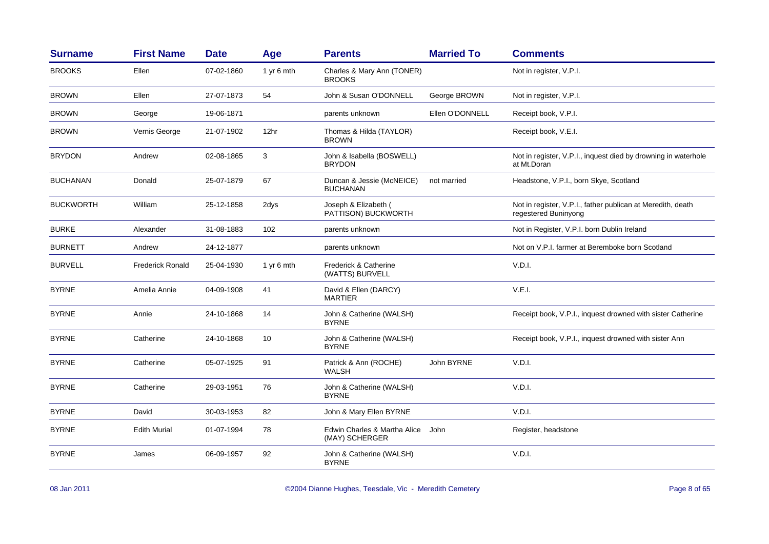| <b>Surname</b>   | <b>First Name</b>       | <b>Date</b> | Age        | <b>Parents</b>                                 | <b>Married To</b> | <b>Comments</b>                                                                     |
|------------------|-------------------------|-------------|------------|------------------------------------------------|-------------------|-------------------------------------------------------------------------------------|
| <b>BROOKS</b>    | Ellen                   | 07-02-1860  | 1 yr 6 mth | Charles & Mary Ann (TONER)<br><b>BROOKS</b>    |                   | Not in register, V.P.I.                                                             |
| <b>BROWN</b>     | Ellen                   | 27-07-1873  | 54         | John & Susan O'DONNELL                         | George BROWN      | Not in register, V.P.I.                                                             |
| <b>BROWN</b>     | George                  | 19-06-1871  |            | parents unknown                                | Ellen O'DONNELL   | Receipt book, V.P.I.                                                                |
| <b>BROWN</b>     | Vernis George           | 21-07-1902  | 12hr       | Thomas & Hilda (TAYLOR)<br><b>BROWN</b>        |                   | Receipt book, V.E.I.                                                                |
| <b>BRYDON</b>    | Andrew                  | 02-08-1865  | 3          | John & Isabella (BOSWELL)<br><b>BRYDON</b>     |                   | Not in register, V.P.I., inquest died by drowning in waterhole<br>at Mt.Doran       |
| <b>BUCHANAN</b>  | Donald                  | 25-07-1879  | 67         | Duncan & Jessie (McNEICE)<br><b>BUCHANAN</b>   | not married       | Headstone, V.P.I., born Skye, Scotland                                              |
| <b>BUCKWORTH</b> | William                 | 25-12-1858  | 2dys       | Joseph & Elizabeth (<br>PATTISON) BUCKWORTH    |                   | Not in register, V.P.I., father publican at Meredith, death<br>regestered Buninyong |
| <b>BURKE</b>     | Alexander               | 31-08-1883  | 102        | parents unknown                                |                   | Not in Register, V.P.I. born Dublin Ireland                                         |
| <b>BURNETT</b>   | Andrew                  | 24-12-1877  |            | parents unknown                                |                   | Not on V.P.I. farmer at Beremboke born Scotland                                     |
| <b>BURVELL</b>   | <b>Frederick Ronald</b> | 25-04-1930  | 1 yr 6 mth | Frederick & Catherine<br>(WATTS) BURVELL       |                   | V.D.I.                                                                              |
| <b>BYRNE</b>     | Amelia Annie            | 04-09-1908  | 41         | David & Ellen (DARCY)<br><b>MARTIER</b>        |                   | V.E.I.                                                                              |
| <b>BYRNE</b>     | Annie                   | 24-10-1868  | 14         | John & Catherine (WALSH)<br><b>BYRNE</b>       |                   | Receipt book, V.P.I., inquest drowned with sister Catherine                         |
| <b>BYRNE</b>     | Catherine               | 24-10-1868  | 10         | John & Catherine (WALSH)<br><b>BYRNE</b>       |                   | Receipt book, V.P.I., inquest drowned with sister Ann                               |
| <b>BYRNE</b>     | Catherine               | 05-07-1925  | 91         | Patrick & Ann (ROCHE)<br>WALSH                 | John BYRNE        | V.D.I.                                                                              |
| <b>BYRNE</b>     | Catherine               | 29-03-1951  | 76         | John & Catherine (WALSH)<br><b>BYRNE</b>       |                   | V.D.I.                                                                              |
| <b>BYRNE</b>     | David                   | 30-03-1953  | 82         | John & Mary Ellen BYRNE                        |                   | V.D.I.                                                                              |
| <b>BYRNE</b>     | <b>Edith Murial</b>     | 01-07-1994  | 78         | Edwin Charles & Martha Alice<br>(MAY) SCHERGER | John              | Register, headstone                                                                 |
| <b>BYRNE</b>     | James                   | 06-09-1957  | 92         | John & Catherine (WALSH)<br><b>BYRNE</b>       |                   | V.D.I.                                                                              |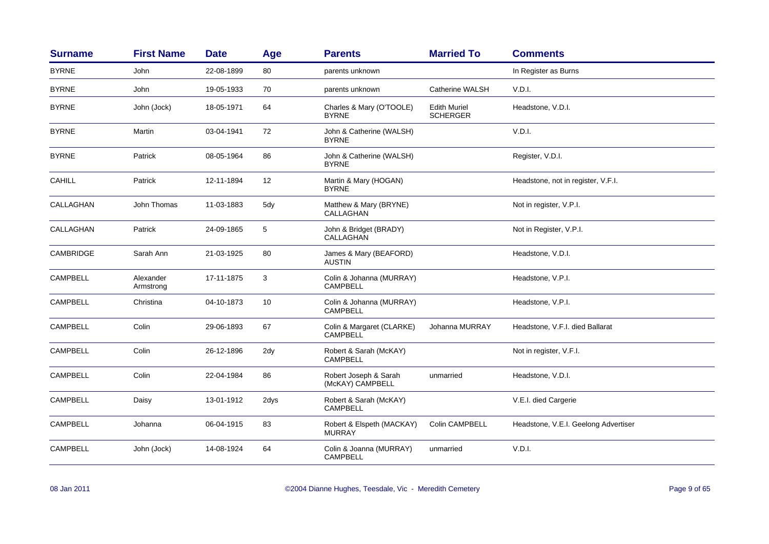| <b>Surname</b>  | <b>First Name</b>      | <b>Date</b> | Age               | <b>Parents</b>                               | <b>Married To</b>                      | <b>Comments</b>                      |
|-----------------|------------------------|-------------|-------------------|----------------------------------------------|----------------------------------------|--------------------------------------|
| <b>BYRNE</b>    | John                   | 22-08-1899  | 80                | parents unknown                              |                                        | In Register as Burns                 |
| <b>BYRNE</b>    | John                   | 19-05-1933  | 70                | parents unknown                              | Catherine WALSH                        | V.D.I.                               |
| <b>BYRNE</b>    | John (Jock)            | 18-05-1971  | 64                | Charles & Mary (O'TOOLE)<br><b>BYRNE</b>     | <b>Edith Muriel</b><br><b>SCHERGER</b> | Headstone, V.D.I.                    |
| <b>BYRNE</b>    | Martin                 | 03-04-1941  | 72                | John & Catherine (WALSH)<br><b>BYRNE</b>     |                                        | V.D.I.                               |
| <b>BYRNE</b>    | Patrick                | 08-05-1964  | 86                | John & Catherine (WALSH)<br><b>BYRNE</b>     |                                        | Register, V.D.I.                     |
| <b>CAHILL</b>   | Patrick                | 12-11-1894  | $12 \overline{ }$ | Martin & Mary (HOGAN)<br><b>BYRNE</b>        |                                        | Headstone, not in register, V.F.I.   |
| CALLAGHAN       | John Thomas            | 11-03-1883  | 5dy               | Matthew & Mary (BRYNE)<br>CALLAGHAN          |                                        | Not in register, V.P.I.              |
| CALLAGHAN       | Patrick                | 24-09-1865  | $\sqrt{5}$        | John & Bridget (BRADY)<br>CALLAGHAN          |                                        | Not in Register, V.P.I.              |
| CAMBRIDGE       | Sarah Ann              | 21-03-1925  | 80                | James & Mary (BEAFORD)<br><b>AUSTIN</b>      |                                        | Headstone, V.D.I.                    |
| <b>CAMPBELL</b> | Alexander<br>Armstrong | 17-11-1875  | 3                 | Colin & Johanna (MURRAY)<br><b>CAMPBELL</b>  |                                        | Headstone, V.P.I.                    |
| <b>CAMPBELL</b> | Christina              | 04-10-1873  | 10                | Colin & Johanna (MURRAY)<br>CAMPBELL         |                                        | Headstone, V.P.I.                    |
| <b>CAMPBELL</b> | Colin                  | 29-06-1893  | 67                | Colin & Margaret (CLARKE)<br><b>CAMPBELL</b> | Johanna MURRAY                         | Headstone, V.F.I. died Ballarat      |
| <b>CAMPBELL</b> | Colin                  | 26-12-1896  | 2dy               | Robert & Sarah (McKAY)<br><b>CAMPBELL</b>    |                                        | Not in register, V.F.I.              |
| <b>CAMPBELL</b> | Colin                  | 22-04-1984  | 86                | Robert Joseph & Sarah<br>(McKAY) CAMPBELL    | unmarried                              | Headstone, V.D.I.                    |
| <b>CAMPBELL</b> | Daisy                  | 13-01-1912  | 2dys              | Robert & Sarah (McKAY)<br><b>CAMPBELL</b>    |                                        | V.E.I. died Cargerie                 |
| CAMPBELL        | Johanna                | 06-04-1915  | 83                | Robert & Elspeth (MACKAY)<br><b>MURRAY</b>   | Colin CAMPBELL                         | Headstone, V.E.I. Geelong Advertiser |
| <b>CAMPBELL</b> | John (Jock)            | 14-08-1924  | 64                | Colin & Joanna (MURRAY)<br><b>CAMPBELL</b>   | unmarried                              | V.D.I.                               |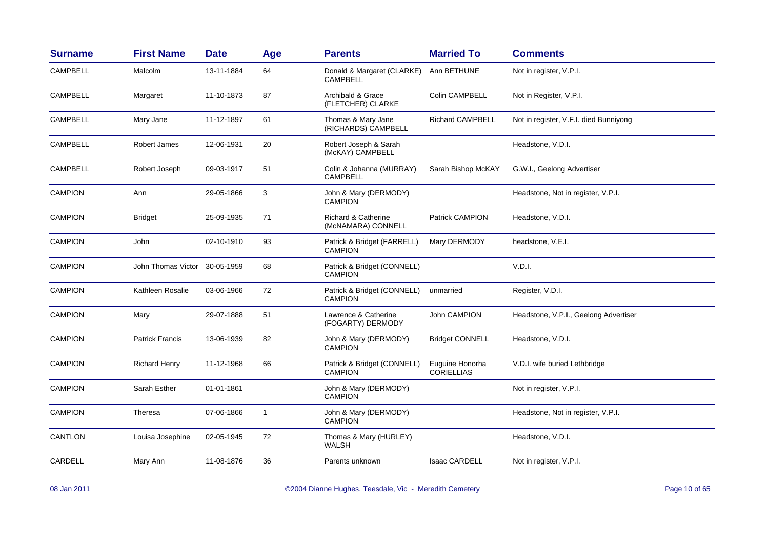| <b>Surname</b>  | <b>First Name</b>      | <b>Date</b> | Age          | <b>Parents</b>                                       | <b>Married To</b>                    | <b>Comments</b>                        |
|-----------------|------------------------|-------------|--------------|------------------------------------------------------|--------------------------------------|----------------------------------------|
| <b>CAMPBELL</b> | Malcolm                | 13-11-1884  | 64           | Donald & Margaret (CLARKE)<br><b>CAMPBELL</b>        | Ann BETHUNE                          | Not in register, V.P.I.                |
| <b>CAMPBELL</b> | Margaret               | 11-10-1873  | 87           | Archibald & Grace<br>(FLETCHER) CLARKE               | Colin CAMPBELL                       | Not in Register, V.P.I.                |
| <b>CAMPBELL</b> | Mary Jane              | 11-12-1897  | 61           | Thomas & Mary Jane<br>(RICHARDS) CAMPBELL            | <b>Richard CAMPBELL</b>              | Not in register, V.F.I. died Bunniyong |
| <b>CAMPBELL</b> | Robert James           | 12-06-1931  | 20           | Robert Joseph & Sarah<br>(McKAY) CAMPBELL            |                                      | Headstone, V.D.I.                      |
| <b>CAMPBELL</b> | Robert Joseph          | 09-03-1917  | 51           | Colin & Johanna (MURRAY)<br><b>CAMPBELL</b>          | Sarah Bishop McKAY                   | G.W.I., Geelong Advertiser             |
| <b>CAMPION</b>  | Ann                    | 29-05-1866  | 3            | John & Mary (DERMODY)<br><b>CAMPION</b>              |                                      | Headstone, Not in register, V.P.I.     |
| <b>CAMPION</b>  | <b>Bridget</b>         | 25-09-1935  | 71           | <b>Richard &amp; Catherine</b><br>(McNAMARA) CONNELL | Patrick CAMPION                      | Headstone, V.D.I.                      |
| <b>CAMPION</b>  | John                   | 02-10-1910  | 93           | Patrick & Bridget (FARRELL)<br><b>CAMPION</b>        | Mary DERMODY                         | headstone, V.E.I.                      |
| <b>CAMPION</b>  | John Thomas Victor     | 30-05-1959  | 68           | Patrick & Bridget (CONNELL)<br><b>CAMPION</b>        |                                      | V.D.I.                                 |
| <b>CAMPION</b>  | Kathleen Rosalie       | 03-06-1966  | 72           | Patrick & Bridget (CONNELL)<br><b>CAMPION</b>        | unmarried                            | Register, V.D.I.                       |
| <b>CAMPION</b>  | Mary                   | 29-07-1888  | 51           | Lawrence & Catherine<br>(FOGARTY) DERMODY            | <b>John CAMPION</b>                  | Headstone, V.P.I., Geelong Advertiser  |
| <b>CAMPION</b>  | <b>Patrick Francis</b> | 13-06-1939  | 82           | John & Mary (DERMODY)<br><b>CAMPION</b>              | <b>Bridget CONNELL</b>               | Headstone, V.D.I.                      |
| <b>CAMPION</b>  | <b>Richard Henry</b>   | 11-12-1968  | 66           | Patrick & Bridget (CONNELL)<br><b>CAMPION</b>        | Euguine Honorha<br><b>CORIELLIAS</b> | V.D.I. wife buried Lethbridge          |
| <b>CAMPION</b>  | Sarah Esther           | 01-01-1861  |              | John & Mary (DERMODY)<br><b>CAMPION</b>              |                                      | Not in register, V.P.I.                |
| <b>CAMPION</b>  | Theresa                | 07-06-1866  | $\mathbf{1}$ | John & Mary (DERMODY)<br><b>CAMPION</b>              |                                      | Headstone, Not in register, V.P.I.     |
| CANTLON         | Louisa Josephine       | 02-05-1945  | 72           | Thomas & Mary (HURLEY)<br><b>WALSH</b>               |                                      | Headstone, V.D.I.                      |
| CARDELL         | Mary Ann               | 11-08-1876  | 36           | Parents unknown                                      | <b>Isaac CARDELL</b>                 | Not in register, V.P.I.                |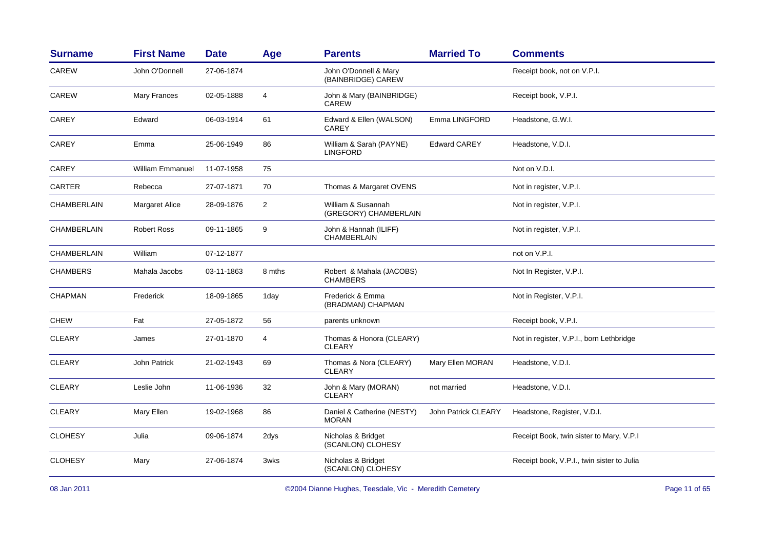| <b>Surname</b>     | <b>First Name</b>       | <b>Date</b> | Age            | <b>Parents</b>                              | <b>Married To</b>          | <b>Comments</b>                            |
|--------------------|-------------------------|-------------|----------------|---------------------------------------------|----------------------------|--------------------------------------------|
| CAREW              | John O'Donnell          | 27-06-1874  |                | John O'Donnell & Mary<br>(BAINBRIDGE) CAREW |                            | Receipt book, not on V.P.I.                |
| CAREW              | Mary Frances            | 02-05-1888  | 4              | John & Mary (BAINBRIDGE)<br><b>CAREW</b>    |                            | Receipt book, V.P.I.                       |
| <b>CAREY</b>       | Edward                  | 06-03-1914  | 61             | Edward & Ellen (WALSON)<br>CAREY            | Emma LINGFORD              | Headstone, G.W.I.                          |
| <b>CAREY</b>       | Emma                    | 25-06-1949  | 86             | William & Sarah (PAYNE)<br><b>LINGFORD</b>  | <b>Edward CAREY</b>        | Headstone, V.D.I.                          |
| CAREY              | <b>William Emmanuel</b> | 11-07-1958  | 75             |                                             |                            | Not on V.D.I.                              |
| <b>CARTER</b>      | Rebecca                 | 27-07-1871  | 70             | Thomas & Margaret OVENS                     |                            | Not in register, V.P.I.                    |
| <b>CHAMBERLAIN</b> | <b>Margaret Alice</b>   | 28-09-1876  | $\overline{2}$ | William & Susannah<br>(GREGORY) CHAMBERLAIN |                            | Not in register, V.P.I.                    |
| CHAMBERLAIN        | <b>Robert Ross</b>      | 09-11-1865  | 9              | John & Hannah (ILIFF)<br>CHAMBERLAIN        |                            | Not in register, V.P.I.                    |
| <b>CHAMBERLAIN</b> | William                 | 07-12-1877  |                |                                             |                            | not on V.P.I.                              |
| <b>CHAMBERS</b>    | Mahala Jacobs           | 03-11-1863  | 8 mths         | Robert & Mahala (JACOBS)<br><b>CHAMBERS</b> |                            | Not In Register, V.P.I.                    |
| <b>CHAPMAN</b>     | Frederick               | 18-09-1865  | 1day           | Frederick & Emma<br>(BRADMAN) CHAPMAN       |                            | Not in Register, V.P.I.                    |
| <b>CHEW</b>        | Fat                     | 27-05-1872  | 56             | parents unknown                             |                            | Receipt book, V.P.I.                       |
| <b>CLEARY</b>      | James                   | 27-01-1870  | 4              | Thomas & Honora (CLEARY)<br><b>CLEARY</b>   |                            | Not in register, V.P.I., born Lethbridge   |
| <b>CLEARY</b>      | <b>John Patrick</b>     | 21-02-1943  | 69             | Thomas & Nora (CLEARY)<br><b>CLEARY</b>     | Mary Ellen MORAN           | Headstone, V.D.I.                          |
| <b>CLEARY</b>      | Leslie John             | 11-06-1936  | 32             | John & Mary (MORAN)<br><b>CLEARY</b>        | not married                | Headstone, V.D.I.                          |
| <b>CLEARY</b>      | Mary Ellen              | 19-02-1968  | 86             | Daniel & Catherine (NESTY)<br><b>MORAN</b>  | <b>John Patrick CLEARY</b> | Headstone, Register, V.D.I.                |
| <b>CLOHESY</b>     | Julia                   | 09-06-1874  | 2dys           | Nicholas & Bridget<br>(SCANLON) CLOHESY     |                            | Receipt Book, twin sister to Mary, V.P.I   |
| <b>CLOHESY</b>     | Mary                    | 27-06-1874  | 3wks           | Nicholas & Bridget<br>(SCANLON) CLOHESY     |                            | Receipt book, V.P.I., twin sister to Julia |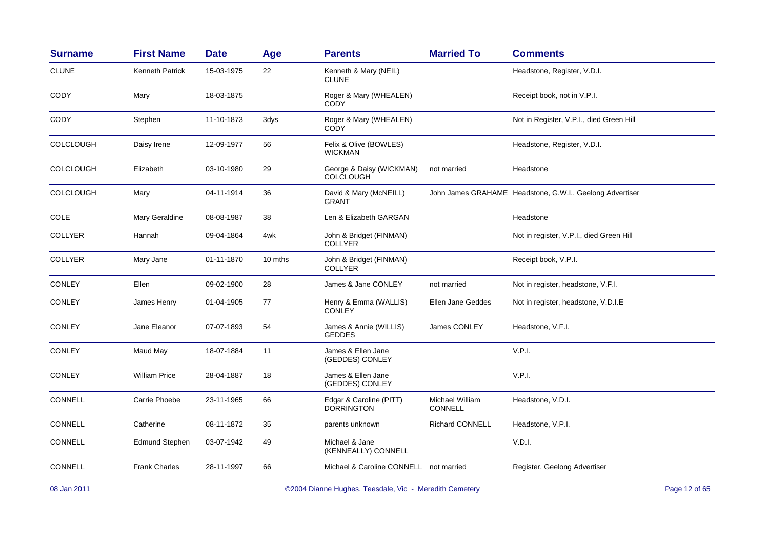| <b>Surname</b>   | <b>First Name</b>      | <b>Date</b> | Age     | <b>Parents</b>                               | <b>Married To</b>                 | <b>Comments</b>                                          |
|------------------|------------------------|-------------|---------|----------------------------------------------|-----------------------------------|----------------------------------------------------------|
| <b>CLUNE</b>     | <b>Kenneth Patrick</b> | 15-03-1975  | 22      | Kenneth & Mary (NEIL)<br><b>CLUNE</b>        |                                   | Headstone, Register, V.D.I.                              |
| <b>CODY</b>      | Mary                   | 18-03-1875  |         | Roger & Mary (WHEALEN)<br><b>CODY</b>        |                                   | Receipt book, not in V.P.I.                              |
| CODY             | Stephen                | 11-10-1873  | 3dys    | Roger & Mary (WHEALEN)<br>CODY               |                                   | Not in Register, V.P.I., died Green Hill                 |
| <b>COLCLOUGH</b> | Daisy Irene            | 12-09-1977  | 56      | Felix & Olive (BOWLES)<br><b>WICKMAN</b>     |                                   | Headstone, Register, V.D.I.                              |
| <b>COLCLOUGH</b> | Elizabeth              | 03-10-1980  | 29      | George & Daisy (WICKMAN)<br><b>COLCLOUGH</b> | not married                       | Headstone                                                |
| <b>COLCLOUGH</b> | Mary                   | 04-11-1914  | 36      | David & Mary (McNEILL)<br><b>GRANT</b>       |                                   | John James GRAHAME Headstone, G.W.I., Geelong Advertiser |
| COLE             | Mary Geraldine         | 08-08-1987  | 38      | Len & Elizabeth GARGAN                       |                                   | Headstone                                                |
| <b>COLLYER</b>   | Hannah                 | 09-04-1864  | 4wk     | John & Bridget (FINMAN)<br><b>COLLYER</b>    |                                   | Not in register, V.P.I., died Green Hill                 |
| <b>COLLYER</b>   | Mary Jane              | 01-11-1870  | 10 mths | John & Bridget (FINMAN)<br><b>COLLYER</b>    |                                   | Receipt book, V.P.I.                                     |
| <b>CONLEY</b>    | Ellen                  | 09-02-1900  | 28      | James & Jane CONLEY                          | not married                       | Not in register, headstone, V.F.I.                       |
| CONLEY           | James Henry            | 01-04-1905  | 77      | Henry & Emma (WALLIS)<br><b>CONLEY</b>       | Ellen Jane Geddes                 | Not in register, headstone, V.D.I.E                      |
| <b>CONLEY</b>    | Jane Eleanor           | 07-07-1893  | 54      | James & Annie (WILLIS)<br><b>GEDDES</b>      | James CONLEY                      | Headstone, V.F.I.                                        |
| <b>CONLEY</b>    | Maud May               | 18-07-1884  | 11      | James & Ellen Jane<br>(GEDDES) CONLEY        |                                   | V.P.I.                                                   |
| <b>CONLEY</b>    | <b>William Price</b>   | 28-04-1887  | 18      | James & Ellen Jane<br>(GEDDES) CONLEY        |                                   | V.P.I.                                                   |
| <b>CONNELL</b>   | Carrie Phoebe          | 23-11-1965  | 66      | Edgar & Caroline (PITT)<br><b>DORRINGTON</b> | Michael William<br><b>CONNELL</b> | Headstone, V.D.I.                                        |
| CONNELL          | Catherine              | 08-11-1872  | 35      | parents unknown                              | Richard CONNELL                   | Headstone, V.P.I.                                        |
| <b>CONNELL</b>   | <b>Edmund Stephen</b>  | 03-07-1942  | 49      | Michael & Jane<br>(KENNEALLY) CONNELL        |                                   | V.D.I.                                                   |
| <b>CONNELL</b>   | <b>Frank Charles</b>   | 28-11-1997  | 66      | Michael & Caroline CONNELL not married       |                                   | Register, Geelong Advertiser                             |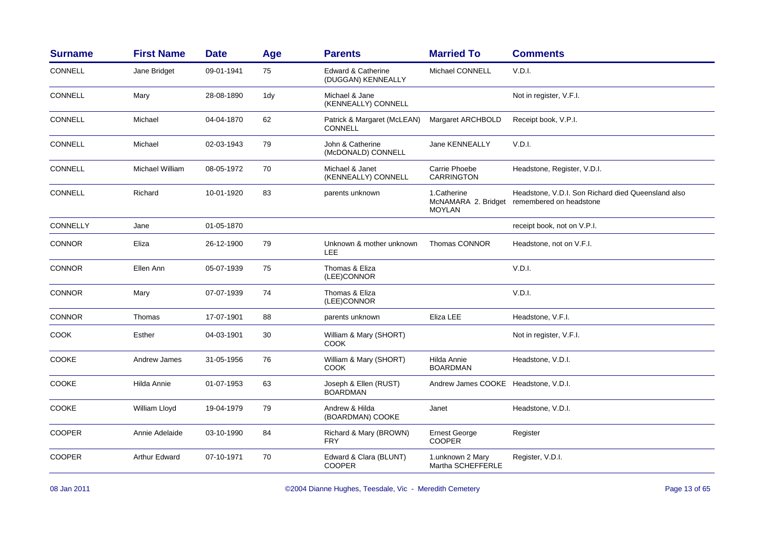| <b>Surname</b> | <b>First Name</b> | <b>Date</b> | Age | <b>Parents</b>                                      | <b>Married To</b>                                   | <b>Comments</b>                                                               |
|----------------|-------------------|-------------|-----|-----------------------------------------------------|-----------------------------------------------------|-------------------------------------------------------------------------------|
| CONNELL        | Jane Bridget      | 09-01-1941  | 75  | <b>Edward &amp; Catherine</b><br>(DUGGAN) KENNEALLY | Michael CONNELL                                     | V.D.I.                                                                        |
| <b>CONNELL</b> | Mary              | 28-08-1890  | 1dy | Michael & Jane<br>(KENNEALLY) CONNELL               |                                                     | Not in register, V.F.I.                                                       |
| <b>CONNELL</b> | Michael           | 04-04-1870  | 62  | Patrick & Margaret (McLEAN)<br><b>CONNELL</b>       | Margaret ARCHBOLD                                   | Receipt book, V.P.I.                                                          |
| <b>CONNELL</b> | Michael           | 02-03-1943  | 79  | John & Catherine<br>(McDONALD) CONNELL              | Jane KENNEALLY                                      | V.D.I.                                                                        |
| <b>CONNELL</b> | Michael William   | 08-05-1972  | 70  | Michael & Janet<br>(KENNEALLY) CONNELL              | Carrie Phoebe<br><b>CARRINGTON</b>                  | Headstone, Register, V.D.I.                                                   |
| CONNELL        | Richard           | 10-01-1920  | 83  | parents unknown                                     | 1.Catherine<br>McNAMARA 2. Bridget<br><b>MOYLAN</b> | Headstone, V.D.I. Son Richard died Queensland also<br>remembered on headstone |
| CONNELLY       | Jane              | 01-05-1870  |     |                                                     |                                                     | receipt book, not on V.P.I.                                                   |
| <b>CONNOR</b>  | Eliza             | 26-12-1900  | 79  | Unknown & mother unknown<br><b>LEE</b>              | Thomas CONNOR                                       | Headstone, not on V.F.I.                                                      |
| <b>CONNOR</b>  | Ellen Ann         | 05-07-1939  | 75  | Thomas & Eliza<br>(LEE)CONNOR                       |                                                     | V.D.I.                                                                        |
| <b>CONNOR</b>  | Mary              | 07-07-1939  | 74  | Thomas & Eliza<br>(LEE)CONNOR                       |                                                     | V.D.I.                                                                        |
| <b>CONNOR</b>  | Thomas            | 17-07-1901  | 88  | parents unknown                                     | Eliza LEE                                           | Headstone, V.F.I.                                                             |
| <b>COOK</b>    | Esther            | 04-03-1901  | 30  | William & Mary (SHORT)<br>COOK                      |                                                     | Not in register, V.F.I.                                                       |
| <b>COOKE</b>   | Andrew James      | 31-05-1956  | 76  | William & Mary (SHORT)<br><b>COOK</b>               | Hilda Annie<br><b>BOARDMAN</b>                      | Headstone, V.D.I.                                                             |
| <b>COOKE</b>   | Hilda Annie       | 01-07-1953  | 63  | Joseph & Ellen (RUST)<br><b>BOARDMAN</b>            | Andrew James COOKE Headstone, V.D.I.                |                                                                               |
| COOKE          | William Lloyd     | 19-04-1979  | 79  | Andrew & Hilda<br>(BOARDMAN) COOKE                  | Janet                                               | Headstone, V.D.I.                                                             |
| <b>COOPER</b>  | Annie Adelaide    | 03-10-1990  | 84  | Richard & Mary (BROWN)<br><b>FRY</b>                | <b>Ernest George</b><br><b>COOPER</b>               | Register                                                                      |
| <b>COOPER</b>  | Arthur Edward     | 07-10-1971  | 70  | Edward & Clara (BLUNT)<br><b>COOPER</b>             | 1.unknown 2 Mary<br>Martha SCHEFFERLE               | Register, V.D.I.                                                              |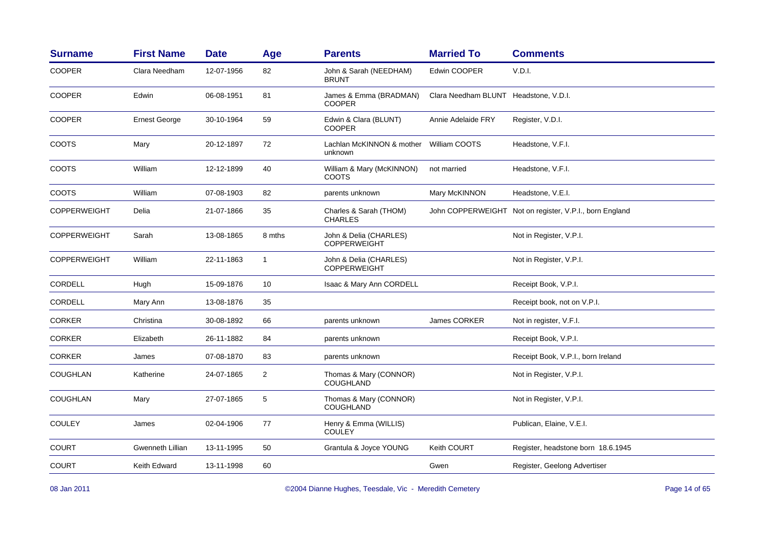| <b>Surname</b>      | <b>First Name</b>       | <b>Date</b> | Age            | <b>Parents</b>                                | <b>Married To</b>                     | <b>Comments</b>                                         |
|---------------------|-------------------------|-------------|----------------|-----------------------------------------------|---------------------------------------|---------------------------------------------------------|
| <b>COOPER</b>       | Clara Needham           | 12-07-1956  | 82             | John & Sarah (NEEDHAM)<br><b>BRUNT</b>        | Edwin COOPER                          | V.D.I.                                                  |
| <b>COOPER</b>       | Edwin                   | 06-08-1951  | 81             | James & Emma (BRADMAN)<br><b>COOPER</b>       | Clara Needham BLUNT Headstone, V.D.I. |                                                         |
| <b>COOPER</b>       | <b>Ernest George</b>    | 30-10-1964  | 59             | Edwin & Clara (BLUNT)<br><b>COOPER</b>        | Annie Adelaide FRY                    | Register, V.D.I.                                        |
| COOTS               | Mary                    | 20-12-1897  | 72             | Lachlan McKINNON & mother<br>unknown          | William COOTS                         | Headstone, V.F.I.                                       |
| <b>COOTS</b>        | William                 | 12-12-1899  | 40             | William & Mary (McKINNON)<br>COOTS            | not married                           | Headstone, V.F.I.                                       |
| <b>COOTS</b>        | William                 | 07-08-1903  | 82             | parents unknown                               | Mary McKINNON                         | Headstone, V.E.I.                                       |
| <b>COPPERWEIGHT</b> | Delia                   | 21-07-1866  | 35             | Charles & Sarah (THOM)<br><b>CHARLES</b>      |                                       | John COPPERWEIGHT Not on register, V.P.I., born England |
| <b>COPPERWEIGHT</b> | Sarah                   | 13-08-1865  | 8 mths         | John & Delia (CHARLES)<br><b>COPPERWEIGHT</b> |                                       | Not in Register, V.P.I.                                 |
| <b>COPPERWEIGHT</b> | William                 | 22-11-1863  | $\mathbf{1}$   | John & Delia (CHARLES)<br><b>COPPERWEIGHT</b> |                                       | Not in Register, V.P.I.                                 |
| <b>CORDELL</b>      | Hugh                    | 15-09-1876  | 10             | Isaac & Mary Ann CORDELL                      |                                       | Receipt Book, V.P.I.                                    |
| <b>CORDELL</b>      | Mary Ann                | 13-08-1876  | 35             |                                               |                                       | Receipt book, not on V.P.I.                             |
| CORKER              | Christina               | 30-08-1892  | 66             | parents unknown                               | James CORKER                          | Not in register, V.F.I.                                 |
| <b>CORKER</b>       | Elizabeth               | 26-11-1882  | 84             | parents unknown                               |                                       | Receipt Book, V.P.I.                                    |
| <b>CORKER</b>       | James                   | 07-08-1870  | 83             | parents unknown                               |                                       | Receipt Book, V.P.I., born Ireland                      |
| <b>COUGHLAN</b>     | Katherine               | 24-07-1865  | $\overline{2}$ | Thomas & Mary (CONNOR)<br><b>COUGHLAND</b>    |                                       | Not in Register, V.P.I.                                 |
| <b>COUGHLAN</b>     | Mary                    | 27-07-1865  | 5              | Thomas & Mary (CONNOR)<br><b>COUGHLAND</b>    |                                       | Not in Register, V.P.I.                                 |
| <b>COULEY</b>       | James                   | 02-04-1906  | 77             | Henry & Emma (WILLIS)<br><b>COULEY</b>        |                                       | Publican, Elaine, V.E.I.                                |
| <b>COURT</b>        | <b>Gwenneth Lillian</b> | 13-11-1995  | 50             | Grantula & Joyce YOUNG                        | <b>Keith COURT</b>                    | Register, headstone born 18.6.1945                      |
| COURT               | Keith Edward            | 13-11-1998  | 60             |                                               | Gwen                                  | Register, Geelong Advertiser                            |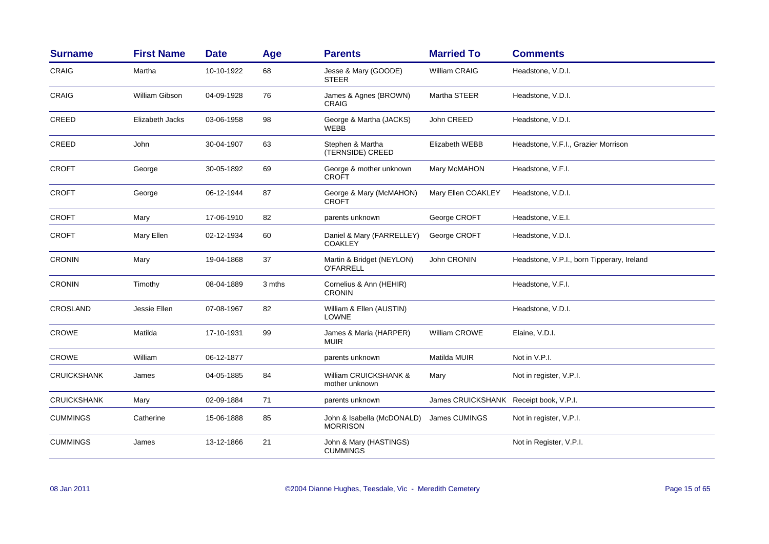| <b>Surname</b>     | <b>First Name</b> | <b>Date</b> | Age    | <b>Parents</b>                                | <b>Married To</b>                      | <b>Comments</b>                            |
|--------------------|-------------------|-------------|--------|-----------------------------------------------|----------------------------------------|--------------------------------------------|
| <b>CRAIG</b>       | Martha            | 10-10-1922  | 68     | Jesse & Mary (GOODE)<br><b>STEER</b>          | <b>William CRAIG</b>                   | Headstone, V.D.I.                          |
| <b>CRAIG</b>       | William Gibson    | 04-09-1928  | 76     | James & Agnes (BROWN)<br><b>CRAIG</b>         | Martha STEER                           | Headstone, V.D.I.                          |
| <b>CREED</b>       | Elizabeth Jacks   | 03-06-1958  | 98     | George & Martha (JACKS)<br><b>WEBB</b>        | John CREED                             | Headstone, V.D.I.                          |
| <b>CREED</b>       | John              | 30-04-1907  | 63     | Stephen & Martha<br>(TERNSIDE) CREED          | Elizabeth WEBB                         | Headstone, V.F.I., Grazier Morrison        |
| <b>CROFT</b>       | George            | 30-05-1892  | 69     | George & mother unknown<br><b>CROFT</b>       | Mary McMAHON                           | Headstone, V.F.I.                          |
| <b>CROFT</b>       | George            | 06-12-1944  | 87     | George & Mary (McMAHON)<br><b>CROFT</b>       | Mary Ellen COAKLEY                     | Headstone, V.D.I.                          |
| <b>CROFT</b>       | Mary              | 17-06-1910  | 82     | parents unknown                               | George CROFT                           | Headstone, V.E.I.                          |
| <b>CROFT</b>       | Mary Ellen        | 02-12-1934  | 60     | Daniel & Mary (FARRELLEY)<br><b>COAKLEY</b>   | George CROFT                           | Headstone, V.D.I.                          |
| <b>CRONIN</b>      | Mary              | 19-04-1868  | 37     | Martin & Bridget (NEYLON)<br><b>O'FARRELL</b> | John CRONIN                            | Headstone, V.P.I., born Tipperary, Ireland |
| <b>CRONIN</b>      | Timothy           | 08-04-1889  | 3 mths | Cornelius & Ann (HEHIR)<br><b>CRONIN</b>      |                                        | Headstone, V.F.I.                          |
| CROSLAND           | Jessie Ellen      | 07-08-1967  | 82     | William & Ellen (AUSTIN)<br><b>LOWNE</b>      |                                        | Headstone, V.D.I.                          |
| <b>CROWE</b>       | Matilda           | 17-10-1931  | 99     | James & Maria (HARPER)<br><b>MUIR</b>         | William CROWE                          | Elaine, V.D.I.                             |
| <b>CROWE</b>       | William           | 06-12-1877  |        | parents unknown                               | Matilda MUIR                           | Not in V.P.I.                              |
| <b>CRUICKSHANK</b> | James             | 04-05-1885  | 84     | William CRUICKSHANK &<br>mother unknown       | Mary                                   | Not in register, V.P.I.                    |
| <b>CRUICKSHANK</b> | Mary              | 02-09-1884  | 71     | parents unknown                               | James CRUICKSHANK Receipt book, V.P.I. |                                            |
| <b>CUMMINGS</b>    | Catherine         | 15-06-1888  | 85     | John & Isabella (McDONALD)<br><b>MORRISON</b> | James CUMINGS                          | Not in register, V.P.I.                    |
| <b>CUMMINGS</b>    | James             | 13-12-1866  | 21     | John & Mary (HASTINGS)<br><b>CUMMINGS</b>     |                                        | Not in Register, V.P.I.                    |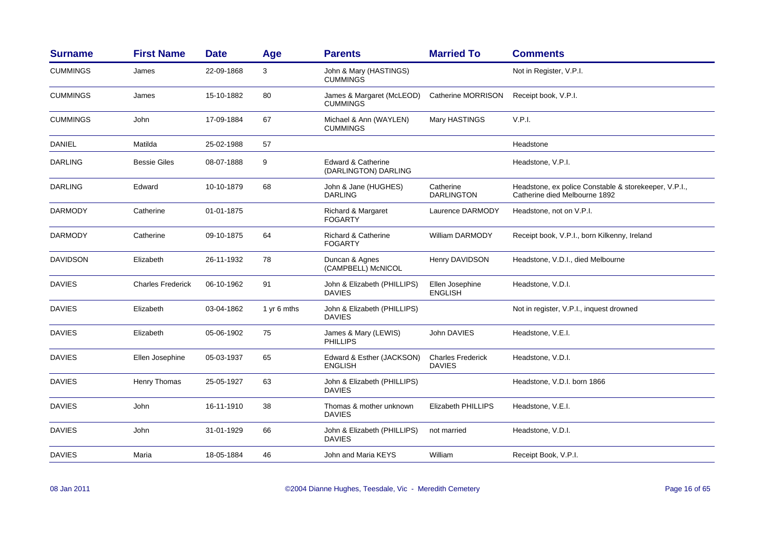| <b>Surname</b>  | <b>First Name</b>        | <b>Date</b> | Age         | <b>Parents</b>                                        | <b>Married To</b>                         | <b>Comments</b>                                                                        |
|-----------------|--------------------------|-------------|-------------|-------------------------------------------------------|-------------------------------------------|----------------------------------------------------------------------------------------|
| <b>CUMMINGS</b> | James                    | 22-09-1868  | 3           | John & Mary (HASTINGS)<br><b>CUMMINGS</b>             |                                           | Not in Register, V.P.I.                                                                |
| <b>CUMMINGS</b> | James                    | 15-10-1882  | 80          | James & Margaret (McLEOD)<br><b>CUMMINGS</b>          | Catherine MORRISON                        | Receipt book, V.P.I.                                                                   |
| <b>CUMMINGS</b> | John                     | 17-09-1884  | 67          | Michael & Ann (WAYLEN)<br><b>CUMMINGS</b>             | Mary HASTINGS                             | V.P.I.                                                                                 |
| <b>DANIEL</b>   | Matilda                  | 25-02-1988  | 57          |                                                       |                                           | Headstone                                                                              |
| <b>DARLING</b>  | <b>Bessie Giles</b>      | 08-07-1888  | 9           | <b>Edward &amp; Catherine</b><br>(DARLINGTON) DARLING |                                           | Headstone, V.P.I.                                                                      |
| <b>DARLING</b>  | Edward                   | 10-10-1879  | 68          | John & Jane (HUGHES)<br><b>DARLING</b>                | Catherine<br><b>DARLINGTON</b>            | Headstone, ex police Constable & storekeeper, V.P.I.,<br>Catherine died Melbourne 1892 |
| <b>DARMODY</b>  | Catherine                | 01-01-1875  |             | Richard & Margaret<br><b>FOGARTY</b>                  | Laurence DARMODY                          | Headstone, not on V.P.I.                                                               |
| <b>DARMODY</b>  | Catherine                | 09-10-1875  | 64          | <b>Richard &amp; Catherine</b><br><b>FOGARTY</b>      | William DARMODY                           | Receipt book, V.P.I., born Kilkenny, Ireland                                           |
| <b>DAVIDSON</b> | Elizabeth                | 26-11-1932  | 78          | Duncan & Agnes<br>(CAMPBELL) McNICOL                  | Henry DAVIDSON                            | Headstone, V.D.I., died Melbourne                                                      |
| <b>DAVIES</b>   | <b>Charles Frederick</b> | 06-10-1962  | 91          | John & Elizabeth (PHILLIPS)<br><b>DAVIES</b>          | Ellen Josephine<br><b>ENGLISH</b>         | Headstone, V.D.I.                                                                      |
| <b>DAVIES</b>   | Elizabeth                | 03-04-1862  | 1 yr 6 mths | John & Elizabeth (PHILLIPS)<br><b>DAVIES</b>          |                                           | Not in register, V.P.I., inquest drowned                                               |
| <b>DAVIES</b>   | Elizabeth                | 05-06-1902  | 75          | James & Mary (LEWIS)<br><b>PHILLIPS</b>               | John DAVIES                               | Headstone, V.E.I.                                                                      |
| <b>DAVIES</b>   | Ellen Josephine          | 05-03-1937  | 65          | Edward & Esther (JACKSON)<br><b>ENGLISH</b>           | <b>Charles Frederick</b><br><b>DAVIES</b> | Headstone, V.D.I.                                                                      |
| <b>DAVIES</b>   | Henry Thomas             | 25-05-1927  | 63          | John & Elizabeth (PHILLIPS)<br><b>DAVIES</b>          |                                           | Headstone, V.D.I. born 1866                                                            |
| <b>DAVIES</b>   | John                     | 16-11-1910  | 38          | Thomas & mother unknown<br><b>DAVIES</b>              | <b>Elizabeth PHILLIPS</b>                 | Headstone, V.E.I.                                                                      |
| <b>DAVIES</b>   | John                     | 31-01-1929  | 66          | John & Elizabeth (PHILLIPS)<br><b>DAVIES</b>          | not married                               | Headstone, V.D.I.                                                                      |
| <b>DAVIES</b>   | Maria                    | 18-05-1884  | 46          | John and Maria KEYS                                   | William                                   | Receipt Book, V.P.I.                                                                   |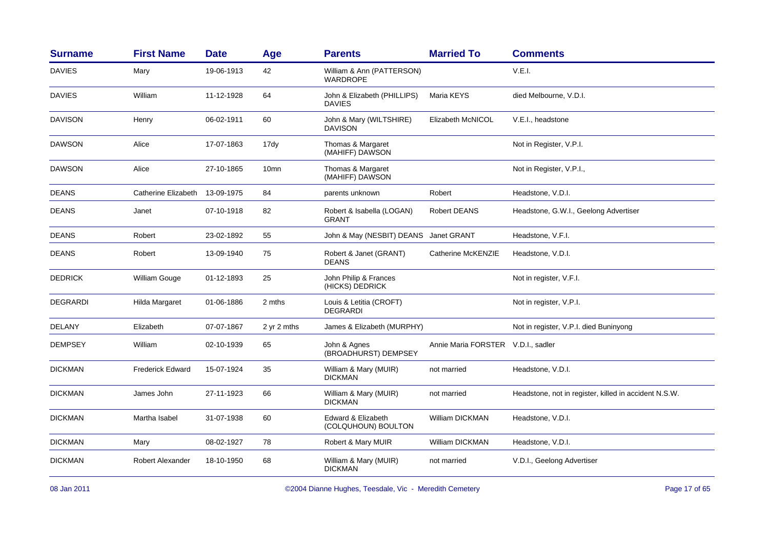| <b>First Name</b>       | <b>Date</b> | Age                            | <b>Parents</b>                               | <b>Married To</b>                  | <b>Comments</b>                                       |
|-------------------------|-------------|--------------------------------|----------------------------------------------|------------------------------------|-------------------------------------------------------|
| Mary                    | 19-06-1913  | 42                             | William & Ann (PATTERSON)<br><b>WARDROPE</b> |                                    | V.E.I.                                                |
| William                 | 11-12-1928  | 64                             | John & Elizabeth (PHILLIPS)<br>DAVIES        | Maria KEYS                         | died Melbourne, V.D.I.                                |
| Henry                   | 06-02-1911  | 60                             | John & Mary (WILTSHIRE)<br><b>DAVISON</b>    | Elizabeth McNICOL                  | V.E.I., headstone                                     |
| Alice                   | 17-07-1863  | 17dy                           | Thomas & Margaret<br>(MAHIFF) DAWSON         |                                    | Not in Register, V.P.I.                               |
| Alice                   | 27-10-1865  | 10 <sub>mn</sub>               | Thomas & Margaret<br>(MAHIFF) DAWSON         |                                    | Not in Register, V.P.I.,                              |
|                         |             | 84                             | parents unknown                              | Robert                             | Headstone, V.D.I.                                     |
| Janet                   | 07-10-1918  | 82                             | Robert & Isabella (LOGAN)<br><b>GRANT</b>    | Robert DEANS                       | Headstone, G.W.I., Geelong Advertiser                 |
| Robert                  | 23-02-1892  | 55                             |                                              |                                    | Headstone, V.F.I.                                     |
| Robert                  | 13-09-1940  | 75                             | Robert & Janet (GRANT)<br><b>DEANS</b>       | Catherine McKENZIE                 | Headstone, V.D.I.                                     |
| William Gouge           | 01-12-1893  | 25                             | John Philip & Frances<br>(HICKS) DEDRICK     |                                    | Not in register, V.F.I.                               |
| Hilda Margaret          | 01-06-1886  | 2 mths                         | Louis & Letitia (CROFT)<br><b>DEGRARDI</b>   |                                    | Not in register, V.P.I.                               |
| Elizabeth               | 07-07-1867  | 2 yr 2 mths                    | James & Elizabeth (MURPHY)                   |                                    | Not in register, V.P.I. died Buninyong                |
| William                 | 02-10-1939  | 65                             | John & Agnes<br>(BROADHURST) DEMPSEY         | Annie Maria FORSTER V.D.I., sadler |                                                       |
| <b>Frederick Edward</b> | 15-07-1924  | 35                             | William & Mary (MUIR)<br><b>DICKMAN</b>      | not married                        | Headstone, V.D.I.                                     |
| James John              | 27-11-1923  | 66                             | William & Mary (MUIR)<br><b>DICKMAN</b>      | not married                        | Headstone, not in register, killed in accident N.S.W. |
| Martha Isabel           | 31-07-1938  | 60                             | Edward & Elizabeth<br>(COLQUHOUN) BOULTON    | <b>William DICKMAN</b>             | Headstone, V.D.I.                                     |
| Mary                    | 08-02-1927  | 78                             | Robert & Mary MUIR                           | <b>William DICKMAN</b>             | Headstone, V.D.I.                                     |
| <b>Robert Alexander</b> | 18-10-1950  | 68                             | William & Mary (MUIR)<br><b>DICKMAN</b>      | not married                        | V.D.I., Geelong Advertiser                            |
|                         |             | Catherine Elizabeth 13-09-1975 |                                              |                                    | John & May (NESBIT) DEANS Janet GRANT                 |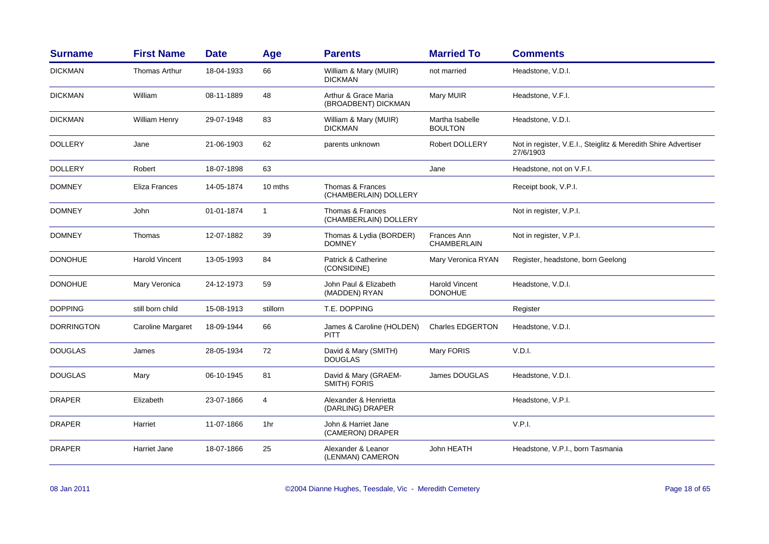| <b>Surname</b>    | <b>First Name</b>        | <b>Date</b> | Age          | <b>Parents</b>                              | <b>Married To</b>                       | <b>Comments</b>                                                             |
|-------------------|--------------------------|-------------|--------------|---------------------------------------------|-----------------------------------------|-----------------------------------------------------------------------------|
| <b>DICKMAN</b>    | <b>Thomas Arthur</b>     | 18-04-1933  | 66           | William & Mary (MUIR)<br><b>DICKMAN</b>     | not married                             | Headstone, V.D.I.                                                           |
| <b>DICKMAN</b>    | William                  | 08-11-1889  | 48           | Arthur & Grace Maria<br>(BROADBENT) DICKMAN | Mary MUIR                               | Headstone, V.F.I.                                                           |
| <b>DICKMAN</b>    | William Henry            | 29-07-1948  | 83           | William & Mary (MUIR)<br><b>DICKMAN</b>     | Martha Isabelle<br><b>BOULTON</b>       | Headstone, V.D.I.                                                           |
| <b>DOLLERY</b>    | Jane                     | 21-06-1903  | 62           | parents unknown                             | Robert DOLLERY                          | Not in register, V.E.I., Steiglitz & Meredith Shire Advertiser<br>27/6/1903 |
| <b>DOLLERY</b>    | Robert                   | 18-07-1898  | 63           |                                             | Jane                                    | Headstone, not on V.F.I.                                                    |
| <b>DOMNEY</b>     | Eliza Frances            | 14-05-1874  | 10 mths      | Thomas & Frances<br>(CHAMBERLAIN) DOLLERY   |                                         | Receipt book, V.P.I.                                                        |
| <b>DOMNEY</b>     | John                     | 01-01-1874  | $\mathbf{1}$ | Thomas & Frances<br>(CHAMBERLAIN) DOLLERY   |                                         | Not in register, V.P.I.                                                     |
| <b>DOMNEY</b>     | Thomas                   | 12-07-1882  | 39           | Thomas & Lydia (BORDER)<br><b>DOMNEY</b>    | Frances Ann<br><b>CHAMBERLAIN</b>       | Not in register, V.P.I.                                                     |
| <b>DONOHUE</b>    | <b>Harold Vincent</b>    | 13-05-1993  | 84           | Patrick & Catherine<br>(CONSIDINE)          | Mary Veronica RYAN                      | Register, headstone, born Geelong                                           |
| <b>DONOHUE</b>    | Mary Veronica            | 24-12-1973  | 59           | John Paul & Elizabeth<br>(MADDEN) RYAN      | <b>Harold Vincent</b><br><b>DONOHUE</b> | Headstone, V.D.I.                                                           |
| <b>DOPPING</b>    | still born child         | 15-08-1913  | stillorn     | T.E. DOPPING                                |                                         | Register                                                                    |
| <b>DORRINGTON</b> | <b>Caroline Margaret</b> | 18-09-1944  | 66           | James & Caroline (HOLDEN)<br><b>PITT</b>    | <b>Charles EDGERTON</b>                 | Headstone, V.D.I.                                                           |
| <b>DOUGLAS</b>    | James                    | 28-05-1934  | 72           | David & Mary (SMITH)<br><b>DOUGLAS</b>      | Mary FORIS                              | V.D.I.                                                                      |
| <b>DOUGLAS</b>    | Mary                     | 06-10-1945  | 81           | David & Mary (GRAEM-<br><b>SMITH) FORIS</b> | James DOUGLAS                           | Headstone, V.D.I.                                                           |
| <b>DRAPER</b>     | Elizabeth                | 23-07-1866  | 4            | Alexander & Henrietta<br>(DARLING) DRAPER   |                                         | Headstone, V.P.I.                                                           |
| <b>DRAPER</b>     | Harriet                  | 11-07-1866  | 1hr          | John & Harriet Jane<br>(CAMERON) DRAPER     |                                         | V.P.I.                                                                      |
| <b>DRAPER</b>     | <b>Harriet Jane</b>      | 18-07-1866  | 25           | Alexander & Leanor<br>(LENMAN) CAMERON      | John HEATH                              | Headstone, V.P.I., born Tasmania                                            |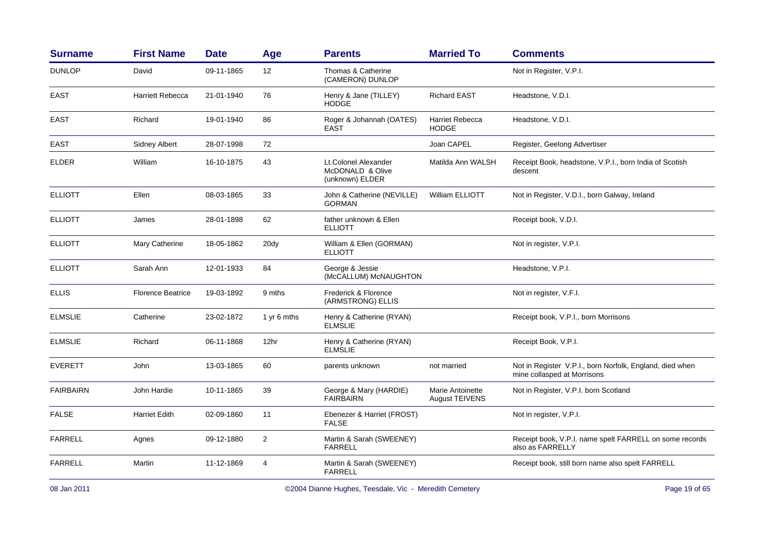| <b>Surname</b>   | <b>First Name</b>        | <b>Date</b> | Age            | <b>Parents</b>                                              | <b>Married To</b>                         | <b>Comments</b>                                                                         |
|------------------|--------------------------|-------------|----------------|-------------------------------------------------------------|-------------------------------------------|-----------------------------------------------------------------------------------------|
| <b>DUNLOP</b>    | David                    | 09-11-1865  | 12             | Thomas & Catherine<br>(CAMERON) DUNLOP                      |                                           | Not in Register, V.P.I.                                                                 |
| <b>EAST</b>      | <b>Harriett Rebecca</b>  | 21-01-1940  | 76             | Henry & Jane (TILLEY)<br><b>HODGE</b>                       | <b>Richard EAST</b>                       | Headstone, V.D.I.                                                                       |
| <b>EAST</b>      | Richard                  | 19-01-1940  | 86             | Roger & Johannah (OATES)<br><b>EAST</b>                     | <b>Harriet Rebecca</b><br><b>HODGE</b>    | Headstone, V.D.I.                                                                       |
| <b>EAST</b>      | <b>Sidney Albert</b>     | 28-07-1998  | 72             |                                                             | Joan CAPEL                                | Register, Geelong Advertiser                                                            |
| <b>ELDER</b>     | William                  | 16-10-1875  | 43             | Lt.Colonel Alexander<br>McDONALD & Olive<br>(unknown) ELDER | Matilda Ann WALSH                         | Receipt Book, headstone, V.P.I., born India of Scotish<br>descent                       |
| <b>ELLIOTT</b>   | Ellen                    | 08-03-1865  | 33             | John & Catherine (NEVILLE)<br><b>GORMAN</b>                 | <b>William ELLIOTT</b>                    | Not in Register, V.D.I., born Galway, Ireland                                           |
| <b>ELLIOTT</b>   | James                    | 28-01-1898  | 62             | father unknown & Ellen<br><b>ELLIOTT</b>                    |                                           | Receipt book, V.D.I.                                                                    |
| <b>ELLIOTT</b>   | Mary Catherine           | 18-05-1862  | 20dy           | William & Ellen (GORMAN)<br><b>ELLIOTT</b>                  |                                           | Not in register, V.P.I.                                                                 |
| <b>ELLIOTT</b>   | Sarah Ann                | 12-01-1933  | 84             | George & Jessie<br>(McCALLUM) McNAUGHTON                    |                                           | Headstone, V.P.I.                                                                       |
| <b>ELLIS</b>     | <b>Florence Beatrice</b> | 19-03-1892  | 9 mths         | Frederick & Florence<br>(ARMSTRONG) ELLIS                   |                                           | Not in register, V.F.I.                                                                 |
| <b>ELMSLIE</b>   | Catherine                | 23-02-1872  | 1 yr 6 mths    | Henry & Catherine (RYAN)<br><b>ELMSLIE</b>                  |                                           | Receipt book, V.P.I., born Morrisons                                                    |
| <b>ELMSLIE</b>   | Richard                  | 06-11-1868  | 12hr           | Henry & Catherine (RYAN)<br><b>ELMSLIE</b>                  |                                           | Receipt Book, V.P.I.                                                                    |
| <b>EVERETT</b>   | John                     | 13-03-1865  | 60             | parents unknown                                             | not married                               | Not in Register V.P.I., born Norfolk, England, died when<br>mine collasped at Morrisons |
| <b>FAIRBAIRN</b> | John Hardie              | 10-11-1865  | 39             | George & Mary (HARDIE)<br><b>FAIRBAIRN</b>                  | Marie Antoinette<br><b>August TEIVENS</b> | Not in Register, V.P.I. born Scotland                                                   |
| <b>FALSE</b>     | <b>Harriet Edith</b>     | 02-09-1860  | 11             | Ebenezer & Harriet (FROST)<br><b>FALSE</b>                  |                                           | Not in register, V.P.I.                                                                 |
| <b>FARRELL</b>   | Agnes                    | 09-12-1880  | $\overline{2}$ | Martin & Sarah (SWEENEY)<br><b>FARRELL</b>                  |                                           | Receipt book, V.P.I. name spelt FARRELL on some records<br>also as FARRELLY             |
| <b>FARRELL</b>   | Martin                   | 11-12-1869  | 4              | Martin & Sarah (SWEENEY)<br><b>FARRELL</b>                  |                                           | Receipt book, still born name also spelt FARRELL                                        |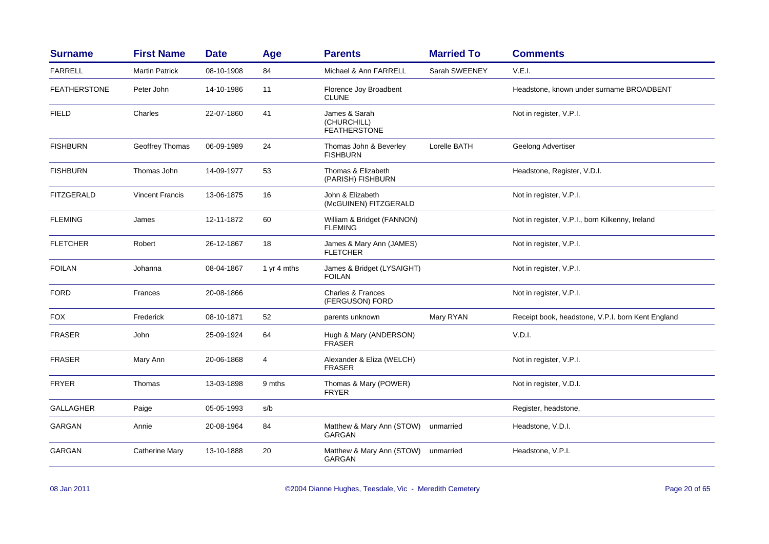| <b>Surname</b>      | <b>First Name</b>      | <b>Date</b> | Age         | <b>Parents</b>                                      | <b>Married To</b> | <b>Comments</b>                                   |
|---------------------|------------------------|-------------|-------------|-----------------------------------------------------|-------------------|---------------------------------------------------|
| <b>FARRELL</b>      | <b>Martin Patrick</b>  | 08-10-1908  | 84          | Michael & Ann FARRELL                               | Sarah SWEENEY     | V.E.I.                                            |
| <b>FEATHERSTONE</b> | Peter John             | 14-10-1986  | 11          | Florence Joy Broadbent<br><b>CLUNE</b>              |                   | Headstone, known under surname BROADBENT          |
| <b>FIELD</b>        | Charles                | 22-07-1860  | 41          | James & Sarah<br>(CHURCHILL)<br><b>FEATHERSTONE</b> |                   | Not in register, V.P.I.                           |
| <b>FISHBURN</b>     | Geoffrey Thomas        | 06-09-1989  | 24          | Thomas John & Beverley<br><b>FISHBURN</b>           | Lorelle BATH      | Geelong Advertiser                                |
| <b>FISHBURN</b>     | Thomas John            | 14-09-1977  | 53          | Thomas & Elizabeth<br>(PARISH) FISHBURN             |                   | Headstone, Register, V.D.I.                       |
| <b>FITZGERALD</b>   | <b>Vincent Francis</b> | 13-06-1875  | 16          | John & Elizabeth<br>(McGUINEN) FITZGERALD           |                   | Not in register, V.P.I.                           |
| <b>FLEMING</b>      | James                  | 12-11-1872  | 60          | William & Bridget (FANNON)<br><b>FLEMING</b>        |                   | Not in register, V.P.I., born Kilkenny, Ireland   |
| <b>FLETCHER</b>     | Robert                 | 26-12-1867  | 18          | James & Mary Ann (JAMES)<br><b>FLETCHER</b>         |                   | Not in register, V.P.I.                           |
| <b>FOILAN</b>       | Johanna                | 08-04-1867  | 1 yr 4 mths | James & Bridget (LYSAIGHT)<br><b>FOILAN</b>         |                   | Not in register, V.P.I.                           |
| <b>FORD</b>         | Frances                | 20-08-1866  |             | <b>Charles &amp; Frances</b><br>(FERGUSON) FORD     |                   | Not in register, V.P.I.                           |
| <b>FOX</b>          | Frederick              | 08-10-1871  | 52          | parents unknown                                     | Mary RYAN         | Receipt book, headstone, V.P.I. born Kent England |
| <b>FRASER</b>       | John                   | 25-09-1924  | 64          | Hugh & Mary (ANDERSON)<br>FRASER                    |                   | V.D.I.                                            |
| <b>FRASER</b>       | Mary Ann               | 20-06-1868  | 4           | Alexander & Eliza (WELCH)<br><b>FRASER</b>          |                   | Not in register, V.P.I.                           |
| <b>FRYER</b>        | Thomas                 | 13-03-1898  | 9 mths      | Thomas & Mary (POWER)<br><b>FRYER</b>               |                   | Not in register, V.D.I.                           |
| <b>GALLAGHER</b>    | Paige                  | 05-05-1993  | s/b         |                                                     |                   | Register, headstone,                              |
| GARGAN              | Annie                  | 20-08-1964  | 84          | Matthew & Mary Ann (STOW)<br>GARGAN                 | unmarried         | Headstone, V.D.I.                                 |
| <b>GARGAN</b>       | Catherine Mary         | 13-10-1888  | 20          | Matthew & Mary Ann (STOW)<br>GARGAN                 | unmarried         | Headstone, V.P.I.                                 |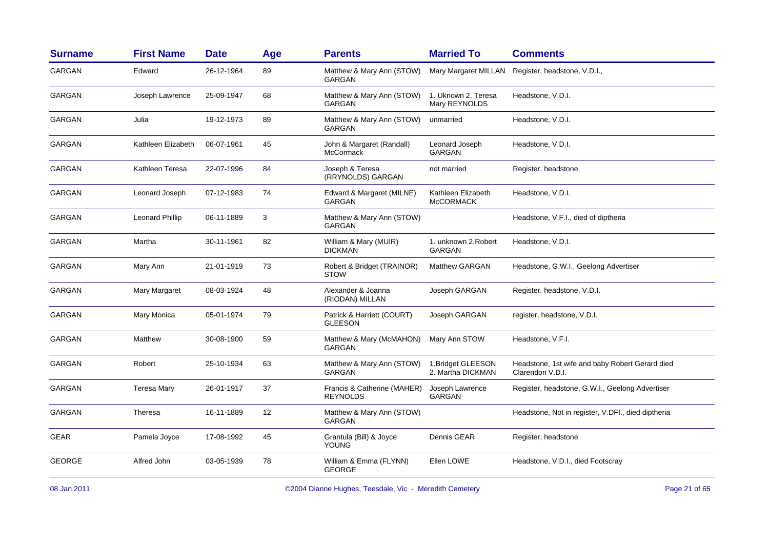| <b>Surname</b> | <b>First Name</b>  | <b>Date</b> | Age | <b>Parents</b>                                 | <b>Married To</b>                       | <b>Comments</b>                                                     |
|----------------|--------------------|-------------|-----|------------------------------------------------|-----------------------------------------|---------------------------------------------------------------------|
| <b>GARGAN</b>  | Edward             | 26-12-1964  | 89  | Matthew & Mary Ann (STOW)<br><b>GARGAN</b>     | Mary Margaret MILLAN                    | Register, headstone, V.D.I.,                                        |
| <b>GARGAN</b>  | Joseph Lawrence    | 25-09-1947  | 68  | Matthew & Mary Ann (STOW)<br><b>GARGAN</b>     | 1. Uknown 2. Teresa<br>Mary REYNOLDS    | Headstone, V.D.I.                                                   |
| <b>GARGAN</b>  | Julia              | 19-12-1973  | 89  | Matthew & Mary Ann (STOW)<br>GARGAN            | unmarried                               | Headstone, V.D.I.                                                   |
| <b>GARGAN</b>  | Kathleen Elizabeth | 06-07-1961  | 45  | John & Margaret (Randall)<br>McCormack         | Leonard Joseph<br>GARGAN                | Headstone, V.D.I.                                                   |
| GARGAN         | Kathleen Teresa    | 22-07-1996  | 84  | Joseph & Teresa<br>(RRYNOLDS) GARGAN           | not married                             | Register, headstone                                                 |
| GARGAN         | Leonard Joseph     | 07-12-1983  | 74  | Edward & Margaret (MILNE)<br>GARGAN            | Kathleen Elizabeth<br><b>McCORMACK</b>  | Headstone, V.D.I.                                                   |
| GARGAN         | Leonard Phillip    | 06-11-1889  | 3   | Matthew & Mary Ann (STOW)<br>GARGAN            |                                         | Headstone, V.F.I., died of diptheria                                |
| GARGAN         | Martha             | 30-11-1961  | 82  | William & Mary (MUIR)<br><b>DICKMAN</b>        | 1. unknown 2. Robert<br>GARGAN          | Headstone, V.D.I.                                                   |
| <b>GARGAN</b>  | Mary Ann           | 21-01-1919  | 73  | Robert & Bridget (TRAINOR)<br>STOW             | <b>Matthew GARGAN</b>                   | Headstone, G.W.I., Geelong Advertiser                               |
| GARGAN         | Mary Margaret      | 08-03-1924  | 48  | Alexander & Joanna<br>(RIODAN) MILLAN          | Joseph GARGAN                           | Register, headstone, V.D.I.                                         |
| GARGAN         | Mary Monica        | 05-01-1974  | 79  | Patrick & Harriett (COURT)<br><b>GLEESON</b>   | Joseph GARGAN                           | register, headstone, V.D.I.                                         |
| <b>GARGAN</b>  | Matthew            | 30-08-1900  | 59  | Matthew & Mary (McMAHON)<br>GARGAN             | Mary Ann STOW                           | Headstone, V.F.I.                                                   |
| <b>GARGAN</b>  | Robert             | 25-10-1934  | 63  | Matthew & Mary Ann (STOW)<br><b>GARGAN</b>     | 1. Bridget GLEESON<br>2. Martha DICKMAN | Headstone, 1st wife and baby Robert Gerard died<br>Clarendon V.D.I. |
| GARGAN         | Teresa Mary        | 26-01-1917  | 37  | Francis & Catherine (MAHER)<br><b>REYNOLDS</b> | Joseph Lawrence<br><b>GARGAN</b>        | Register, headstone, G.W.I., Geelong Advertiser                     |
| <b>GARGAN</b>  | Theresa            | 16-11-1889  | 12  | Matthew & Mary Ann (STOW)<br>GARGAN            |                                         | Headstone, Not in register, V.DFI., died diptheria                  |
| <b>GEAR</b>    | Pamela Joyce       | 17-08-1992  | 45  | Grantula (Bill) & Joyce<br><b>YOUNG</b>        | Dennis GEAR                             | Register, headstone                                                 |
| <b>GEORGE</b>  | Alfred John        | 03-05-1939  | 78  | William & Emma (FLYNN)<br><b>GEORGE</b>        | Ellen LOWE                              | Headstone, V.D.I., died Footscray                                   |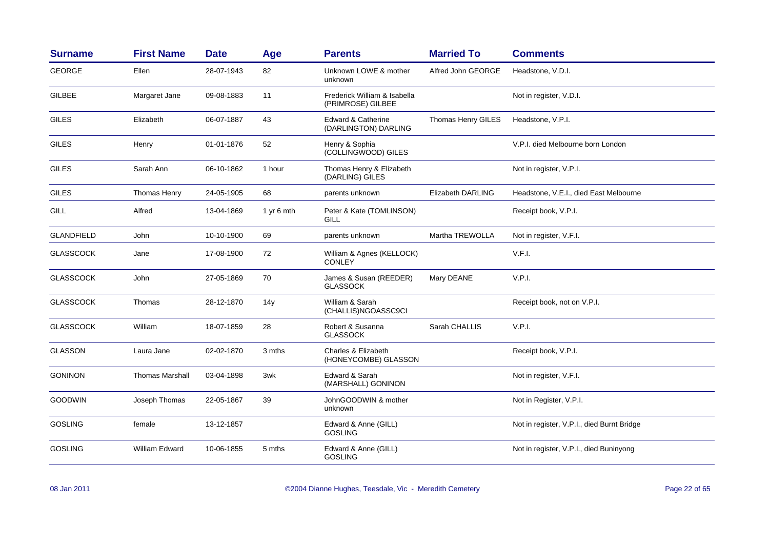| <b>Surname</b>    | <b>First Name</b>      | <b>Date</b> | Age             | <b>Parents</b>                                        | <b>Married To</b>        | <b>Comments</b>                            |
|-------------------|------------------------|-------------|-----------------|-------------------------------------------------------|--------------------------|--------------------------------------------|
| <b>GEORGE</b>     | Ellen                  | 28-07-1943  | 82              | Unknown LOWE & mother<br>unknown                      | Alfred John GEORGE       | Headstone, V.D.I.                          |
| <b>GILBEE</b>     | Margaret Jane          | 09-08-1883  | 11              | Frederick William & Isabella<br>(PRIMROSE) GILBEE     |                          | Not in register, V.D.I.                    |
| <b>GILES</b>      | Elizabeth              | 06-07-1887  | 43              | <b>Edward &amp; Catherine</b><br>(DARLINGTON) DARLING | Thomas Henry GILES       | Headstone, V.P.I.                          |
| <b>GILES</b>      | Henry                  | 01-01-1876  | 52              | Henry & Sophia<br>(COLLINGWOOD) GILES                 |                          | V.P.I. died Melbourne born London          |
| <b>GILES</b>      | Sarah Ann              | 06-10-1862  | 1 hour          | Thomas Henry & Elizabeth<br>(DARLING) GILES           |                          | Not in register, V.P.I.                    |
| <b>GILES</b>      | Thomas Henry           | 24-05-1905  | 68              | parents unknown                                       | <b>Elizabeth DARLING</b> | Headstone, V.E.I., died East Melbourne     |
| GILL              | Alfred                 | 13-04-1869  | 1 yr 6 mth      | Peter & Kate (TOMLINSON)<br>GILL                      |                          | Receipt book, V.P.I.                       |
| <b>GLANDFIELD</b> | John                   | 10-10-1900  | 69              | parents unknown                                       | Martha TREWOLLA          | Not in register, V.F.I.                    |
| <b>GLASSCOCK</b>  | Jane                   | 17-08-1900  | 72              | William & Agnes (KELLOCK)<br><b>CONLEY</b>            |                          | V.F.I.                                     |
| <b>GLASSCOCK</b>  | John                   | 27-05-1869  | 70              | James & Susan (REEDER)<br><b>GLASSOCK</b>             | Mary DEANE               | V.P.I.                                     |
| <b>GLASSCOCK</b>  | Thomas                 | 28-12-1870  | 14 <sub>V</sub> | William & Sarah<br>(CHALLIS)NGOASSC9CI                |                          | Receipt book, not on V.P.I.                |
| <b>GLASSCOCK</b>  | William                | 18-07-1859  | 28              | Robert & Susanna<br><b>GLASSOCK</b>                   | Sarah CHALLIS            | V.P.I.                                     |
| <b>GLASSON</b>    | Laura Jane             | 02-02-1870  | 3 mths          | Charles & Elizabeth<br>(HONEYCOMBE) GLASSON           |                          | Receipt book, V.P.I.                       |
| <b>GONINON</b>    | <b>Thomas Marshall</b> | 03-04-1898  | 3wk             | Edward & Sarah<br>(MARSHALL) GONINON                  |                          | Not in register, V.F.I.                    |
| <b>GOODWIN</b>    | Joseph Thomas          | 22-05-1867  | 39              | JohnGOODWIN & mother<br>unknown                       |                          | Not in Register, V.P.I.                    |
| <b>GOSLING</b>    | female                 | 13-12-1857  |                 | Edward & Anne (GILL)<br><b>GOSLING</b>                |                          | Not in register, V.P.I., died Burnt Bridge |
| <b>GOSLING</b>    | William Edward         | 10-06-1855  | 5 mths          | Edward & Anne (GILL)<br><b>GOSLING</b>                |                          | Not in register, V.P.I., died Buninyong    |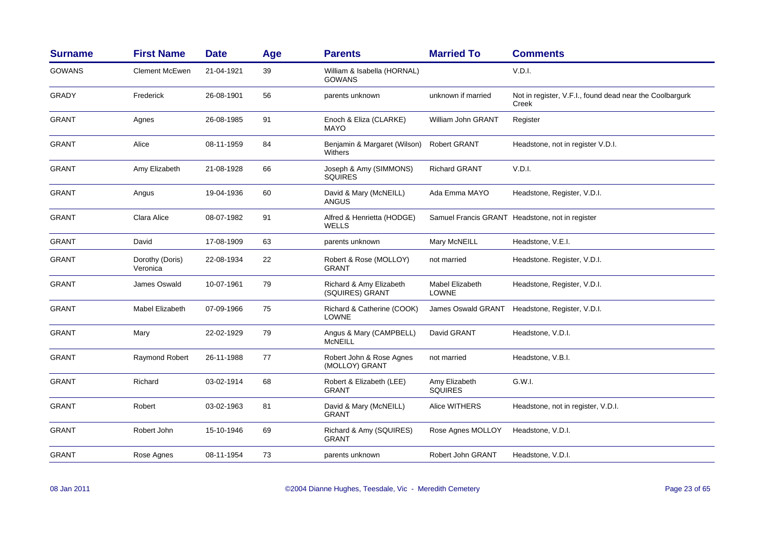| <b>Surname</b> | <b>First Name</b>           | <b>Date</b> | Age | <b>Parents</b>                               | <b>Married To</b>               | <b>Comments</b>                                                   |
|----------------|-----------------------------|-------------|-----|----------------------------------------------|---------------------------------|-------------------------------------------------------------------|
| <b>GOWANS</b>  | <b>Clement McEwen</b>       | 21-04-1921  | 39  | William & Isabella (HORNAL)<br><b>GOWANS</b> |                                 | V.D.I.                                                            |
| <b>GRADY</b>   | Frederick                   | 26-08-1901  | 56  | parents unknown                              | unknown if married              | Not in register, V.F.I., found dead near the Coolbargurk<br>Creek |
| <b>GRANT</b>   | Agnes                       | 26-08-1985  | 91  | Enoch & Eliza (CLARKE)<br>MAYO               | William John GRANT              | Register                                                          |
| <b>GRANT</b>   | Alice                       | 08-11-1959  | 84  | Benjamin & Margaret (Wilson)<br>Withers      | <b>Robert GRANT</b>             | Headstone, not in register V.D.I.                                 |
| <b>GRANT</b>   | Amy Elizabeth               | 21-08-1928  | 66  | Joseph & Amy (SIMMONS)<br><b>SQUIRES</b>     | <b>Richard GRANT</b>            | V.D.I.                                                            |
| <b>GRANT</b>   | Angus                       | 19-04-1936  | 60  | David & Mary (McNEILL)<br><b>ANGUS</b>       | Ada Emma MAYO                   | Headstone, Register, V.D.I.                                       |
| <b>GRANT</b>   | Clara Alice                 | 08-07-1982  | 91  | Alfred & Henrietta (HODGE)<br>WELLS          |                                 | Samuel Francis GRANT Headstone, not in register                   |
| <b>GRANT</b>   | David                       | 17-08-1909  | 63  | parents unknown                              | Mary McNEILL                    | Headstone, V.E.I.                                                 |
| <b>GRANT</b>   | Dorothy (Doris)<br>Veronica | 22-08-1934  | 22  | Robert & Rose (MOLLOY)<br><b>GRANT</b>       | not married                     | Headstone. Register, V.D.I.                                       |
| <b>GRANT</b>   | James Oswald                | 10-07-1961  | 79  | Richard & Amy Elizabeth<br>(SQUIRES) GRANT   | Mabel Elizabeth<br><b>LOWNE</b> | Headstone, Register, V.D.I.                                       |
| <b>GRANT</b>   | <b>Mabel Elizabeth</b>      | 07-09-1966  | 75  | Richard & Catherine (COOK)<br><b>LOWNE</b>   | James Oswald GRANT              | Headstone, Register, V.D.I.                                       |
| <b>GRANT</b>   | Mary                        | 22-02-1929  | 79  | Angus & Mary (CAMPBELL)<br>McNEILL           | David GRANT                     | Headstone, V.D.I.                                                 |
| <b>GRANT</b>   | Raymond Robert              | 26-11-1988  | 77  | Robert John & Rose Agnes<br>(MOLLOY) GRANT   | not married                     | Headstone, V.B.I.                                                 |
| <b>GRANT</b>   | Richard                     | 03-02-1914  | 68  | Robert & Elizabeth (LEE)<br><b>GRANT</b>     | Amy Elizabeth<br><b>SQUIRES</b> | G.W.I.                                                            |
| <b>GRANT</b>   | Robert                      | 03-02-1963  | 81  | David & Mary (McNEILL)<br><b>GRANT</b>       | Alice WITHERS                   | Headstone, not in register, V.D.I.                                |
| <b>GRANT</b>   | Robert John                 | 15-10-1946  | 69  | Richard & Amy (SQUIRES)<br><b>GRANT</b>      | Rose Agnes MOLLOY               | Headstone, V.D.I.                                                 |
| <b>GRANT</b>   | Rose Agnes                  | 08-11-1954  | 73  | parents unknown                              | Robert John GRANT               | Headstone, V.D.I.                                                 |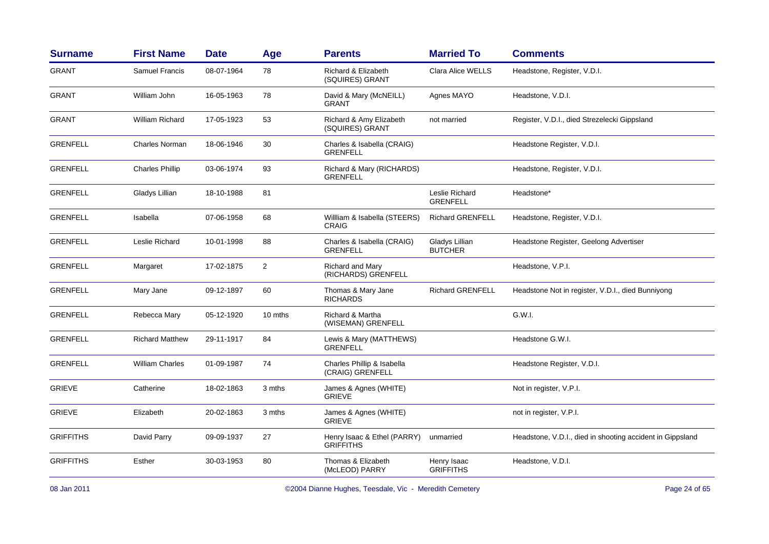| <b>Surname</b>   | <b>First Name</b>      | <b>Date</b> | Age     | <b>Parents</b>                                  | <b>Married To</b>                 | <b>Comments</b>                                           |
|------------------|------------------------|-------------|---------|-------------------------------------------------|-----------------------------------|-----------------------------------------------------------|
| <b>GRANT</b>     | Samuel Francis         | 08-07-1964  | 78      | Richard & Elizabeth<br>(SQUIRES) GRANT          | Clara Alice WELLS                 | Headstone, Register, V.D.I.                               |
| <b>GRANT</b>     | William John           | 16-05-1963  | 78      | David & Mary (McNEILL)<br><b>GRANT</b>          | Agnes MAYO                        | Headstone, V.D.I.                                         |
| <b>GRANT</b>     | <b>William Richard</b> | 17-05-1923  | 53      | Richard & Amy Elizabeth<br>(SQUIRES) GRANT      | not married                       | Register, V.D.I., died Strezelecki Gippsland              |
| <b>GRENFELL</b>  | Charles Norman         | 18-06-1946  | 30      | Charles & Isabella (CRAIG)<br><b>GRENFELL</b>   |                                   | Headstone Register, V.D.I.                                |
| <b>GRENFELL</b>  | <b>Charles Phillip</b> | 03-06-1974  | 93      | Richard & Mary (RICHARDS)<br><b>GRENFELL</b>    |                                   | Headstone, Register, V.D.I.                               |
| <b>GRENFELL</b>  | Gladys Lillian         | 18-10-1988  | 81      |                                                 | Leslie Richard<br><b>GRENFELL</b> | Headstone*                                                |
| <b>GRENFELL</b>  | Isabella               | 07-06-1958  | 68      | William & Isabella (STEERS)<br>CRAIG            | <b>Richard GRENFELL</b>           | Headstone, Register, V.D.I.                               |
| <b>GRENFELL</b>  | Leslie Richard         | 10-01-1998  | 88      | Charles & Isabella (CRAIG)<br><b>GRENFELL</b>   | Gladys Lillian<br><b>BUTCHER</b>  | Headstone Register, Geelong Advertiser                    |
| <b>GRENFELL</b>  | Margaret               | 17-02-1875  | 2       | <b>Richard and Mary</b><br>(RICHARDS) GRENFELL  |                                   | Headstone, V.P.I.                                         |
| <b>GRENFELL</b>  | Mary Jane              | 09-12-1897  | 60      | Thomas & Mary Jane<br><b>RICHARDS</b>           | <b>Richard GRENFELL</b>           | Headstone Not in register, V.D.I., died Bunniyong         |
| <b>GRENFELL</b>  | Rebecca Mary           | 05-12-1920  | 10 mths | Richard & Martha<br>(WISEMAN) GRENFELL          |                                   | G.W.I.                                                    |
| <b>GRENFELL</b>  | <b>Richard Matthew</b> | 29-11-1917  | 84      | Lewis & Mary (MATTHEWS)<br><b>GRENFELL</b>      |                                   | Headstone G.W.I.                                          |
| <b>GRENFELL</b>  | William Charles        | 01-09-1987  | 74      | Charles Phillip & Isabella<br>(CRAIG) GRENFELL  |                                   | Headstone Register, V.D.I.                                |
| <b>GRIEVE</b>    | Catherine              | 18-02-1863  | 3 mths  | James & Agnes (WHITE)<br><b>GRIEVE</b>          |                                   | Not in register, V.P.I.                                   |
| <b>GRIEVE</b>    | Elizabeth              | 20-02-1863  | 3 mths  | James & Agnes (WHITE)<br><b>GRIEVE</b>          |                                   | not in register, V.P.I.                                   |
| <b>GRIFFITHS</b> | David Parry            | 09-09-1937  | 27      | Henry Isaac & Ethel (PARRY)<br><b>GRIFFITHS</b> | unmarried                         | Headstone, V.D.I., died in shooting accident in Gippsland |
| <b>GRIFFITHS</b> | Esther                 | 30-03-1953  | 80      | Thomas & Elizabeth<br>(McLEOD) PARRY            | Henry Isaac<br><b>GRIFFITHS</b>   | Headstone, V.D.I.                                         |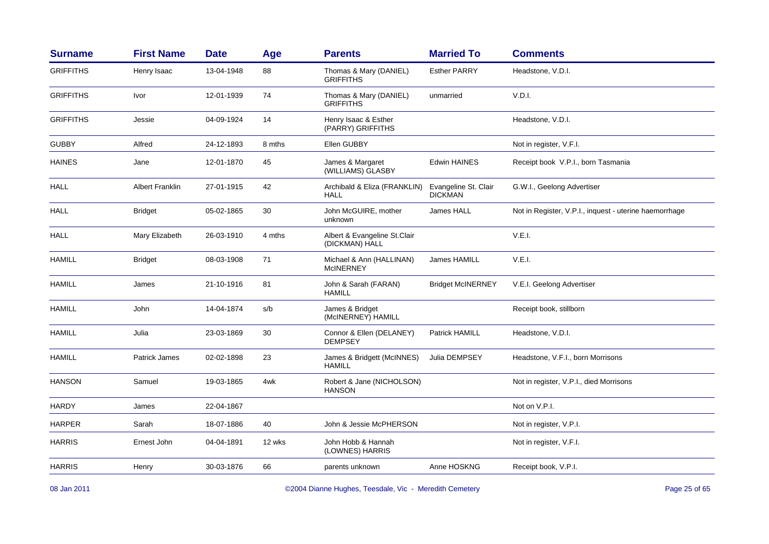| <b>Surname</b>   | <b>First Name</b>      | <b>Date</b> | Age    | <b>Parents</b>                                 | <b>Married To</b>                      | <b>Comments</b>                                        |
|------------------|------------------------|-------------|--------|------------------------------------------------|----------------------------------------|--------------------------------------------------------|
| <b>GRIFFITHS</b> | Henry Isaac            | 13-04-1948  | 88     | Thomas & Mary (DANIEL)<br><b>GRIFFITHS</b>     | <b>Esther PARRY</b>                    | Headstone, V.D.I.                                      |
| <b>GRIFFITHS</b> | Ivor                   | 12-01-1939  | 74     | Thomas & Mary (DANIEL)<br><b>GRIFFITHS</b>     | unmarried                              | V.D.I.                                                 |
| <b>GRIFFITHS</b> | Jessie                 | 04-09-1924  | 14     | Henry Isaac & Esther<br>(PARRY) GRIFFITHS      |                                        | Headstone, V.D.I.                                      |
| <b>GUBBY</b>     | Alfred                 | 24-12-1893  | 8 mths | Ellen GUBBY                                    |                                        | Not in register, V.F.I.                                |
| <b>HAINES</b>    | Jane                   | 12-01-1870  | 45     | James & Margaret<br>(WILLIAMS) GLASBY          | <b>Edwin HAINES</b>                    | Receipt book V.P.I., born Tasmania                     |
| HALL             | <b>Albert Franklin</b> | 27-01-1915  | 42     | Archibald & Eliza (FRANKLIN)<br><b>HALL</b>    | Evangeline St. Clair<br><b>DICKMAN</b> | G.W.I., Geelong Advertiser                             |
| <b>HALL</b>      | <b>Bridget</b>         | 05-02-1865  | 30     | John McGUIRE, mother<br>unknown                | James HALL                             | Not in Register, V.P.I., inquest - uterine haemorrhage |
| <b>HALL</b>      | Mary Elizabeth         | 26-03-1910  | 4 mths | Albert & Evangeline St.Clair<br>(DICKMAN) HALL |                                        | V.E.I.                                                 |
| <b>HAMILL</b>    | <b>Bridget</b>         | 08-03-1908  | 71     | Michael & Ann (HALLINAN)<br><b>McINERNEY</b>   | James HAMILL                           | V.E.I.                                                 |
| <b>HAMILL</b>    | James                  | 21-10-1916  | 81     | John & Sarah (FARAN)<br><b>HAMILL</b>          | <b>Bridget McINERNEY</b>               | V.E.I. Geelong Advertiser                              |
| <b>HAMILL</b>    | John                   | 14-04-1874  | s/b    | James & Bridget<br>(McINERNEY) HAMILL          |                                        | Receipt book, stillborn                                |
| <b>HAMILL</b>    | Julia                  | 23-03-1869  | 30     | Connor & Ellen (DELANEY)<br><b>DEMPSEY</b>     | <b>Patrick HAMILL</b>                  | Headstone, V.D.I.                                      |
| <b>HAMILL</b>    | Patrick James          | 02-02-1898  | 23     | James & Bridgett (McINNES)<br><b>HAMILL</b>    | Julia DEMPSEY                          | Headstone, V.F.I., born Morrisons                      |
| <b>HANSON</b>    | Samuel                 | 19-03-1865  | 4wk    | Robert & Jane (NICHOLSON)<br><b>HANSON</b>     |                                        | Not in register, V.P.I., died Morrisons                |
| <b>HARDY</b>     | James                  | 22-04-1867  |        |                                                |                                        | Not on V.P.I.                                          |
| <b>HARPER</b>    | Sarah                  | 18-07-1886  | 40     | John & Jessie McPHERSON                        |                                        | Not in register, V.P.I.                                |
| <b>HARRIS</b>    | Ernest John            | 04-04-1891  | 12 wks | John Hobb & Hannah<br>(LOWNES) HARRIS          |                                        | Not in register, V.F.I.                                |
| <b>HARRIS</b>    | Henry                  | 30-03-1876  | 66     | parents unknown                                | Anne HOSKNG                            | Receipt book, V.P.I.                                   |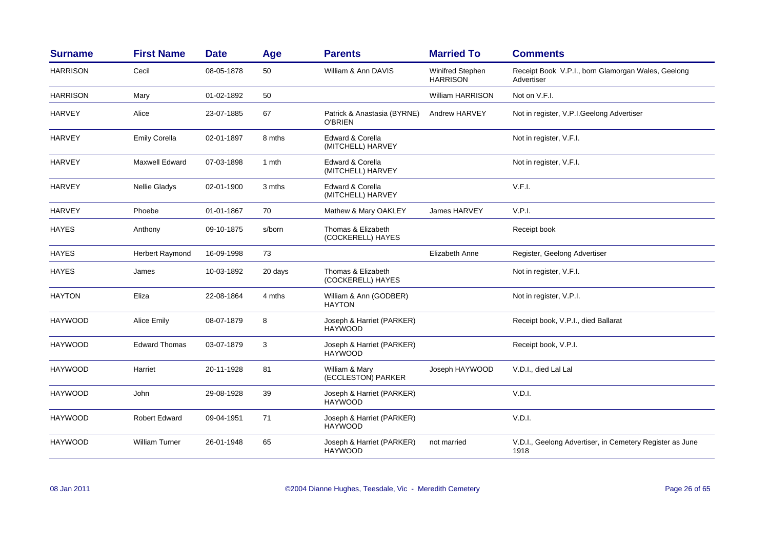| <b>Surname</b>  | <b>First Name</b>     | <b>Date</b> | Age     | <b>Parents</b>                                | <b>Married To</b>                   | <b>Comments</b>                                                  |
|-----------------|-----------------------|-------------|---------|-----------------------------------------------|-------------------------------------|------------------------------------------------------------------|
| <b>HARRISON</b> | Cecil                 | 08-05-1878  | 50      | William & Ann DAVIS                           | Winifred Stephen<br><b>HARRISON</b> | Receipt Book V.P.I., born Glamorgan Wales, Geelong<br>Advertiser |
| <b>HARRISON</b> | Mary                  | 01-02-1892  | 50      |                                               | <b>William HARRISON</b>             | Not on V.F.I.                                                    |
| <b>HARVEY</b>   | Alice                 | 23-07-1885  | 67      | Patrick & Anastasia (BYRNE)<br><b>O'BRIEN</b> | Andrew HARVEY                       | Not in register, V.P.I.Geelong Advertiser                        |
| <b>HARVEY</b>   | <b>Emily Corella</b>  | 02-01-1897  | 8 mths  | Edward & Corella<br>(MITCHELL) HARVEY         |                                     | Not in register, V.F.I.                                          |
| <b>HARVEY</b>   | Maxwell Edward        | 07-03-1898  | 1 mth   | Edward & Corella<br>(MITCHELL) HARVEY         |                                     | Not in register, V.F.I.                                          |
| <b>HARVEY</b>   | Nellie Gladys         | 02-01-1900  | 3 mths  | Edward & Corella<br>(MITCHELL) HARVEY         |                                     | V.F.I.                                                           |
| <b>HARVEY</b>   | Phoebe                | 01-01-1867  | 70      | Mathew & Mary OAKLEY                          | James HARVEY                        | V.P.I.                                                           |
| <b>HAYES</b>    | Anthony               | 09-10-1875  | s/born  | Thomas & Elizabeth<br>(COCKERELL) HAYES       |                                     | Receipt book                                                     |
| <b>HAYES</b>    | Herbert Raymond       | 16-09-1998  | 73      |                                               | Elizabeth Anne                      | Register, Geelong Advertiser                                     |
| <b>HAYES</b>    | James                 | 10-03-1892  | 20 days | Thomas & Elizabeth<br>(COCKERELL) HAYES       |                                     | Not in register, V.F.I.                                          |
| <b>HAYTON</b>   | Eliza                 | 22-08-1864  | 4 mths  | William & Ann (GODBER)<br><b>HAYTON</b>       |                                     | Not in register, V.P.I.                                          |
| <b>HAYWOOD</b>  | Alice Emily           | 08-07-1879  | 8       | Joseph & Harriet (PARKER)<br><b>HAYWOOD</b>   |                                     | Receipt book, V.P.I., died Ballarat                              |
| <b>HAYWOOD</b>  | <b>Edward Thomas</b>  | 03-07-1879  | 3       | Joseph & Harriet (PARKER)<br><b>HAYWOOD</b>   |                                     | Receipt book, V.P.I.                                             |
| <b>HAYWOOD</b>  | Harriet               | 20-11-1928  | 81      | William & Mary<br>(ECCLESTON) PARKER          | Joseph HAYWOOD                      | V.D.I., died Lal Lal                                             |
| <b>HAYWOOD</b>  | John                  | 29-08-1928  | 39      | Joseph & Harriet (PARKER)<br><b>HAYWOOD</b>   |                                     | V.D.I.                                                           |
| <b>HAYWOOD</b>  | <b>Robert Edward</b>  | 09-04-1951  | 71      | Joseph & Harriet (PARKER)<br><b>HAYWOOD</b>   |                                     | V.D.I.                                                           |
| <b>HAYWOOD</b>  | <b>William Turner</b> | 26-01-1948  | 65      | Joseph & Harriet (PARKER)<br><b>HAYWOOD</b>   | not married                         | V.D.I., Geelong Advertiser, in Cemetery Register as June<br>1918 |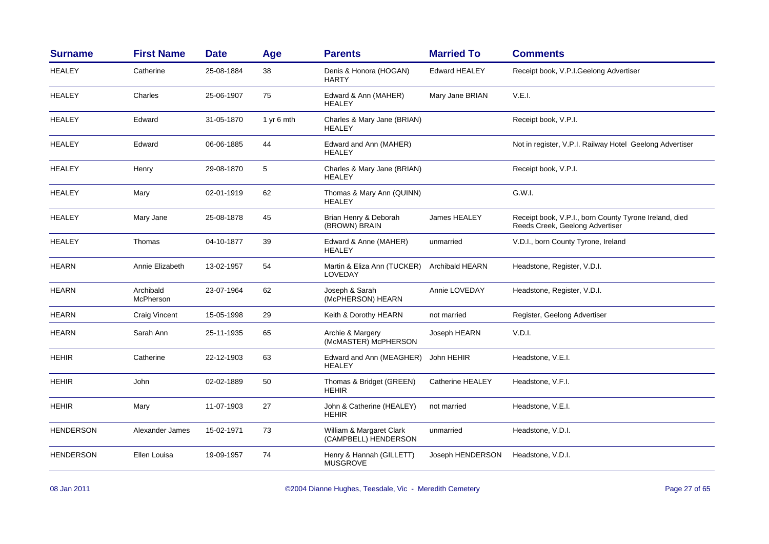| <b>Surname</b>   | <b>First Name</b>      | <b>Date</b> | Age        | <b>Parents</b>                                   | <b>Married To</b>       | <b>Comments</b>                                                                           |
|------------------|------------------------|-------------|------------|--------------------------------------------------|-------------------------|-------------------------------------------------------------------------------------------|
| <b>HEALEY</b>    | Catherine              | 25-08-1884  | 38         | Denis & Honora (HOGAN)<br><b>HARTY</b>           | <b>Edward HEALEY</b>    | Receipt book, V.P.I.Geelong Advertiser                                                    |
| <b>HEALEY</b>    | Charles                | 25-06-1907  | 75         | Edward & Ann (MAHER)<br><b>HEALEY</b>            | Mary Jane BRIAN         | V.E.I.                                                                                    |
| <b>HEALEY</b>    | Edward                 | 31-05-1870  | 1 yr 6 mth | Charles & Mary Jane (BRIAN)<br><b>HEALEY</b>     |                         | Receipt book, V.P.I.                                                                      |
| HEALEY           | Edward                 | 06-06-1885  | 44         | Edward and Ann (MAHER)<br><b>HEALEY</b>          |                         | Not in register, V.P.I. Railway Hotel Geelong Advertiser                                  |
| <b>HEALEY</b>    | Henry                  | 29-08-1870  | 5          | Charles & Mary Jane (BRIAN)<br><b>HEALEY</b>     |                         | Receipt book, V.P.I.                                                                      |
| <b>HEALEY</b>    | Mary                   | 02-01-1919  | 62         | Thomas & Mary Ann (QUINN)<br><b>HEALEY</b>       |                         | G.W.I.                                                                                    |
| <b>HEALEY</b>    | Mary Jane              | 25-08-1878  | 45         | Brian Henry & Deborah<br>(BROWN) BRAIN           | James HEALEY            | Receipt book, V.P.I., born County Tyrone Ireland, died<br>Reeds Creek, Geelong Advertiser |
| <b>HEALEY</b>    | Thomas                 | 04-10-1877  | 39         | Edward & Anne (MAHER)<br><b>HEALEY</b>           | unmarried               | V.D.I., born County Tyrone, Ireland                                                       |
| <b>HEARN</b>     | Annie Elizabeth        | 13-02-1957  | 54         | Martin & Eliza Ann (TUCKER)<br>LOVEDAY           | <b>Archibald HEARN</b>  | Headstone, Register, V.D.I.                                                               |
| <b>HEARN</b>     | Archibald<br>McPherson | 23-07-1964  | 62         | Joseph & Sarah<br>(McPHERSON) HEARN              | Annie LOVEDAY           | Headstone, Register, V.D.I.                                                               |
| <b>HEARN</b>     | Craig Vincent          | 15-05-1998  | 29         | Keith & Dorothy HEARN                            | not married             | Register, Geelong Advertiser                                                              |
| <b>HEARN</b>     | Sarah Ann              | 25-11-1935  | 65         | Archie & Margery<br>(McMASTER) McPHERSON         | Joseph HEARN            | V.D.I.                                                                                    |
| <b>HEHIR</b>     | Catherine              | 22-12-1903  | 63         | Edward and Ann (MEAGHER)<br><b>HEALEY</b>        | John HEHIR              | Headstone, V.E.I.                                                                         |
| <b>HEHIR</b>     | John                   | 02-02-1889  | 50         | Thomas & Bridget (GREEN)<br><b>HEHIR</b>         | <b>Catherine HEALEY</b> | Headstone, V.F.I.                                                                         |
| <b>HEHIR</b>     | Mary                   | 11-07-1903  | 27         | John & Catherine (HEALEY)<br><b>HEHIR</b>        | not married             | Headstone, V.E.I.                                                                         |
| HENDERSON        | Alexander James        | 15-02-1971  | 73         | William & Margaret Clark<br>(CAMPBELL) HENDERSON | unmarried               | Headstone, V.D.I.                                                                         |
| <b>HENDERSON</b> | Ellen Louisa           | 19-09-1957  | 74         | Henry & Hannah (GILLETT)<br><b>MUSGROVE</b>      | Joseph HENDERSON        | Headstone, V.D.I.                                                                         |
|                  |                        |             |            |                                                  |                         |                                                                                           |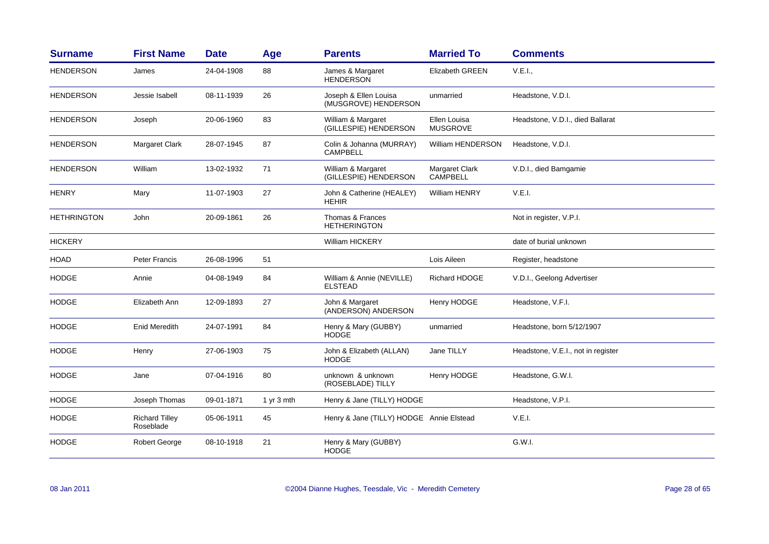| <b>Surname</b>     | <b>First Name</b>                  | <b>Date</b> | Age          | <b>Parents</b>                                | <b>Married To</b>                 | <b>Comments</b>                    |
|--------------------|------------------------------------|-------------|--------------|-----------------------------------------------|-----------------------------------|------------------------------------|
| <b>HENDERSON</b>   | James                              | 24-04-1908  | 88           | James & Margaret<br><b>HENDERSON</b>          | <b>Elizabeth GREEN</b>            | V.E.I.,                            |
| <b>HENDERSON</b>   | Jessie Isabell                     | 08-11-1939  | 26           | Joseph & Ellen Louisa<br>(MUSGROVE) HENDERSON | unmarried                         | Headstone, V.D.I.                  |
| <b>HENDERSON</b>   | Joseph                             | 20-06-1960  | 83           | William & Margaret<br>(GILLESPIE) HENDERSON   | Ellen Louisa<br><b>MUSGROVE</b>   | Headstone, V.D.I., died Ballarat   |
| <b>HENDERSON</b>   | Margaret Clark                     | 28-07-1945  | 87           | Colin & Johanna (MURRAY)<br>CAMPBELL          | <b>William HENDERSON</b>          | Headstone, V.D.I.                  |
| <b>HENDERSON</b>   | William                            | 13-02-1932  | 71           | William & Margaret<br>(GILLESPIE) HENDERSON   | Margaret Clark<br><b>CAMPBELL</b> | V.D.I., died Bamgamie              |
| <b>HENRY</b>       | Mary                               | 11-07-1903  | 27           | John & Catherine (HEALEY)<br><b>HEHIR</b>     | William HENRY                     | V.E.I.                             |
| <b>HETHRINGTON</b> | John                               | 20-09-1861  | 26           | Thomas & Frances<br><b>HETHERINGTON</b>       |                                   | Not in register, V.P.I.            |
| <b>HICKERY</b>     |                                    |             |              | <b>William HICKERY</b>                        |                                   | date of burial unknown             |
| <b>HOAD</b>        | Peter Francis                      | 26-08-1996  | 51           |                                               | Lois Aileen                       | Register, headstone                |
| <b>HODGE</b>       | Annie                              | 04-08-1949  | 84           | William & Annie (NEVILLE)<br><b>ELSTEAD</b>   | <b>Richard HDOGE</b>              | V.D.I., Geelong Advertiser         |
| <b>HODGE</b>       | Elizabeth Ann                      | 12-09-1893  | 27           | John & Margaret<br>(ANDERSON) ANDERSON        | Henry HODGE                       | Headstone, V.F.I.                  |
| <b>HODGE</b>       | <b>Enid Meredith</b>               | 24-07-1991  | 84           | Henry & Mary (GUBBY)<br><b>HODGE</b>          | unmarried                         | Headstone, born 5/12/1907          |
| <b>HODGE</b>       | Henry                              | 27-06-1903  | 75           | John & Elizabeth (ALLAN)<br><b>HODGE</b>      | Jane TILLY                        | Headstone, V.E.I., not in register |
| <b>HODGE</b>       | Jane                               | 07-04-1916  | 80           | unknown & unknown<br>(ROSEBLADE) TILLY        | Henry HODGE                       | Headstone, G.W.I.                  |
| <b>HODGE</b>       | Joseph Thomas                      | 09-01-1871  | 1 yr $3$ mth | Henry & Jane (TILLY) HODGE                    |                                   | Headstone, V.P.I.                  |
| <b>HODGE</b>       | <b>Richard Tilley</b><br>Roseblade | 05-06-1911  | 45           | Henry & Jane (TILLY) HODGE Annie Elstead      |                                   | V.E.I.                             |
| <b>HODGE</b>       | Robert George                      | 08-10-1918  | 21           | Henry & Mary (GUBBY)<br><b>HODGE</b>          |                                   | G.W.I.                             |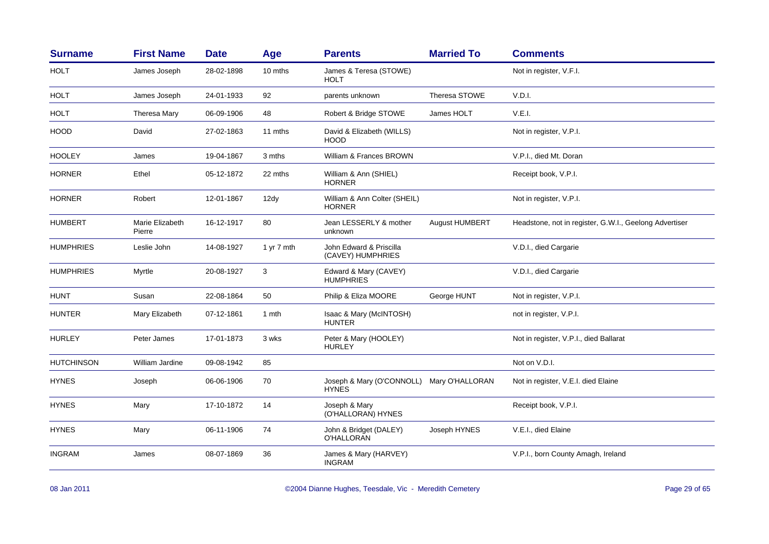| <b>Surname</b>    | <b>First Name</b>         | <b>Date</b> | Age        | <b>Parents</b>                                            | <b>Married To</b> | <b>Comments</b>                                        |
|-------------------|---------------------------|-------------|------------|-----------------------------------------------------------|-------------------|--------------------------------------------------------|
| <b>HOLT</b>       | James Joseph              | 28-02-1898  | 10 mths    | James & Teresa (STOWE)<br><b>HOLT</b>                     |                   | Not in register, V.F.I.                                |
| <b>HOLT</b>       | James Joseph              | 24-01-1933  | 92         | parents unknown                                           | Theresa STOWE     | V.D.I.                                                 |
| <b>HOLT</b>       | Theresa Mary              | 06-09-1906  | 48         | Robert & Bridge STOWE                                     | James HOLT        | V.E.I.                                                 |
| <b>HOOD</b>       | David                     | 27-02-1863  | 11 mths    | David & Elizabeth (WILLS)<br><b>HOOD</b>                  |                   | Not in register, V.P.I.                                |
| <b>HOOLEY</b>     | James                     | 19-04-1867  | 3 mths     | William & Frances BROWN                                   |                   | V.P.I., died Mt. Doran                                 |
| <b>HORNER</b>     | Ethel                     | 05-12-1872  | 22 mths    | William & Ann (SHIEL)<br><b>HORNER</b>                    |                   | Receipt book, V.P.I.                                   |
| <b>HORNER</b>     | Robert                    | 12-01-1867  | 12dy       | William & Ann Colter (SHEIL)<br><b>HORNER</b>             |                   | Not in register, V.P.I.                                |
| <b>HUMBERT</b>    | Marie Elizabeth<br>Pierre | 16-12-1917  | 80         | Jean LESSERLY & mother<br>unknown                         | August HUMBERT    | Headstone, not in register, G.W.I., Geelong Advertiser |
| <b>HUMPHRIES</b>  | Leslie John               | 14-08-1927  | 1 yr 7 mth | John Edward & Priscilla<br>(CAVEY) HUMPHRIES              |                   | V.D.I., died Cargarie                                  |
| <b>HUMPHRIES</b>  | Myrtle                    | 20-08-1927  | 3          | Edward & Mary (CAVEY)<br><b>HUMPHRIES</b>                 |                   | V.D.I., died Cargarie                                  |
| <b>HUNT</b>       | Susan                     | 22-08-1864  | 50         | Philip & Eliza MOORE                                      | George HUNT       | Not in register, V.P.I.                                |
| <b>HUNTER</b>     | Mary Elizabeth            | 07-12-1861  | 1 mth      | Isaac & Mary (McINTOSH)<br><b>HUNTER</b>                  |                   | not in register, V.P.I.                                |
| <b>HURLEY</b>     | Peter James               | 17-01-1873  | 3 wks      | Peter & Mary (HOOLEY)<br><b>HURLEY</b>                    |                   | Not in register, V.P.I., died Ballarat                 |
| <b>HUTCHINSON</b> | William Jardine           | 09-08-1942  | 85         |                                                           |                   | Not on V.D.I.                                          |
| <b>HYNES</b>      | Joseph                    | 06-06-1906  | 70         | Joseph & Mary (O'CONNOLL) Mary O'HALLORAN<br><b>HYNES</b> |                   | Not in register, V.E.I. died Elaine                    |
| <b>HYNES</b>      | Mary                      | 17-10-1872  | 14         | Joseph & Mary<br>(O'HALLORAN) HYNES                       |                   | Receipt book, V.P.I.                                   |
| <b>HYNES</b>      | Mary                      | 06-11-1906  | 74         | John & Bridget (DALEY)<br>O'HALLORAN                      | Joseph HYNES      | V.E.I., died Elaine                                    |
| <b>INGRAM</b>     | James                     | 08-07-1869  | 36         | James & Mary (HARVEY)<br><b>INGRAM</b>                    |                   | V.P.I., born County Amagh, Ireland                     |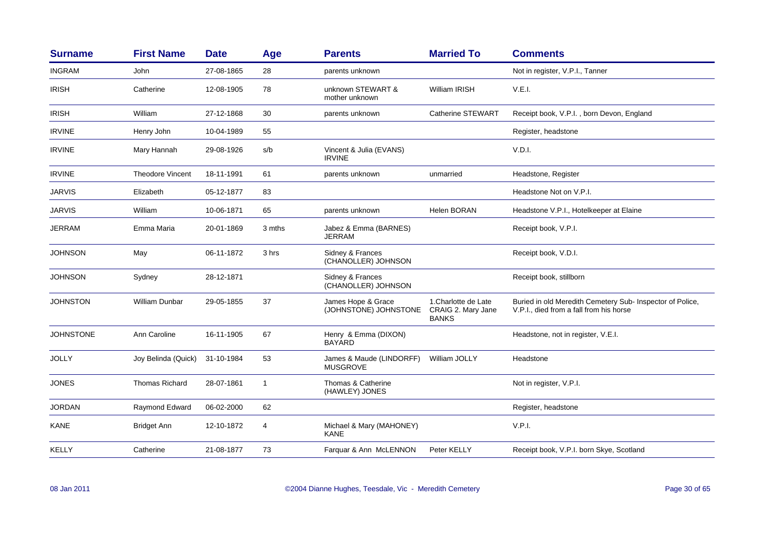| <b>Surname</b>   | <b>First Name</b>       | <b>Date</b> | Age         | <b>Parents</b>                              | <b>Married To</b>                                          | <b>Comments</b>                                                                                      |
|------------------|-------------------------|-------------|-------------|---------------------------------------------|------------------------------------------------------------|------------------------------------------------------------------------------------------------------|
| <b>INGRAM</b>    | John                    | 27-08-1865  | 28          | parents unknown                             |                                                            | Not in register, V.P.I., Tanner                                                                      |
| <b>IRISH</b>     | Catherine               | 12-08-1905  | 78          | unknown STEWART &<br>mother unknown         | <b>William IRISH</b>                                       | V.E.I.                                                                                               |
| <b>IRISH</b>     | William                 | 27-12-1868  | 30          | parents unknown                             | Catherine STEWART                                          | Receipt book, V.P.I., born Devon, England                                                            |
| <b>IRVINE</b>    | Henry John              | 10-04-1989  | 55          |                                             |                                                            | Register, headstone                                                                                  |
| <b>IRVINE</b>    | Mary Hannah             | 29-08-1926  | s/b         | Vincent & Julia (EVANS)<br><b>IRVINE</b>    |                                                            | V.D.I.                                                                                               |
| <b>IRVINE</b>    | <b>Theodore Vincent</b> | 18-11-1991  | 61          | parents unknown                             | unmarried                                                  | Headstone, Register                                                                                  |
| <b>JARVIS</b>    | Elizabeth               | 05-12-1877  | 83          |                                             |                                                            | Headstone Not on V.P.I.                                                                              |
| <b>JARVIS</b>    | William                 | 10-06-1871  | 65          | parents unknown                             | Helen BORAN                                                | Headstone V.P.I., Hotelkeeper at Elaine                                                              |
| <b>JERRAM</b>    | Emma Maria              | 20-01-1869  | 3 mths      | Jabez & Emma (BARNES)<br>JERRAM             |                                                            | Receipt book, V.P.I.                                                                                 |
| <b>JOHNSON</b>   | May                     | 06-11-1872  | 3 hrs       | Sidney & Frances<br>(CHANOLLER) JOHNSON     |                                                            | Receipt book, V.D.I.                                                                                 |
| <b>JOHNSON</b>   | Sydney                  | 28-12-1871  |             | Sidney & Frances<br>(CHANOLLER) JOHNSON     |                                                            | Receipt book, stillborn                                                                              |
| <b>JOHNSTON</b>  | <b>William Dunbar</b>   | 29-05-1855  | 37          | James Hope & Grace<br>(JOHNSTONE) JOHNSTONE | 1. Charlotte de Late<br>CRAIG 2. Mary Jane<br><b>BANKS</b> | Buried in old Meredith Cemetery Sub- Inspector of Police,<br>V.P.I., died from a fall from his horse |
| <b>JOHNSTONE</b> | Ann Caroline            | 16-11-1905  | 67          | Henry & Emma (DIXON)<br><b>BAYARD</b>       |                                                            | Headstone, not in register, V.E.I.                                                                   |
| <b>JOLLY</b>     | Joy Belinda (Quick)     | 31-10-1984  | 53          | James & Maude (LINDORFF)<br><b>MUSGROVE</b> | William JOLLY                                              | Headstone                                                                                            |
| <b>JONES</b>     | <b>Thomas Richard</b>   | 28-07-1861  | $\mathbf 1$ | Thomas & Catherine<br>(HAWLEY) JONES        |                                                            | Not in register, V.P.I.                                                                              |
| <b>JORDAN</b>    | Raymond Edward          | 06-02-2000  | 62          |                                             |                                                            | Register, headstone                                                                                  |
| <b>KANE</b>      | <b>Bridget Ann</b>      | 12-10-1872  | 4           | Michael & Mary (MAHONEY)<br><b>KANE</b>     |                                                            | V.P.I.                                                                                               |
| KELLY            | Catherine               | 21-08-1877  | 73          | Farquar & Ann McLENNON                      | Peter KELLY                                                | Receipt book, V.P.I. born Skye, Scotland                                                             |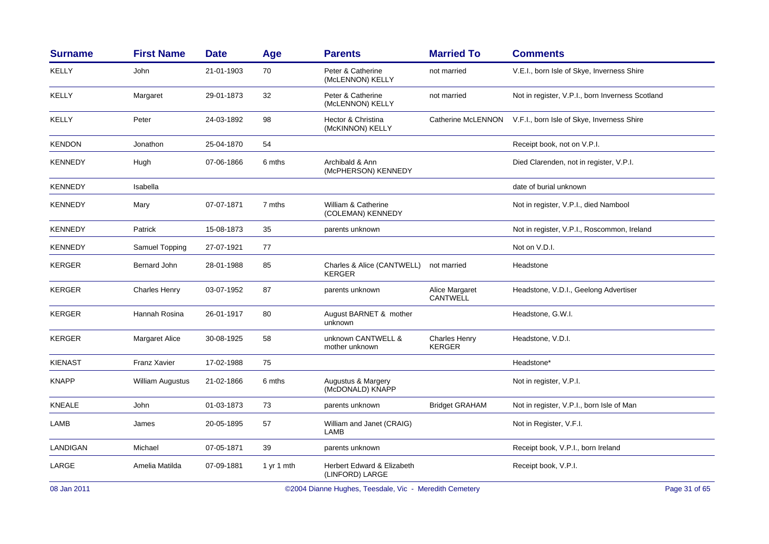| <b>First Name</b>    | <b>Date</b> | Age        | <b>Parents</b>                                | <b>Married To</b>                     | <b>Comments</b>                                  |
|----------------------|-------------|------------|-----------------------------------------------|---------------------------------------|--------------------------------------------------|
| John                 | 21-01-1903  | 70         | Peter & Catherine<br>(McLENNON) KELLY         | not married                           | V.E.I., born Isle of Skye, Inverness Shire       |
| Margaret             | 29-01-1873  | 32         | Peter & Catherine<br>(McLENNON) KELLY         | not married                           | Not in register, V.P.I., born Inverness Scotland |
| Peter                | 24-03-1892  | 98         | Hector & Christina<br>(McKINNON) KELLY        | Catherine McLENNON                    | V.F.I., born Isle of Skye, Inverness Shire       |
| Jonathon             | 25-04-1870  | 54         |                                               |                                       | Receipt book, not on V.P.I.                      |
| Hugh                 | 07-06-1866  | 6 mths     | Archibald & Ann<br>(McPHERSON) KENNEDY        |                                       | Died Clarenden, not in register, V.P.I.          |
| Isabella             |             |            |                                               |                                       | date of burial unknown                           |
| Mary                 | 07-07-1871  | 7 mths     | William & Catherine<br>(COLEMAN) KENNEDY      |                                       | Not in register, V.P.I., died Nambool            |
| Patrick              | 15-08-1873  | 35         | parents unknown                               |                                       | Not in register, V.P.I., Roscommon, Ireland      |
| Samuel Topping       | 27-07-1921  | 77         |                                               |                                       | Not on V.D.I.                                    |
| Bernard John         | 28-01-1988  | 85         | Charles & Alice (CANTWELL)<br><b>KERGER</b>   | not married                           | Headstone                                        |
| <b>Charles Henry</b> | 03-07-1952  | 87         | parents unknown                               | Alice Margaret<br>CANTWELL            | Headstone, V.D.I., Geelong Advertiser            |
| Hannah Rosina        | 26-01-1917  | 80         | August BARNET & mother<br>unknown             |                                       | Headstone, G.W.I.                                |
| Margaret Alice       | 30-08-1925  | 58         | unknown CANTWELL &<br>mother unknown          | <b>Charles Henry</b><br><b>KERGER</b> | Headstone, V.D.I.                                |
| <b>Franz Xavier</b>  | 17-02-1988  | 75         |                                               |                                       | Headstone*                                       |
| William Augustus     | 21-02-1866  | 6 mths     | Augustus & Margery<br>(McDONALD) KNAPP        |                                       | Not in register, V.P.I.                          |
| John                 | 01-03-1873  | 73         | parents unknown                               | <b>Bridget GRAHAM</b>                 | Not in register, V.P.I., born Isle of Man        |
| James                | 20-05-1895  | 57         | William and Janet (CRAIG)<br>LAMB             |                                       | Not in Register, V.F.I.                          |
| Michael              | 07-05-1871  | 39         | parents unknown                               |                                       | Receipt book, V.P.I., born Ireland               |
| Amelia Matilda       | 07-09-1881  | 1 yr 1 mth | Herbert Edward & Elizabeth<br>(LINFORD) LARGE |                                       | Receipt book, V.P.I.                             |
|                      |             |            |                                               |                                       |                                                  |

08 Jan 2011

©2004 Dianne Hughes, Teesdale, Vic - Meredith Cemetery entitled and the Cameron of the Page 31 of 65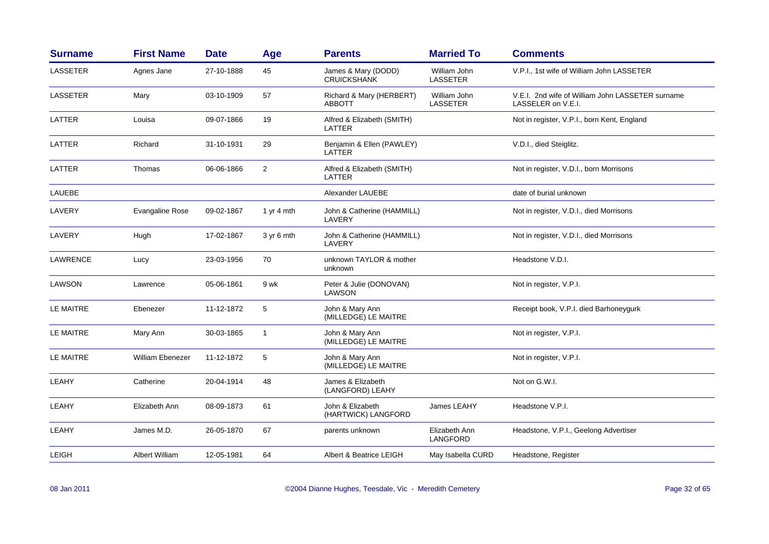| <b>Surname</b>   | <b>First Name</b>      | <b>Date</b> | Age            | <b>Parents</b>                            | <b>Married To</b>                | <b>Comments</b>                                                        |
|------------------|------------------------|-------------|----------------|-------------------------------------------|----------------------------------|------------------------------------------------------------------------|
| <b>LASSETER</b>  | Agnes Jane             | 27-10-1888  | 45             | James & Mary (DODD)<br><b>CRUICKSHANK</b> | William John<br><b>LASSETER</b>  | V.P.I., 1st wife of William John LASSETER                              |
| <b>LASSETER</b>  | Mary                   | 03-10-1909  | 57             | Richard & Mary (HERBERT)<br><b>ABBOTT</b> | William John<br><b>LASSETER</b>  | V.E.I. 2nd wife of William John LASSETER surname<br>LASSELER on V.E.I. |
| LATTER           | Louisa                 | 09-07-1866  | 19             | Alfred & Elizabeth (SMITH)<br>LATTER      |                                  | Not in register, V.P.I., born Kent, England                            |
| LATTER           | Richard                | 31-10-1931  | 29             | Benjamin & Ellen (PAWLEY)<br>LATTER       |                                  | V.D.I., died Steiglitz.                                                |
| LATTER           | Thomas                 | 06-06-1866  | $\overline{2}$ | Alfred & Elizabeth (SMITH)<br>LATTER      |                                  | Not in register, V.D.I., born Morrisons                                |
| LAUEBE           |                        |             |                | Alexander LAUEBE                          |                                  | date of burial unknown                                                 |
| LAVERY           | <b>Evangaline Rose</b> | 09-02-1867  | 1 yr 4 mth     | John & Catherine (HAMMILL)<br>LAVERY      |                                  | Not in register, V.D.I., died Morrisons                                |
| LAVERY           | Hugh                   | 17-02-1867  | 3 yr 6 mth     | John & Catherine (HAMMILL)<br>LAVERY      |                                  | Not in register, V.D.I., died Morrisons                                |
| LAWRENCE         | Lucy                   | 23-03-1956  | 70             | unknown TAYLOR & mother<br>unknown        |                                  | Headstone V.D.I.                                                       |
| <b>LAWSON</b>    | Lawrence               | 05-06-1861  | 9 wk           | Peter & Julie (DONOVAN)<br><b>LAWSON</b>  |                                  | Not in register, V.P.I.                                                |
| <b>LE MAITRE</b> | Ebenezer               | 11-12-1872  | 5              | John & Mary Ann<br>(MILLEDGE) LE MAITRE   |                                  | Receipt book, V.P.I. died Barhoneygurk                                 |
| <b>LE MAITRE</b> | Mary Ann               | 30-03-1865  | $\mathbf{1}$   | John & Mary Ann<br>(MILLEDGE) LE MAITRE   |                                  | Not in register, V.P.I.                                                |
| LE MAITRE        | William Ebenezer       | 11-12-1872  | 5              | John & Mary Ann<br>(MILLEDGE) LE MAITRE   |                                  | Not in register, V.P.I.                                                |
| LEAHY            | Catherine              | 20-04-1914  | 48             | James & Elizabeth<br>(LANGFORD) LEAHY     |                                  | Not on G.W.I.                                                          |
| LEAHY            | Elizabeth Ann          | 08-09-1873  | 61             | John & Elizabeth<br>(HARTWICK) LANGFORD   | James LEAHY                      | Headstone V.P.I.                                                       |
| LEAHY            | James M.D.             | 26-05-1870  | 67             | parents unknown                           | Elizabeth Ann<br><b>LANGFORD</b> | Headstone, V.P.I., Geelong Advertiser                                  |
| LEIGH            | Albert William         | 12-05-1981  | 64             | Albert & Beatrice LEIGH                   | May Isabella CURD                | Headstone, Register                                                    |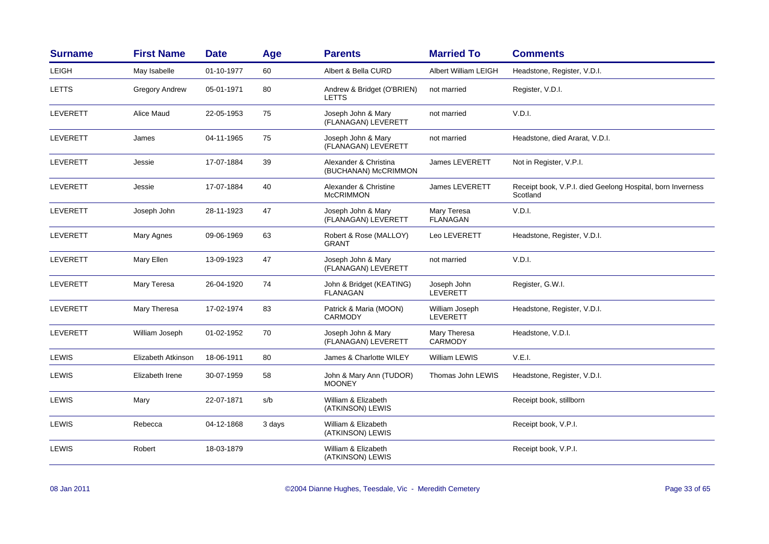| <b>Surname</b>  | <b>First Name</b>  | <b>Date</b> | Age    | <b>Parents</b>                                | <b>Married To</b>                 | <b>Comments</b>                                                        |
|-----------------|--------------------|-------------|--------|-----------------------------------------------|-----------------------------------|------------------------------------------------------------------------|
| LEIGH           | May Isabelle       | 01-10-1977  | 60     | Albert & Bella CURD                           | <b>Albert William LEIGH</b>       | Headstone, Register, V.D.I.                                            |
| <b>LETTS</b>    | Gregory Andrew     | 05-01-1971  | 80     | Andrew & Bridget (O'BRIEN)<br><b>LETTS</b>    | not married                       | Register, V.D.I.                                                       |
| LEVERETT        | Alice Maud         | 22-05-1953  | 75     | Joseph John & Mary<br>(FLANAGAN) LEVERETT     | not married                       | V.D.I.                                                                 |
| LEVERETT        | James              | 04-11-1965  | 75     | Joseph John & Mary<br>(FLANAGAN) LEVERETT     | not married                       | Headstone, died Ararat, V.D.I.                                         |
| <b>LEVERETT</b> | Jessie             | 17-07-1884  | 39     | Alexander & Christina<br>(BUCHANAN) McCRIMMON | <b>James LEVERETT</b>             | Not in Register, V.P.I.                                                |
| <b>LEVERETT</b> | Jessie             | 17-07-1884  | 40     | Alexander & Christine<br><b>McCRIMMON</b>     | <b>James LEVERETT</b>             | Receipt book, V.P.I. died Geelong Hospital, born Inverness<br>Scotland |
| LEVERETT        | Joseph John        | 28-11-1923  | 47     | Joseph John & Mary<br>(FLANAGAN) LEVERETT     | Mary Teresa<br><b>FLANAGAN</b>    | V.D.I.                                                                 |
| <b>LEVERETT</b> | Mary Agnes         | 09-06-1969  | 63     | Robert & Rose (MALLOY)<br><b>GRANT</b>        | Leo LEVERETT                      | Headstone, Register, V.D.I.                                            |
| LEVERETT        | Mary Ellen         | 13-09-1923  | 47     | Joseph John & Mary<br>(FLANAGAN) LEVERETT     | not married                       | V.D.I.                                                                 |
| LEVERETT        | Mary Teresa        | 26-04-1920  | 74     | John & Bridget (KEATING)<br><b>FLANAGAN</b>   | Joseph John<br>LEVERETT           | Register, G.W.I.                                                       |
| <b>LEVERETT</b> | Mary Theresa       | 17-02-1974  | 83     | Patrick & Maria (MOON)<br><b>CARMODY</b>      | William Joseph<br><b>LEVERETT</b> | Headstone, Register, V.D.I.                                            |
| LEVERETT        | William Joseph     | 01-02-1952  | 70     | Joseph John & Mary<br>(FLANAGAN) LEVERETT     | Mary Theresa<br><b>CARMODY</b>    | Headstone, V.D.I.                                                      |
| <b>LEWIS</b>    | Elizabeth Atkinson | 18-06-1911  | 80     | James & Charlotte WILEY                       | William LEWIS                     | V.E.I.                                                                 |
| LEWIS           | Elizabeth Irene    | 30-07-1959  | 58     | John & Mary Ann (TUDOR)<br><b>MOONEY</b>      | Thomas John LEWIS                 | Headstone, Register, V.D.I.                                            |
| <b>LEWIS</b>    | Mary               | 22-07-1871  | s/b    | William & Elizabeth<br>(ATKINSON) LEWIS       |                                   | Receipt book, stillborn                                                |
| <b>LEWIS</b>    | Rebecca            | 04-12-1868  | 3 days | William & Elizabeth<br>(ATKINSON) LEWIS       |                                   | Receipt book, V.P.I.                                                   |
| <b>LEWIS</b>    | Robert             | 18-03-1879  |        | William & Elizabeth<br>(ATKINSON) LEWIS       |                                   | Receipt book, V.P.I.                                                   |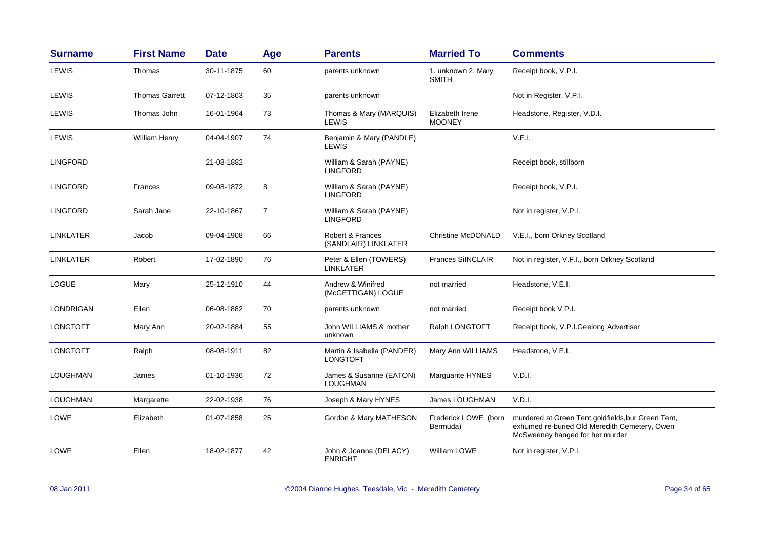| <b>Surname</b>   | <b>First Name</b>     | <b>Date</b> | Age | <b>Parents</b>                                | <b>Married To</b>                  | <b>Comments</b>                                                                                                                        |
|------------------|-----------------------|-------------|-----|-----------------------------------------------|------------------------------------|----------------------------------------------------------------------------------------------------------------------------------------|
| LEWIS            | Thomas                | 30-11-1875  | 60  | parents unknown                               | 1. unknown 2. Mary<br><b>SMITH</b> | Receipt book, V.P.I.                                                                                                                   |
| LEWIS            | <b>Thomas Garrett</b> | 07-12-1863  | 35  | parents unknown                               |                                    | Not in Register, V.P.I.                                                                                                                |
| LEWIS            | Thomas John           | 16-01-1964  | 73  | Thomas & Mary (MARQUIS)<br><b>LEWIS</b>       | Elizabeth Irene<br><b>MOONEY</b>   | Headstone, Register, V.D.I.                                                                                                            |
| <b>LEWIS</b>     | William Henry         | 04-04-1907  | 74  | Benjamin & Mary (PANDLE)<br>LEWIS             |                                    | V.E.I.                                                                                                                                 |
| <b>LINGFORD</b>  |                       | 21-08-1882  |     | William & Sarah (PAYNE)<br><b>LINGFORD</b>    |                                    | Receipt book, stillborn                                                                                                                |
| <b>LINGFORD</b>  | Frances               | 09-08-1872  | 8   | William & Sarah (PAYNE)<br><b>LINGFORD</b>    |                                    | Receipt book, V.P.I.                                                                                                                   |
| <b>LINGFORD</b>  | Sarah Jane            | 22-10-1867  | 7   | William & Sarah (PAYNE)<br><b>LINGFORD</b>    |                                    | Not in register, V.P.I.                                                                                                                |
| <b>LINKLATER</b> | Jacob                 | 09-04-1908  | 66  | Robert & Frances<br>(SANDLAIR) LINKLATER      | Christine McDONALD                 | V.E.I., born Orkney Scotland                                                                                                           |
| <b>LINKLATER</b> | Robert                | 17-02-1890  | 76  | Peter & Ellen (TOWERS)<br><b>LINKLATER</b>    | <b>Frances SilNCLAIR</b>           | Not in register, V.F.I., born Orkney Scotland                                                                                          |
| <b>LOGUE</b>     | Mary                  | 25-12-1910  | 44  | Andrew & Winifred<br>(McGETTIGAN) LOGUE       | not married                        | Headstone, V.E.I.                                                                                                                      |
| <b>LONDRIGAN</b> | Ellen                 | 06-08-1882  | 70  | parents unknown                               | not married                        | Receipt book V.P.I.                                                                                                                    |
| <b>LONGTOFT</b>  | Mary Ann              | 20-02-1884  | 55  | John WILLIAMS & mother<br>unknown             | Ralph LONGTOFT                     | Receipt book, V.P.I.Geelong Advertiser                                                                                                 |
| <b>LONGTOFT</b>  | Ralph                 | 08-08-1911  | 82  | Martin & Isabella (PANDER)<br><b>LONGTOFT</b> | Mary Ann WILLIAMS                  | Headstone, V.E.I.                                                                                                                      |
| LOUGHMAN         | James                 | 01-10-1936  | 72  | James & Susanne (EATON)<br><b>LOUGHMAN</b>    | Marguarite HYNES                   | V.D.I.                                                                                                                                 |
| LOUGHMAN         | Margarette            | 22-02-1938  | 76  | Joseph & Mary HYNES                           | James LOUGHMAN                     | V.D.I.                                                                                                                                 |
| LOWE             | Elizabeth             | 01-07-1858  | 25  | Gordon & Mary MATHESON                        | Frederick LOWE (born<br>Bermuda)   | murdered at Green Tent goldfields, bur Green Tent,<br>exhumed re-buried Old Meredith Cemetery, Owen<br>McSweeney hanged for her murder |
| LOWE             | Ellen                 | 18-02-1877  | 42  | John & Joanna (DELACY)<br><b>ENRIGHT</b>      | <b>William LOWE</b>                | Not in register, V.P.I.                                                                                                                |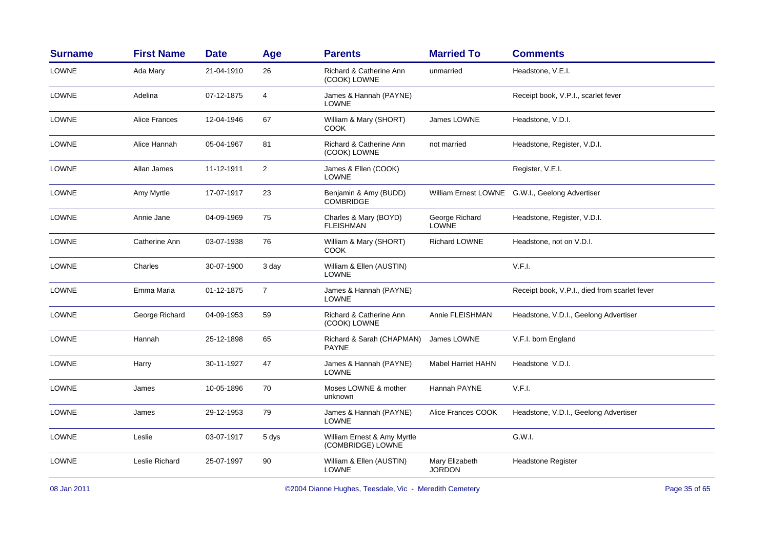| <b>Surname</b> | <b>First Name</b>    | <b>Date</b> | Age            | <b>Parents</b>                                   | <b>Married To</b>               | <b>Comments</b>                                 |
|----------------|----------------------|-------------|----------------|--------------------------------------------------|---------------------------------|-------------------------------------------------|
| <b>LOWNE</b>   | Ada Mary             | 21-04-1910  | 26             | Richard & Catherine Ann<br>(COOK) LOWNE          | unmarried                       | Headstone, V.E.I.                               |
| <b>LOWNE</b>   | Adelina              | 07-12-1875  | $\overline{4}$ | James & Hannah (PAYNE)<br>LOWNE                  |                                 | Receipt book, V.P.I., scarlet fever             |
| <b>LOWNE</b>   | <b>Alice Frances</b> | 12-04-1946  | 67             | William & Mary (SHORT)<br>COOK                   | James LOWNE                     | Headstone, V.D.I.                               |
| LOWNE          | Alice Hannah         | 05-04-1967  | 81             | Richard & Catherine Ann<br>(COOK) LOWNE          | not married                     | Headstone, Register, V.D.I.                     |
| <b>LOWNE</b>   | Allan James          | 11-12-1911  | 2              | James & Ellen (COOK)<br><b>LOWNE</b>             |                                 | Register, V.E.I.                                |
| <b>LOWNE</b>   | Amy Myrtle           | 17-07-1917  | 23             | Benjamin & Amy (BUDD)<br><b>COMBRIDGE</b>        |                                 | William Ernest LOWNE G.W.I., Geelong Advertiser |
| <b>LOWNE</b>   | Annie Jane           | 04-09-1969  | 75             | Charles & Mary (BOYD)<br><b>FLEISHMAN</b>        | George Richard<br><b>LOWNE</b>  | Headstone, Register, V.D.I.                     |
| <b>LOWNE</b>   | Catherine Ann        | 03-07-1938  | 76             | William & Mary (SHORT)<br>COOK                   | <b>Richard LOWNE</b>            | Headstone, not on V.D.I.                        |
| LOWNE          | Charles              | 30-07-1900  | 3 day          | William & Ellen (AUSTIN)<br><b>LOWNE</b>         |                                 | V.F.I.                                          |
| <b>LOWNE</b>   | Emma Maria           | 01-12-1875  | $\overline{7}$ | James & Hannah (PAYNE)<br><b>LOWNE</b>           |                                 | Receipt book, V.P.I., died from scarlet fever   |
| <b>LOWNE</b>   | George Richard       | 04-09-1953  | 59             | Richard & Catherine Ann<br>(COOK) LOWNE          | Annie FLEISHMAN                 | Headstone, V.D.I., Geelong Advertiser           |
| <b>LOWNE</b>   | Hannah               | 25-12-1898  | 65             | Richard & Sarah (CHAPMAN)<br><b>PAYNE</b>        | James LOWNE                     | V.F.I. born England                             |
| <b>LOWNE</b>   | Harry                | 30-11-1927  | 47             | James & Hannah (PAYNE)<br><b>LOWNE</b>           | <b>Mabel Harriet HAHN</b>       | Headstone V.D.I.                                |
| LOWNE          | James                | 10-05-1896  | 70             | Moses LOWNE & mother<br>unknown                  | Hannah PAYNE                    | V.F.I.                                          |
| LOWNE          | James                | 29-12-1953  | 79             | James & Hannah (PAYNE)<br><b>LOWNE</b>           | Alice Frances COOK              | Headstone, V.D.I., Geelong Advertiser           |
| <b>LOWNE</b>   | Leslie               | 03-07-1917  | 5 dys          | William Ernest & Amy Myrtle<br>(COMBRIDGE) LOWNE |                                 | G.W.I.                                          |
| <b>LOWNE</b>   | Leslie Richard       | 25-07-1997  | 90             | William & Ellen (AUSTIN)<br><b>LOWNE</b>         | Mary Elizabeth<br><b>JORDON</b> | <b>Headstone Register</b>                       |
|                |                      |             |                |                                                  |                                 |                                                 |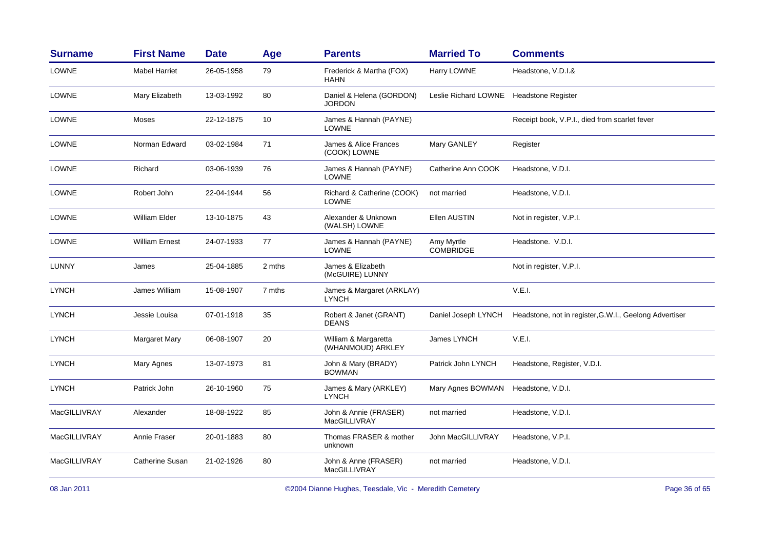| <b>Surname</b>      | <b>First Name</b>     | <b>Date</b> | Age    | <b>Parents</b>                             | <b>Married To</b>              | <b>Comments</b>                                        |
|---------------------|-----------------------|-------------|--------|--------------------------------------------|--------------------------------|--------------------------------------------------------|
| LOWNE               | <b>Mabel Harriet</b>  | 26-05-1958  | 79     | Frederick & Martha (FOX)<br><b>HAHN</b>    | Harry LOWNE                    | Headstone, V.D.I.&                                     |
| LOWNE               | Mary Elizabeth        | 13-03-1992  | 80     | Daniel & Helena (GORDON)<br><b>JORDON</b>  | Leslie Richard LOWNE           | <b>Headstone Register</b>                              |
| LOWNE               | Moses                 | 22-12-1875  | 10     | James & Hannah (PAYNE)<br><b>LOWNE</b>     |                                | Receipt book, V.P.I., died from scarlet fever          |
| LOWNE               | Norman Edward         | 03-02-1984  | 71     | James & Alice Frances<br>(COOK) LOWNE      | Mary GANLEY                    | Register                                               |
| <b>LOWNE</b>        | Richard               | 03-06-1939  | 76     | James & Hannah (PAYNE)<br>LOWNE            | Catherine Ann COOK             | Headstone, V.D.I.                                      |
| LOWNE               | Robert John           | 22-04-1944  | 56     | Richard & Catherine (COOK)<br><b>LOWNE</b> | not married                    | Headstone, V.D.I.                                      |
| <b>LOWNE</b>        | William Elder         | 13-10-1875  | 43     | Alexander & Unknown<br>(WALSH) LOWNE       | Ellen AUSTIN                   | Not in register, V.P.I.                                |
| LOWNE               | <b>William Ernest</b> | 24-07-1933  | 77     | James & Hannah (PAYNE)<br><b>LOWNE</b>     | Amy Myrtle<br><b>COMBRIDGE</b> | Headstone. V.D.I.                                      |
| LUNNY               | James                 | 25-04-1885  | 2 mths | James & Elizabeth<br>(McGUIRE) LUNNY       |                                | Not in register, V.P.I.                                |
| <b>LYNCH</b>        | James William         | 15-08-1907  | 7 mths | James & Margaret (ARKLAY)<br><b>LYNCH</b>  |                                | V.E.I.                                                 |
| <b>LYNCH</b>        | Jessie Louisa         | 07-01-1918  | 35     | Robert & Janet (GRANT)<br><b>DEANS</b>     | Daniel Joseph LYNCH            | Headstone, not in register, G.W.I., Geelong Advertiser |
| <b>LYNCH</b>        | Margaret Mary         | 06-08-1907  | 20     | William & Margaretta<br>(WHANMOUD) ARKLEY  | James LYNCH                    | V.E.I.                                                 |
| <b>LYNCH</b>        | <b>Mary Agnes</b>     | 13-07-1973  | 81     | John & Mary (BRADY)<br><b>BOWMAN</b>       | Patrick John LYNCH             | Headstone, Register, V.D.I.                            |
| <b>LYNCH</b>        | Patrick John          | 26-10-1960  | 75     | James & Mary (ARKLEY)<br><b>LYNCH</b>      | Mary Agnes BOWMAN              | Headstone, V.D.I.                                      |
| MacGILLIVRAY        | Alexander             | 18-08-1922  | 85     | John & Annie (FRASER)<br>MacGILLIVRAY      | not married                    | Headstone, V.D.I.                                      |
| MacGILLIVRAY        | Annie Fraser          | 20-01-1883  | 80     | Thomas FRASER & mother<br>unknown          | John MacGILLIVRAY              | Headstone, V.P.I.                                      |
| <b>MacGILLIVRAY</b> | Catherine Susan       | 21-02-1926  | 80     | John & Anne (FRASER)<br>MacGILLIVRAY       | not married                    | Headstone, V.D.I.                                      |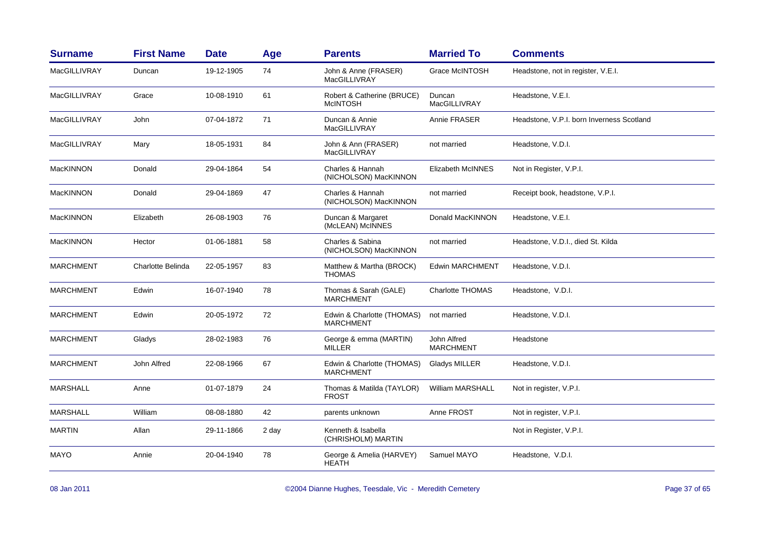| <b>Surname</b>   | <b>First Name</b> | <b>Date</b> | Age   | <b>Parents</b>                                 | <b>Married To</b>               | <b>Comments</b>                           |
|------------------|-------------------|-------------|-------|------------------------------------------------|---------------------------------|-------------------------------------------|
| MacGILLIVRAY     | Duncan            | 19-12-1905  | 74    | John & Anne (FRASER)<br>MacGILLIVRAY           | <b>Grace McINTOSH</b>           | Headstone, not in register, V.E.I.        |
| MacGILLIVRAY     | Grace             | 10-08-1910  | 61    | Robert & Catherine (BRUCE)<br><b>McINTOSH</b>  | Duncan<br>MacGILLIVRAY          | Headstone, V.E.I.                         |
| MacGILLIVRAY     | John              | 07-04-1872  | 71    | Duncan & Annie<br>MacGILLIVRAY                 | Annie FRASER                    | Headstone, V.P.I. born Inverness Scotland |
| MacGILLIVRAY     | Mary              | 18-05-1931  | 84    | John & Ann (FRASER)<br>MacGILLIVRAY            | not married                     | Headstone, V.D.I.                         |
| MacKINNON        | Donald            | 29-04-1864  | 54    | Charles & Hannah<br>(NICHOLSON) MacKINNON      | Elizabeth McINNES               | Not in Register, V.P.I.                   |
| <b>MacKINNON</b> | Donald            | 29-04-1869  | 47    | Charles & Hannah<br>(NICHOLSON) MacKINNON      | not married                     | Receipt book, headstone, V.P.I.           |
| MacKINNON        | Elizabeth         | 26-08-1903  | 76    | Duncan & Margaret<br>(McLEAN) McINNES          | Donald MacKINNON                | Headstone, V.E.I.                         |
| MacKINNON        | Hector            | 01-06-1881  | 58    | Charles & Sabina<br>(NICHOLSON) MacKINNON      | not married                     | Headstone, V.D.I., died St. Kilda         |
| <b>MARCHMENT</b> | Charlotte Belinda | 22-05-1957  | 83    | Matthew & Martha (BROCK)<br><b>THOMAS</b>      | <b>Edwin MARCHMENT</b>          | Headstone, V.D.I.                         |
| <b>MARCHMENT</b> | Edwin             | 16-07-1940  | 78    | Thomas & Sarah (GALE)<br><b>MARCHMENT</b>      | <b>Charlotte THOMAS</b>         | Headstone, V.D.I.                         |
| <b>MARCHMENT</b> | Edwin             | 20-05-1972  | 72    | Edwin & Charlotte (THOMAS)<br><b>MARCHMENT</b> | not married                     | Headstone, V.D.I.                         |
| <b>MARCHMENT</b> | Gladys            | 28-02-1983  | 76    | George & emma (MARTIN)<br><b>MILLER</b>        | John Alfred<br><b>MARCHMENT</b> | Headstone                                 |
| <b>MARCHMENT</b> | John Alfred       | 22-08-1966  | 67    | Edwin & Charlotte (THOMAS)<br><b>MARCHMENT</b> | Gladys MILLER                   | Headstone, V.D.I.                         |
| <b>MARSHALL</b>  | Anne              | 01-07-1879  | 24    | Thomas & Matilda (TAYLOR)<br><b>FROST</b>      | <b>William MARSHALL</b>         | Not in register, V.P.I.                   |
| <b>MARSHALL</b>  | William           | 08-08-1880  | 42    | parents unknown                                | Anne FROST                      | Not in register, V.P.I.                   |
| <b>MARTIN</b>    | Allan             | 29-11-1866  | 2 day | Kenneth & Isabella<br>(CHRISHOLM) MARTIN       |                                 | Not in Register, V.P.I.                   |
| <b>MAYO</b>      | Annie             | 20-04-1940  | 78    | George & Amelia (HARVEY)<br><b>HEATH</b>       | Samuel MAYO                     | Headstone, V.D.I.                         |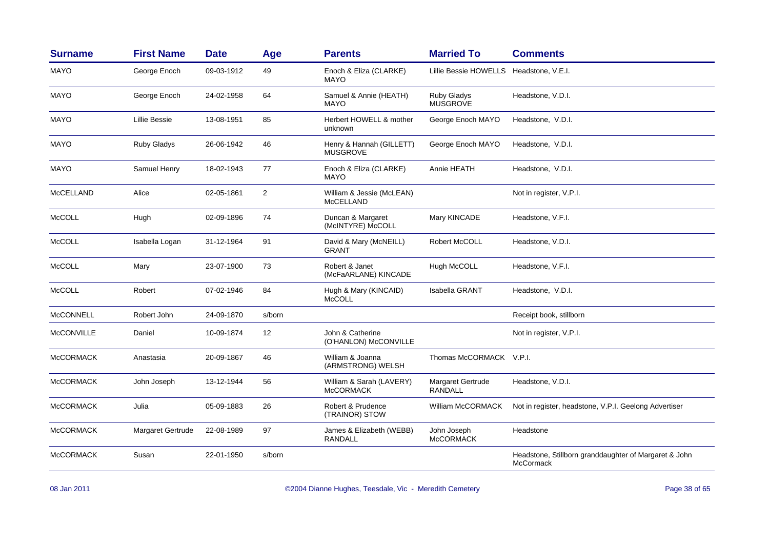| <b>Surname</b>    | <b>First Name</b> | <b>Date</b> | Age               | <b>Parents</b>                                | <b>Married To</b>                   | <b>Comments</b>                                                           |
|-------------------|-------------------|-------------|-------------------|-----------------------------------------------|-------------------------------------|---------------------------------------------------------------------------|
| <b>MAYO</b>       | George Enoch      | 09-03-1912  | 49                | Enoch & Eliza (CLARKE)<br><b>MAYO</b>         | <b>Lillie Bessie HOWELLS</b>        | Headstone, V.E.I.                                                         |
| MAYO              | George Enoch      | 24-02-1958  | 64                | Samuel & Annie (HEATH)<br><b>MAYO</b>         | Ruby Gladys<br><b>MUSGROVE</b>      | Headstone, V.D.I.                                                         |
| <b>MAYO</b>       | Lillie Bessie     | 13-08-1951  | 85                | Herbert HOWELL & mother<br>unknown            | George Enoch MAYO                   | Headstone, V.D.I.                                                         |
| <b>MAYO</b>       | Ruby Gladys       | 26-06-1942  | 46                | Henry & Hannah (GILLETT)<br><b>MUSGROVE</b>   | George Enoch MAYO                   | Headstone, V.D.I.                                                         |
| <b>MAYO</b>       | Samuel Henry      | 18-02-1943  | 77                | Enoch & Eliza (CLARKE)<br><b>MAYO</b>         | Annie HEATH                         | Headstone, V.D.I.                                                         |
| <b>McCELLAND</b>  | Alice             | 02-05-1861  | 2                 | William & Jessie (McLEAN)<br><b>McCELLAND</b> |                                     | Not in register, V.P.I.                                                   |
| McCOLL            | Hugh              | 02-09-1896  | 74                | Duncan & Margaret<br>(McINTYRE) McCOLL        | Mary KINCADE                        | Headstone, V.F.I.                                                         |
| <b>McCOLL</b>     | Isabella Logan    | 31-12-1964  | 91                | David & Mary (McNEILL)<br><b>GRANT</b>        | Robert McCOLL                       | Headstone, V.D.I.                                                         |
| McCOLL            | Mary              | 23-07-1900  | 73                | Robert & Janet<br>(McFaARLANE) KINCADE        | Hugh McCOLL                         | Headstone, V.F.I.                                                         |
| <b>McCOLL</b>     | Robert            | 07-02-1946  | 84                | Hugh & Mary (KINCAID)<br><b>McCOLL</b>        | <b>Isabella GRANT</b>               | Headstone, V.D.I.                                                         |
| <b>McCONNELL</b>  | Robert John       | 24-09-1870  | s/born            |                                               |                                     | Receipt book, stillborn                                                   |
| <b>McCONVILLE</b> | Daniel            | 10-09-1874  | $12 \overline{ }$ | John & Catherine<br>(O'HANLON) McCONVILLE     |                                     | Not in register, V.P.I.                                                   |
| <b>McCORMACK</b>  | Anastasia         | 20-09-1867  | 46                | William & Joanna<br>(ARMSTRONG) WELSH         | Thomas McCORMACK V.P.I.             |                                                                           |
| <b>McCORMACK</b>  | John Joseph       | 13-12-1944  | 56                | William & Sarah (LAVERY)<br><b>McCORMACK</b>  | Margaret Gertrude<br><b>RANDALL</b> | Headstone, V.D.I.                                                         |
| <b>McCORMACK</b>  | Julia             | 05-09-1883  | 26                | Robert & Prudence<br>(TRAINOR) STOW           | William McCORMACK                   | Not in register, headstone, V.P.I. Geelong Advertiser                     |
| <b>McCORMACK</b>  | Margaret Gertrude | 22-08-1989  | 97                | James & Elizabeth (WEBB)<br><b>RANDALL</b>    | John Joseph<br><b>McCORMACK</b>     | Headstone                                                                 |
| <b>McCORMACK</b>  | Susan             | 22-01-1950  | s/born            |                                               |                                     | Headstone, Stillborn granddaughter of Margaret & John<br><b>McCormack</b> |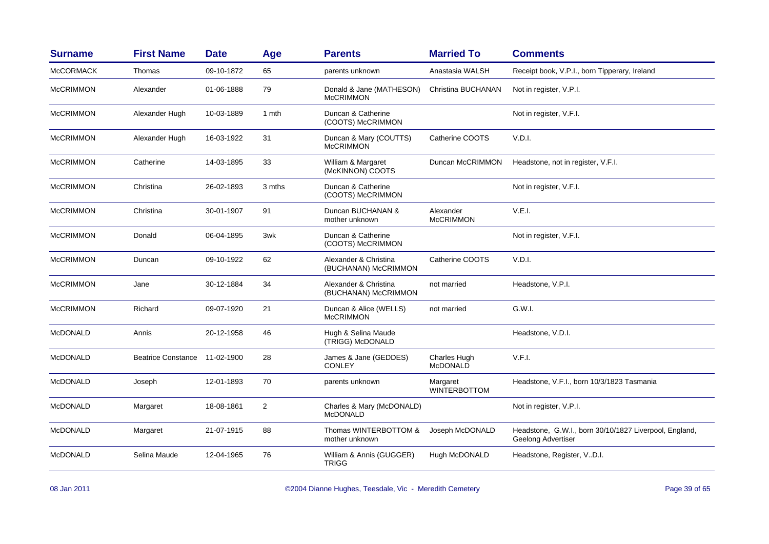| <b>Surname</b>   | <b>First Name</b>         | <b>Date</b> | Age            | <b>Parents</b>                                | <b>Married To</b>               | <b>Comments</b>                                                              |
|------------------|---------------------------|-------------|----------------|-----------------------------------------------|---------------------------------|------------------------------------------------------------------------------|
| <b>McCORMACK</b> | Thomas                    | 09-10-1872  | 65             | parents unknown                               | Anastasia WALSH                 | Receipt book, V.P.I., born Tipperary, Ireland                                |
| <b>McCRIMMON</b> | Alexander                 | 01-06-1888  | 79             | Donald & Jane (MATHESON)<br><b>McCRIMMON</b>  | Christina BUCHANAN              | Not in register, V.P.I.                                                      |
| <b>McCRIMMON</b> | Alexander Hugh            | 10-03-1889  | 1 mth          | Duncan & Catherine<br>(COOTS) McCRIMMON       |                                 | Not in register, V.F.I.                                                      |
| <b>McCRIMMON</b> | Alexander Hugh            | 16-03-1922  | 31             | Duncan & Mary (COUTTS)<br><b>McCRIMMON</b>    | Catherine COOTS                 | V.D.I.                                                                       |
| <b>McCRIMMON</b> | Catherine                 | 14-03-1895  | 33             | William & Margaret<br>(McKINNON) COOTS        | Duncan McCRIMMON                | Headstone, not in register, V.F.I.                                           |
| <b>McCRIMMON</b> | Christina                 | 26-02-1893  | 3 mths         | Duncan & Catherine<br>(COOTS) McCRIMMON       |                                 | Not in register, V.F.I.                                                      |
| <b>McCRIMMON</b> | Christina                 | 30-01-1907  | 91             | Duncan BUCHANAN &<br>mother unknown           | Alexander<br><b>McCRIMMON</b>   | V.E.I.                                                                       |
| <b>McCRIMMON</b> | Donald                    | 06-04-1895  | 3wk            | Duncan & Catherine<br>(COOTS) McCRIMMON       |                                 | Not in register, V.F.I.                                                      |
| <b>McCRIMMON</b> | Duncan                    | 09-10-1922  | 62             | Alexander & Christina<br>(BUCHANAN) McCRIMMON | Catherine COOTS                 | V.D.I.                                                                       |
| <b>McCRIMMON</b> | Jane                      | 30-12-1884  | 34             | Alexander & Christina<br>(BUCHANAN) McCRIMMON | not married                     | Headstone, V.P.I.                                                            |
| <b>McCRIMMON</b> | Richard                   | 09-07-1920  | 21             | Duncan & Alice (WELLS)<br><b>McCRIMMON</b>    | not married                     | G.W.I.                                                                       |
| <b>McDONALD</b>  | Annis                     | 20-12-1958  | 46             | Hugh & Selina Maude<br>(TRIGG) McDONALD       |                                 | Headstone, V.D.I.                                                            |
| <b>McDONALD</b>  | <b>Beatrice Constance</b> | 11-02-1900  | 28             | James & Jane (GEDDES)<br><b>CONLEY</b>        | Charles Hugh<br><b>McDONALD</b> | V.F.I.                                                                       |
| <b>McDONALD</b>  | Joseph                    | 12-01-1893  | 70             | parents unknown                               | Margaret<br><b>WINTERBOTTOM</b> | Headstone, V.F.I., born 10/3/1823 Tasmania                                   |
| <b>McDONALD</b>  | Margaret                  | 18-08-1861  | $\overline{2}$ | Charles & Mary (McDONALD)<br><b>McDONALD</b>  |                                 | Not in register, V.P.I.                                                      |
| <b>McDONALD</b>  | Margaret                  | 21-07-1915  | 88             | Thomas WINTERBOTTOM &<br>mother unknown       | Joseph McDONALD                 | Headstone, G.W.I., born 30/10/1827 Liverpool, England,<br>Geelong Advertiser |
| <b>McDONALD</b>  | Selina Maude              | 12-04-1965  | 76             | William & Annis (GUGGER)<br><b>TRIGG</b>      | Hugh McDONALD                   | Headstone, Register, V.D.I.                                                  |
|                  |                           |             |                |                                               |                                 |                                                                              |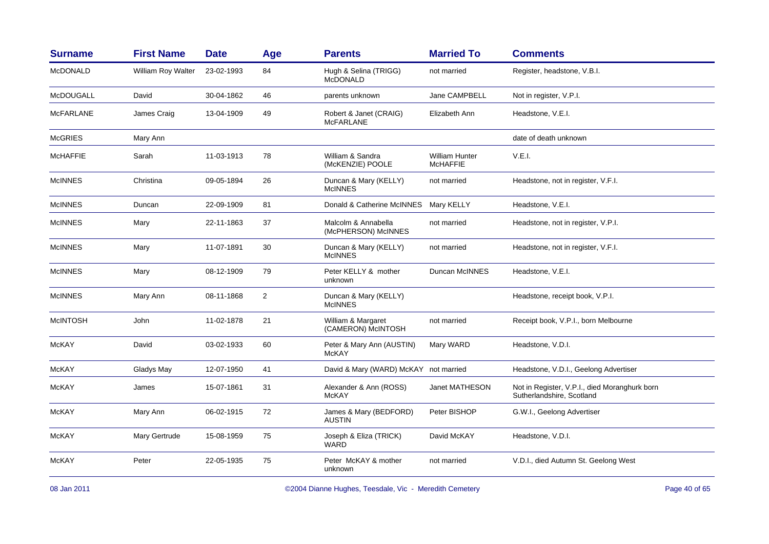| <b>Surname</b>   | <b>First Name</b>  | <b>Date</b> | Age            | <b>Parents</b>                             | <b>Married To</b>                        | <b>Comments</b>                                                            |
|------------------|--------------------|-------------|----------------|--------------------------------------------|------------------------------------------|----------------------------------------------------------------------------|
| <b>McDONALD</b>  | William Roy Walter | 23-02-1993  | 84             | Hugh & Selina (TRIGG)<br><b>McDONALD</b>   | not married                              | Register, headstone, V.B.I.                                                |
| <b>McDOUGALL</b> | David              | 30-04-1862  | 46             | parents unknown                            | Jane CAMPBELL                            | Not in register, V.P.I.                                                    |
| <b>MCFARLANE</b> | James Craig        | 13-04-1909  | 49             | Robert & Janet (CRAIG)<br><b>McFARLANE</b> | Elizabeth Ann                            | Headstone, V.E.I.                                                          |
| <b>McGRIES</b>   | Mary Ann           |             |                |                                            |                                          | date of death unknown                                                      |
| <b>McHAFFIE</b>  | Sarah              | 11-03-1913  | 78             | William & Sandra<br>(McKENZIE) POOLE       | <b>William Hunter</b><br><b>McHAFFIE</b> | V.E.I.                                                                     |
| <b>McINNES</b>   | Christina          | 09-05-1894  | 26             | Duncan & Mary (KELLY)<br><b>McINNES</b>    | not married                              | Headstone, not in register, V.F.I.                                         |
| <b>McINNES</b>   | Duncan             | 22-09-1909  | 81             | Donald & Catherine McINNES                 | <b>Mary KELLY</b>                        | Headstone, V.E.I.                                                          |
| <b>McINNES</b>   | Mary               | 22-11-1863  | 37             | Malcolm & Annabella<br>(McPHERSON) McINNES | not married                              | Headstone, not in register, V.P.I.                                         |
| <b>McINNES</b>   | Mary               | 11-07-1891  | 30             | Duncan & Mary (KELLY)<br><b>McINNES</b>    | not married                              | Headstone, not in register, V.F.I.                                         |
| <b>McINNES</b>   | Mary               | 08-12-1909  | 79             | Peter KELLY & mother<br>unknown            | Duncan McINNES                           | Headstone, V.E.I.                                                          |
| <b>McINNES</b>   | Mary Ann           | 08-11-1868  | $\overline{2}$ | Duncan & Mary (KELLY)<br><b>McINNES</b>    |                                          | Headstone, receipt book, V.P.I.                                            |
| <b>McINTOSH</b>  | John               | 11-02-1878  | 21             | William & Margaret<br>(CAMERON) McINTOSH   | not married                              | Receipt book, V.P.I., born Melbourne                                       |
| McKAY            | David              | 03-02-1933  | 60             | Peter & Mary Ann (AUSTIN)<br><b>McKAY</b>  | Mary WARD                                | Headstone, V.D.I.                                                          |
| <b>McKAY</b>     | Gladys May         | 12-07-1950  | 41             | David & Mary (WARD) McKAY not married      |                                          | Headstone, V.D.I., Geelong Advertiser                                      |
| McKAY            | James              | 15-07-1861  | 31             | Alexander & Ann (ROSS)<br><b>McKAY</b>     | Janet MATHESON                           | Not in Register, V.P.I., died Moranghurk born<br>Sutherlandshire, Scotland |
| <b>McKAY</b>     | Mary Ann           | 06-02-1915  | 72             | James & Mary (BEDFORD)<br><b>AUSTIN</b>    | Peter BISHOP                             | G.W.I., Geelong Advertiser                                                 |
| McKAY            | Mary Gertrude      | 15-08-1959  | 75             | Joseph & Eliza (TRICK)<br><b>WARD</b>      | David McKAY                              | Headstone, V.D.I.                                                          |
| <b>McKAY</b>     | Peter              | 22-05-1935  | 75             | Peter McKAY & mother<br>unknown            | not married                              | V.D.I., died Autumn St. Geelong West                                       |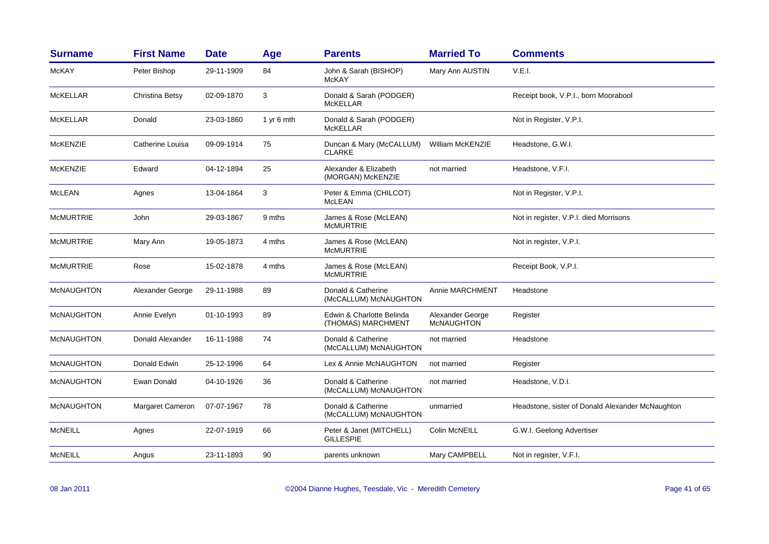| <b>Surname</b>    | <b>First Name</b> | <b>Date</b> | Age        | <b>Parents</b>                                  | <b>Married To</b>                     | <b>Comments</b>                                  |
|-------------------|-------------------|-------------|------------|-------------------------------------------------|---------------------------------------|--------------------------------------------------|
| McKAY             | Peter Bishop      | 29-11-1909  | 84         | John & Sarah (BISHOP)<br><b>McKAY</b>           | Mary Ann AUSTIN                       | V.E.I.                                           |
| McKELLAR          | Christina Betsy   | 02-09-1870  | 3          | Donald & Sarah (PODGER)<br><b>McKELLAR</b>      |                                       | Receipt book, V.P.I., born Moorabool             |
| McKELLAR          | Donald            | 23-03-1860  | 1 yr 6 mth | Donald & Sarah (PODGER)<br><b>McKELLAR</b>      |                                       | Not in Register, V.P.I.                          |
| <b>McKENZIE</b>   | Catherine Louisa  | 09-09-1914  | 75         | Duncan & Mary (McCALLUM)<br><b>CLARKE</b>       | <b>William McKENZIE</b>               | Headstone, G.W.I.                                |
| <b>McKENZIE</b>   | Edward            | 04-12-1894  | 25         | Alexander & Elizabeth<br>(MORGAN) McKENZIE      | not married                           | Headstone, V.F.I.                                |
| McLEAN            | Agnes             | 13-04-1864  | 3          | Peter & Emma (CHILCOT)<br><b>McLEAN</b>         |                                       | Not in Register, V.P.I.                          |
| <b>McMURTRIE</b>  | John              | 29-03-1867  | 9 mths     | James & Rose (McLEAN)<br><b>MCMURTRIE</b>       |                                       | Not in register, V.P.I. died Morrisons           |
| <b>McMURTRIE</b>  | Mary Ann          | 19-05-1873  | 4 mths     | James & Rose (McLEAN)<br><b>McMURTRIE</b>       |                                       | Not in register, V.P.I.                          |
| <b>McMURTRIE</b>  | Rose              | 15-02-1878  | 4 mths     | James & Rose (McLEAN)<br><b>McMURTRIE</b>       |                                       | Receipt Book, V.P.I.                             |
| <b>McNAUGHTON</b> | Alexander George  | 29-11-1988  | 89         | Donald & Catherine<br>(McCALLUM) McNAUGHTON     | Annie MARCHMENT                       | Headstone                                        |
| <b>McNAUGHTON</b> | Annie Evelyn      | 01-10-1993  | 89         | Edwin & Charlotte Belinda<br>(THOMAS) MARCHMENT | Alexander George<br><b>McNAUGHTON</b> | Register                                         |
| <b>McNAUGHTON</b> | Donald Alexander  | 16-11-1988  | 74         | Donald & Catherine<br>(McCALLUM) McNAUGHTON     | not married                           | Headstone                                        |
| <b>McNAUGHTON</b> | Donald Edwin      | 25-12-1996  | 64         | Lex & Annie McNAUGHTON                          | not married                           | Register                                         |
| <b>McNAUGHTON</b> | Ewan Donald       | 04-10-1926  | 36         | Donald & Catherine<br>(McCALLUM) McNAUGHTON     | not married                           | Headstone, V.D.I.                                |
| <b>McNAUGHTON</b> | Margaret Cameron  | 07-07-1967  | 78         | Donald & Catherine<br>(McCALLUM) McNAUGHTON     | unmarried                             | Headstone, sister of Donald Alexander McNaughton |
| <b>McNEILL</b>    | Agnes             | 22-07-1919  | 66         | Peter & Janet (MITCHELL)<br><b>GILLESPIE</b>    | Colin McNEILL                         | G.W.I. Geelong Advertiser                        |
| <b>MCNEILL</b>    | Angus             | 23-11-1893  | 90         | parents unknown                                 | Mary CAMPBELL                         | Not in register, V.F.I.                          |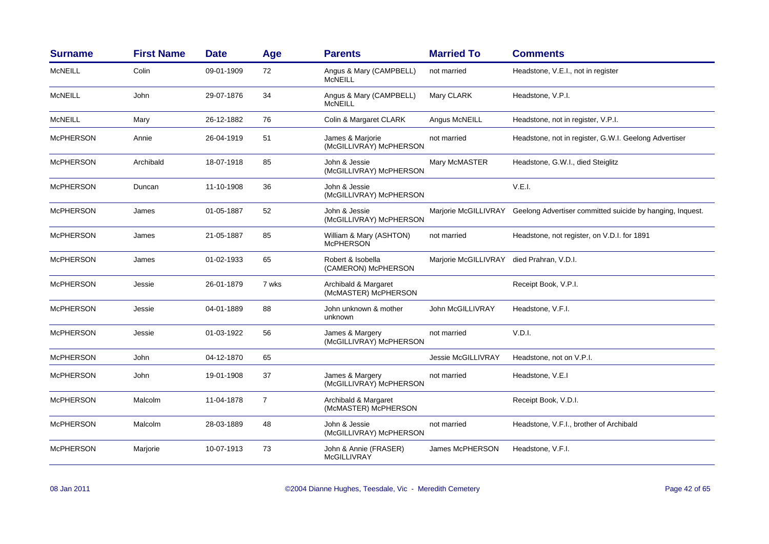| <b>Surname</b>   | <b>First Name</b> | <b>Date</b> | Age            | <b>Parents</b>                               | <b>Married To</b>    | <b>Comments</b>                                                                |
|------------------|-------------------|-------------|----------------|----------------------------------------------|----------------------|--------------------------------------------------------------------------------|
| <b>McNEILL</b>   | Colin             | 09-01-1909  | 72             | Angus & Mary (CAMPBELL)<br><b>McNEILL</b>    | not married          | Headstone, V.E.I., not in register                                             |
| <b>McNEILL</b>   | John              | 29-07-1876  | 34             | Angus & Mary (CAMPBELL)<br><b>McNEILL</b>    | Mary CLARK           | Headstone, V.P.I.                                                              |
| McNEILL          | Mary              | 26-12-1882  | 76             | Colin & Margaret CLARK                       | Angus McNEILL        | Headstone, not in register, V.P.I.                                             |
| <b>McPHERSON</b> | Annie             | 26-04-1919  | 51             | James & Marjorie<br>(McGILLIVRAY) McPHERSON  | not married          | Headstone, not in register, G.W.I. Geelong Advertiser                          |
| <b>McPHERSON</b> | Archibald         | 18-07-1918  | 85             | John & Jessie<br>(McGILLIVRAY) McPHERSON     | Mary McMASTER        | Headstone, G.W.I., died Steiglitz                                              |
| <b>McPHERSON</b> | Duncan            | 11-10-1908  | 36             | John & Jessie<br>(McGILLIVRAY) McPHERSON     |                      | V.E.I.                                                                         |
| <b>McPHERSON</b> | James             | 01-05-1887  | 52             | John & Jessie<br>(McGILLIVRAY) McPHERSON     |                      | Marjorie McGILLIVRAY Geelong Advertiser committed suicide by hanging, Inquest. |
| <b>McPHERSON</b> | James             | 21-05-1887  | 85             | William & Mary (ASHTON)<br><b>McPHERSON</b>  | not married          | Headstone, not register, on V.D.I. for 1891                                    |
| <b>McPHERSON</b> | James             | 01-02-1933  | 65             | Robert & Isobella<br>(CAMERON) McPHERSON     | Marjorie McGILLIVRAY | died Prahran, V.D.I.                                                           |
| <b>McPHERSON</b> | Jessie            | 26-01-1879  | 7 wks          | Archibald & Margaret<br>(McMASTER) McPHERSON |                      | Receipt Book, V.P.I.                                                           |
| <b>McPHERSON</b> | Jessie            | 04-01-1889  | 88             | John unknown & mother<br>unknown             | John McGILLIVRAY     | Headstone, V.F.I.                                                              |
| <b>McPHERSON</b> | Jessie            | 01-03-1922  | 56             | James & Margery<br>(McGILLIVRAY) McPHERSON   | not married          | V.D.I.                                                                         |
| <b>McPHERSON</b> | John              | 04-12-1870  | 65             |                                              | Jessie McGILLIVRAY   | Headstone, not on V.P.I.                                                       |
| <b>McPHERSON</b> | John              | 19-01-1908  | 37             | James & Margery<br>(McGILLIVRAY) McPHERSON   | not married          | Headstone, V.E.I                                                               |
| <b>McPHERSON</b> | Malcolm           | 11-04-1878  | $\overline{7}$ | Archibald & Margaret<br>(McMASTER) McPHERSON |                      | Receipt Book, V.D.I.                                                           |
| <b>McPHERSON</b> | Malcolm           | 28-03-1889  | 48             | John & Jessie<br>(McGILLIVRAY) McPHERSON     | not married          | Headstone, V.F.I., brother of Archibald                                        |
| <b>McPHERSON</b> | Marjorie          | 10-07-1913  | 73             | John & Annie (FRASER)<br><b>McGILLIVRAY</b>  | James McPHERSON      | Headstone, V.F.I.                                                              |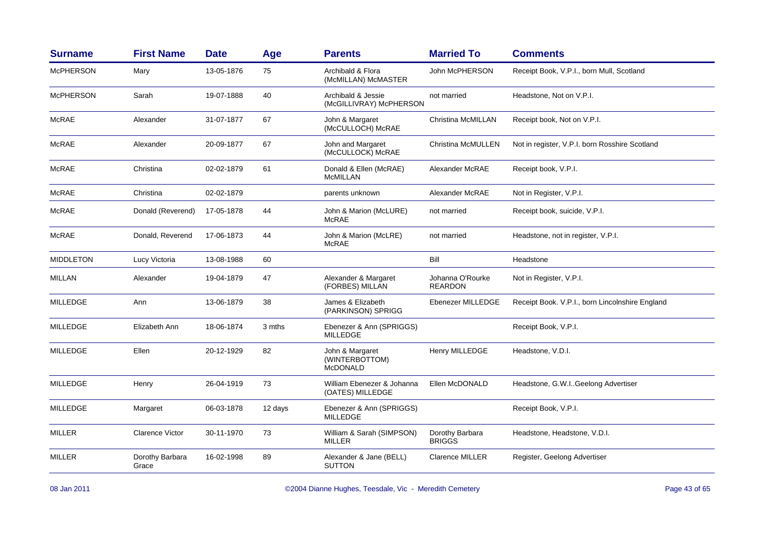| <b>Surname</b>   | <b>First Name</b>        | <b>Date</b> | Age     | <b>Parents</b>                                       | <b>Married To</b>                  | <b>Comments</b>                                 |
|------------------|--------------------------|-------------|---------|------------------------------------------------------|------------------------------------|-------------------------------------------------|
| <b>McPHERSON</b> | Mary                     | 13-05-1876  | 75      | Archibald & Flora<br>(McMILLAN) McMASTER             | John McPHERSON                     | Receipt Book, V.P.I., born Mull, Scotland       |
| <b>McPHERSON</b> | Sarah                    | 19-07-1888  | 40      | Archibald & Jessie<br>(McGILLIVRAY) McPHERSON        | not married                        | Headstone, Not on V.P.I.                        |
| <b>McRAE</b>     | Alexander                | 31-07-1877  | 67      | John & Margaret<br>(McCULLOCH) McRAE                 | Christina McMILLAN                 | Receipt book, Not on V.P.I.                     |
| McRAE            | Alexander                | 20-09-1877  | 67      | John and Margaret<br>(McCULLOCK) McRAE               | Christina McMULLEN                 | Not in register, V.P.I. born Rosshire Scotland  |
| McRAE            | Christina                | 02-02-1879  | 61      | Donald & Ellen (McRAE)<br><b>McMILLAN</b>            | Alexander McRAE                    | Receipt book, V.P.I.                            |
| <b>McRAE</b>     | Christina                | 02-02-1879  |         | parents unknown                                      | Alexander McRAE                    | Not in Register, V.P.I.                         |
| <b>McRAE</b>     | Donald (Reverend)        | 17-05-1878  | 44      | John & Marion (McLURE)<br><b>McRAE</b>               | not married                        | Receipt book, suicide, V.P.I.                   |
| <b>McRAE</b>     | Donald, Reverend         | 17-06-1873  | 44      | John & Marion (McLRE)<br><b>McRAE</b>                | not married                        | Headstone, not in register, V.P.I.              |
| <b>MIDDLETON</b> | Lucy Victoria            | 13-08-1988  | 60      |                                                      | Bill                               | Headstone                                       |
| MILLAN           | Alexander                | 19-04-1879  | 47      | Alexander & Margaret<br>(FORBES) MILLAN              | Johanna O'Rourke<br><b>REARDON</b> | Not in Register, V.P.I.                         |
| <b>MILLEDGE</b>  | Ann                      | 13-06-1879  | 38      | James & Elizabeth<br>(PARKINSON) SPRIGG              | Ebenezer MILLEDGE                  | Receipt Book. V.P.I., born Lincolnshire England |
| MILLEDGE         | Elizabeth Ann            | 18-06-1874  | 3 mths  | Ebenezer & Ann (SPRIGGS)<br><b>MILLEDGE</b>          |                                    | Receipt Book, V.P.I.                            |
| <b>MILLEDGE</b>  | Ellen                    | 20-12-1929  | 82      | John & Margaret<br>(WINTERBOTTOM)<br><b>McDONALD</b> | Henry MILLEDGE                     | Headstone, V.D.I.                               |
| <b>MILLEDGE</b>  | Henry                    | 26-04-1919  | 73      | William Ebenezer & Johanna<br>(OATES) MILLEDGE       | Ellen McDONALD                     | Headstone, G.W.IGeelong Advertiser              |
| MILLEDGE         | Margaret                 | 06-03-1878  | 12 days | Ebenezer & Ann (SPRIGGS)<br><b>MILLEDGE</b>          |                                    | Receipt Book, V.P.I.                            |
| <b>MILLER</b>    | <b>Clarence Victor</b>   | 30-11-1970  | 73      | William & Sarah (SIMPSON)<br>MILLER                  | Dorothy Barbara<br><b>BRIGGS</b>   | Headstone, Headstone, V.D.I.                    |
| <b>MILLER</b>    | Dorothy Barbara<br>Grace | 16-02-1998  | 89      | Alexander & Jane (BELL)<br><b>SUTTON</b>             | <b>Clarence MILLER</b>             | Register, Geelong Advertiser                    |
|                  |                          |             |         |                                                      |                                    |                                                 |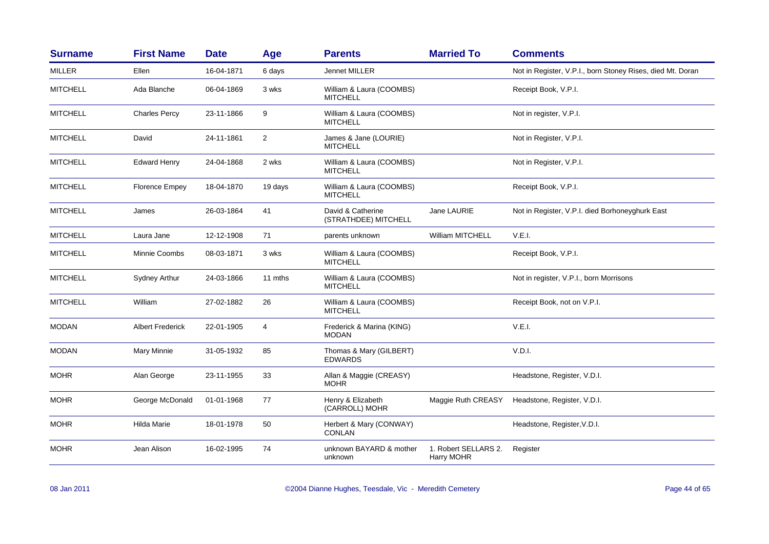| <b>Surname</b>  | <b>First Name</b>       | <b>Date</b> | Age            | <b>Parents</b>                              | <b>Married To</b>                  | <b>Comments</b>                                            |
|-----------------|-------------------------|-------------|----------------|---------------------------------------------|------------------------------------|------------------------------------------------------------|
| <b>MILLER</b>   | Ellen                   | 16-04-1871  | 6 days         | <b>Jennet MILLER</b>                        |                                    | Not in Register, V.P.I., born Stoney Rises, died Mt. Doran |
| <b>MITCHELL</b> | Ada Blanche             | 06-04-1869  | 3 wks          | William & Laura (COOMBS)<br><b>MITCHELL</b> |                                    | Receipt Book, V.P.I.                                       |
| <b>MITCHELL</b> | <b>Charles Percy</b>    | 23-11-1866  | 9              | William & Laura (COOMBS)<br><b>MITCHELL</b> |                                    | Not in register, V.P.I.                                    |
| <b>MITCHELL</b> | David                   | 24-11-1861  | $\overline{2}$ | James & Jane (LOURIE)<br><b>MITCHELL</b>    |                                    | Not in Register, V.P.I.                                    |
| <b>MITCHELL</b> | <b>Edward Henry</b>     | 24-04-1868  | 2 wks          | William & Laura (COOMBS)<br><b>MITCHELL</b> |                                    | Not in Register, V.P.I.                                    |
| <b>MITCHELL</b> | <b>Florence Empey</b>   | 18-04-1870  | 19 days        | William & Laura (COOMBS)<br><b>MITCHELL</b> |                                    | Receipt Book, V.P.I.                                       |
| <b>MITCHELL</b> | James                   | 26-03-1864  | 41             | David & Catherine<br>(STRATHDEE) MITCHELL   | Jane LAURIE                        | Not in Register, V.P.I. died Borhoneyghurk East            |
| <b>MITCHELL</b> | Laura Jane              | 12-12-1908  | 71             | parents unknown                             | William MITCHELL                   | V.E.I.                                                     |
| <b>MITCHELL</b> | Minnie Coombs           | 08-03-1871  | 3 wks          | William & Laura (COOMBS)<br><b>MITCHELL</b> |                                    | Receipt Book, V.P.I.                                       |
| <b>MITCHELL</b> | Sydney Arthur           | 24-03-1866  | 11 mths        | William & Laura (COOMBS)<br><b>MITCHELL</b> |                                    | Not in register, V.P.I., born Morrisons                    |
| <b>MITCHELL</b> | William                 | 27-02-1882  | 26             | William & Laura (COOMBS)<br><b>MITCHELL</b> |                                    | Receipt Book, not on V.P.I.                                |
| <b>MODAN</b>    | <b>Albert Frederick</b> | 22-01-1905  | 4              | Frederick & Marina (KING)<br><b>MODAN</b>   |                                    | V.E.I.                                                     |
| <b>MODAN</b>    | Mary Minnie             | 31-05-1932  | 85             | Thomas & Mary (GILBERT)<br><b>EDWARDS</b>   |                                    | V.D.I.                                                     |
| <b>MOHR</b>     | Alan George             | 23-11-1955  | 33             | Allan & Maggie (CREASY)<br><b>MOHR</b>      |                                    | Headstone, Register, V.D.I.                                |
| <b>MOHR</b>     | George McDonald         | 01-01-1968  | 77             | Henry & Elizabeth<br>(CARROLL) MOHR         | Maggie Ruth CREASY                 | Headstone, Register, V.D.I.                                |
| <b>MOHR</b>     | Hilda Marie             | 18-01-1978  | 50             | Herbert & Mary (CONWAY)<br><b>CONLAN</b>    |                                    | Headstone, Register, V.D.I.                                |
| <b>MOHR</b>     | Jean Alison             | 16-02-1995  | 74             | unknown BAYARD & mother<br>unknown          | 1. Robert SELLARS 2.<br>Harry MOHR | Register                                                   |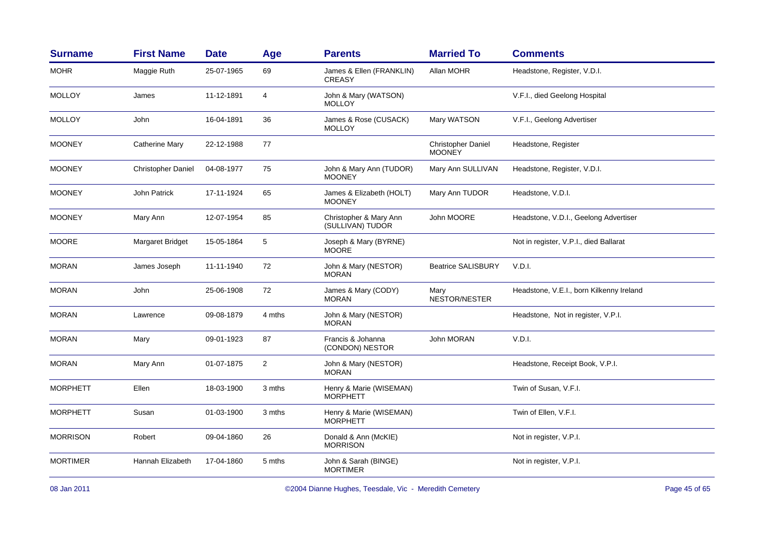| <b>Surname</b>  | <b>First Name</b>         | <b>Date</b> | Age            | <b>Parents</b>                             | <b>Married To</b>                          | <b>Comments</b>                          |
|-----------------|---------------------------|-------------|----------------|--------------------------------------------|--------------------------------------------|------------------------------------------|
| <b>MOHR</b>     | Maggie Ruth               | 25-07-1965  | 69             | James & Ellen (FRANKLIN)<br><b>CREASY</b>  | Allan MOHR                                 | Headstone, Register, V.D.I.              |
| <b>MOLLOY</b>   | James                     | 11-12-1891  | 4              | John & Mary (WATSON)<br><b>MOLLOY</b>      |                                            | V.F.I., died Geelong Hospital            |
| <b>MOLLOY</b>   | John                      | 16-04-1891  | 36             | James & Rose (CUSACK)<br><b>MOLLOY</b>     | Mary WATSON                                | V.F.I., Geelong Advertiser               |
| <b>MOONEY</b>   | <b>Catherine Mary</b>     | 22-12-1988  | 77             |                                            | <b>Christopher Daniel</b><br><b>MOONEY</b> | Headstone, Register                      |
| <b>MOONEY</b>   | <b>Christopher Daniel</b> | 04-08-1977  | 75             | John & Mary Ann (TUDOR)<br><b>MOONEY</b>   | Mary Ann SULLIVAN                          | Headstone, Register, V.D.I.              |
| <b>MOONEY</b>   | <b>John Patrick</b>       | 17-11-1924  | 65             | James & Elizabeth (HOLT)<br><b>MOONEY</b>  | Mary Ann TUDOR                             | Headstone, V.D.I.                        |
| <b>MOONEY</b>   | Mary Ann                  | 12-07-1954  | 85             | Christopher & Mary Ann<br>(SULLIVAN) TUDOR | John MOORE                                 | Headstone, V.D.I., Geelong Advertiser    |
| <b>MOORE</b>    | Margaret Bridget          | 15-05-1864  | 5              | Joseph & Mary (BYRNE)<br><b>MOORE</b>      |                                            | Not in register, V.P.I., died Ballarat   |
| <b>MORAN</b>    | James Joseph              | 11-11-1940  | 72             | John & Mary (NESTOR)<br><b>MORAN</b>       | <b>Beatrice SALISBURY</b>                  | V.D.I.                                   |
| <b>MORAN</b>    | John                      | 25-06-1908  | 72             | James & Mary (CODY)<br><b>MORAN</b>        | Mary<br>NESTOR/NESTER                      | Headstone, V.E.I., born Kilkenny Ireland |
| <b>MORAN</b>    | Lawrence                  | 09-08-1879  | 4 mths         | John & Mary (NESTOR)<br><b>MORAN</b>       |                                            | Headstone, Not in register, V.P.I.       |
| <b>MORAN</b>    | Mary                      | 09-01-1923  | 87             | Francis & Johanna<br>(CONDON) NESTOR       | John MORAN                                 | V.D.I.                                   |
| <b>MORAN</b>    | Mary Ann                  | 01-07-1875  | $\overline{2}$ | John & Mary (NESTOR)<br><b>MORAN</b>       |                                            | Headstone, Receipt Book, V.P.I.          |
| <b>MORPHETT</b> | Ellen                     | 18-03-1900  | 3 mths         | Henry & Marie (WISEMAN)<br><b>MORPHETT</b> |                                            | Twin of Susan, V.F.I.                    |
| <b>MORPHETT</b> | Susan                     | 01-03-1900  | 3 mths         | Henry & Marie (WISEMAN)<br><b>MORPHETT</b> |                                            | Twin of Ellen, V.F.I.                    |
| <b>MORRISON</b> | Robert                    | 09-04-1860  | 26             | Donald & Ann (McKIE)<br><b>MORRISON</b>    |                                            | Not in register, V.P.I.                  |
| <b>MORTIMER</b> | Hannah Elizabeth          | 17-04-1860  | 5 mths         | John & Sarah (BINGE)<br><b>MORTIMER</b>    |                                            | Not in register, V.P.I.                  |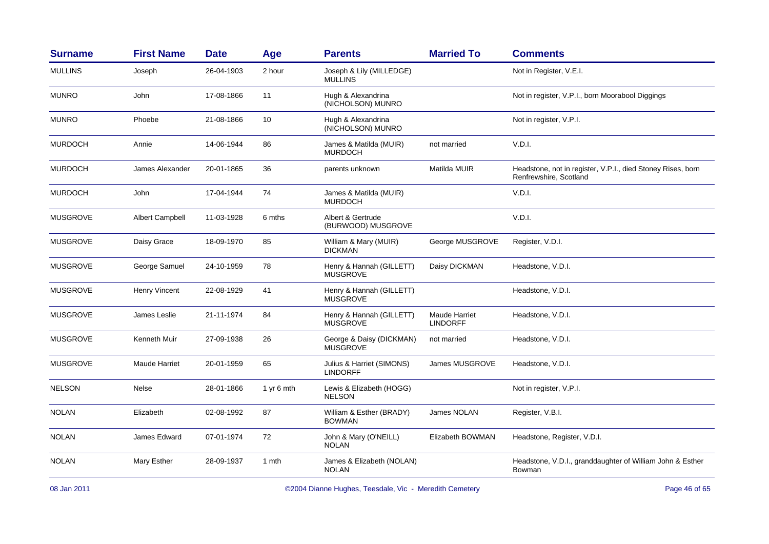| <b>Surname</b>  | <b>First Name</b>      | <b>Date</b> | Age        | <b>Parents</b>                               | <b>Married To</b>                | <b>Comments</b>                                                                       |
|-----------------|------------------------|-------------|------------|----------------------------------------------|----------------------------------|---------------------------------------------------------------------------------------|
| <b>MULLINS</b>  | Joseph                 | 26-04-1903  | 2 hour     | Joseph & Lily (MILLEDGE)<br><b>MULLINS</b>   |                                  | Not in Register, V.E.I.                                                               |
| <b>MUNRO</b>    | John                   | 17-08-1866  | 11         | Hugh & Alexandrina<br>(NICHOLSON) MUNRO      |                                  | Not in register, V.P.I., born Moorabool Diggings                                      |
| <b>MUNRO</b>    | Phoebe                 | 21-08-1866  | 10         | Hugh & Alexandrina<br>(NICHOLSON) MUNRO      |                                  | Not in register, V.P.I.                                                               |
| <b>MURDOCH</b>  | Annie                  | 14-06-1944  | 86         | James & Matilda (MUIR)<br><b>MURDOCH</b>     | not married                      | V.D.I.                                                                                |
| <b>MURDOCH</b>  | James Alexander        | 20-01-1865  | 36         | parents unknown                              | Matilda MUIR                     | Headstone, not in register, V.P.I., died Stoney Rises, born<br>Renfrewshire, Scotland |
| <b>MURDOCH</b>  | John                   | 17-04-1944  | 74         | James & Matilda (MUIR)<br><b>MURDOCH</b>     |                                  | V.D.I.                                                                                |
| <b>MUSGROVE</b> | <b>Albert Campbell</b> | 11-03-1928  | 6 mths     | Albert & Gertrude<br>(BURWOOD) MUSGROVE      |                                  | V.D.I.                                                                                |
| <b>MUSGROVE</b> | Daisy Grace            | 18-09-1970  | 85         | William & Mary (MUIR)<br><b>DICKMAN</b>      | George MUSGROVE                  | Register, V.D.I.                                                                      |
| <b>MUSGROVE</b> | George Samuel          | 24-10-1959  | 78         | Henry & Hannah (GILLETT)<br><b>MUSGROVE</b>  | Daisy DICKMAN                    | Headstone, V.D.I.                                                                     |
| <b>MUSGROVE</b> | Henry Vincent          | 22-08-1929  | 41         | Henry & Hannah (GILLETT)<br><b>MUSGROVE</b>  |                                  | Headstone, V.D.I.                                                                     |
| <b>MUSGROVE</b> | James Leslie           | 21-11-1974  | 84         | Henry & Hannah (GILLETT)<br><b>MUSGROVE</b>  | Maude Harriet<br><b>LINDORFF</b> | Headstone, V.D.I.                                                                     |
| <b>MUSGROVE</b> | <b>Kenneth Muir</b>    | 27-09-1938  | 26         | George & Daisy (DICKMAN)<br><b>MUSGROVE</b>  | not married                      | Headstone, V.D.I.                                                                     |
| <b>MUSGROVE</b> | <b>Maude Harriet</b>   | 20-01-1959  | 65         | Julius & Harriet (SIMONS)<br><b>LINDORFF</b> | James MUSGROVE                   | Headstone, V.D.I.                                                                     |
| <b>NELSON</b>   | Nelse                  | 28-01-1866  | 1 yr 6 mth | Lewis & Elizabeth (HOGG)<br><b>NELSON</b>    |                                  | Not in register, V.P.I.                                                               |
| <b>NOLAN</b>    | Elizabeth              | 02-08-1992  | 87         | William & Esther (BRADY)<br><b>BOWMAN</b>    | James NOLAN                      | Register, V.B.I.                                                                      |
| <b>NOLAN</b>    | James Edward           | 07-01-1974  | 72         | John & Mary (O'NEILL)<br><b>NOLAN</b>        | Elizabeth BOWMAN                 | Headstone, Register, V.D.I.                                                           |
| <b>NOLAN</b>    | Mary Esther            | 28-09-1937  | 1 mth      | James & Elizabeth (NOLAN)<br><b>NOLAN</b>    |                                  | Headstone, V.D.I., granddaughter of William John & Esther<br>Bowman                   |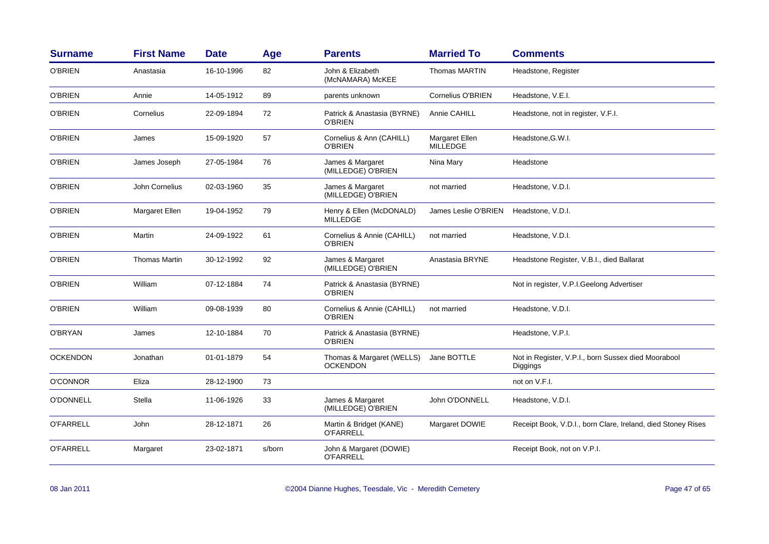| <b>Surname</b>   | <b>First Name</b>    | <b>Date</b> | Age    | <b>Parents</b>                                | <b>Married To</b>                 | <b>Comments</b>                                                 |
|------------------|----------------------|-------------|--------|-----------------------------------------------|-----------------------------------|-----------------------------------------------------------------|
| O'BRIEN          | Anastasia            | 16-10-1996  | 82     | John & Elizabeth<br>(McNAMARA) McKEE          | <b>Thomas MARTIN</b>              | Headstone, Register                                             |
| <b>O'BRIEN</b>   | Annie                | 14-05-1912  | 89     | parents unknown                               | Cornelius O'BRIEN                 | Headstone, V.E.I.                                               |
| <b>O'BRIEN</b>   | Cornelius            | 22-09-1894  | 72     | Patrick & Anastasia (BYRNE)<br><b>O'BRIEN</b> | Annie CAHILL                      | Headstone, not in register, V.F.I.                              |
| O'BRIEN          | James                | 15-09-1920  | 57     | Cornelius & Ann (CAHILL)<br>O'BRIEN           | Margaret Ellen<br><b>MILLEDGE</b> | Headstone, G.W.I.                                               |
| O'BRIEN          | James Joseph         | 27-05-1984  | 76     | James & Margaret<br>(MILLEDGE) O'BRIEN        | Nina Mary                         | Headstone                                                       |
| <b>O'BRIEN</b>   | John Cornelius       | 02-03-1960  | 35     | James & Margaret<br>(MILLEDGE) O'BRIEN        | not married                       | Headstone, V.D.I.                                               |
| <b>O'BRIEN</b>   | Margaret Ellen       | 19-04-1952  | 79     | Henry & Ellen (McDONALD)<br><b>MILLEDGE</b>   | James Leslie O'BRIEN              | Headstone, V.D.I.                                               |
| O'BRIEN          | Martin               | 24-09-1922  | 61     | Cornelius & Annie (CAHILL)<br>O'BRIEN         | not married                       | Headstone, V.D.I.                                               |
| O'BRIEN          | <b>Thomas Martin</b> | 30-12-1992  | 92     | James & Margaret<br>(MILLEDGE) O'BRIEN        | Anastasia BRYNE                   | Headstone Register, V.B.I., died Ballarat                       |
| O'BRIEN          | William              | 07-12-1884  | 74     | Patrick & Anastasia (BYRNE)<br>O'BRIEN        |                                   | Not in register, V.P.I.Geelong Advertiser                       |
| <b>O'BRIEN</b>   | William              | 09-08-1939  | 80     | Cornelius & Annie (CAHILL)<br>O'BRIEN         | not married                       | Headstone, V.D.I.                                               |
| O'BRYAN          | James                | 12-10-1884  | 70     | Patrick & Anastasia (BYRNE)<br><b>O'BRIEN</b> |                                   | Headstone, V.P.I.                                               |
| <b>OCKENDON</b>  | Jonathan             | 01-01-1879  | 54     | Thomas & Margaret (WELLS)<br><b>OCKENDON</b>  | Jane BOTTLE                       | Not in Register, V.P.I., born Sussex died Moorabool<br>Diggings |
| <b>O'CONNOR</b>  | Eliza                | 28-12-1900  | 73     |                                               |                                   | not on V.F.I.                                                   |
| O'DONNELL        | Stella               | 11-06-1926  | 33     | James & Margaret<br>(MILLEDGE) O'BRIEN        | John O'DONNELL                    | Headstone, V.D.I.                                               |
| <b>O'FARRELL</b> | John                 | 28-12-1871  | 26     | Martin & Bridget (KANE)<br><b>O'FARRELL</b>   | Margaret DOWIE                    | Receipt Book, V.D.I., born Clare, Ireland, died Stoney Rises    |
| <b>O'FARRELL</b> | Margaret             | 23-02-1871  | s/born | John & Margaret (DOWIE)<br><b>O'FARRELL</b>   |                                   | Receipt Book, not on V.P.I.                                     |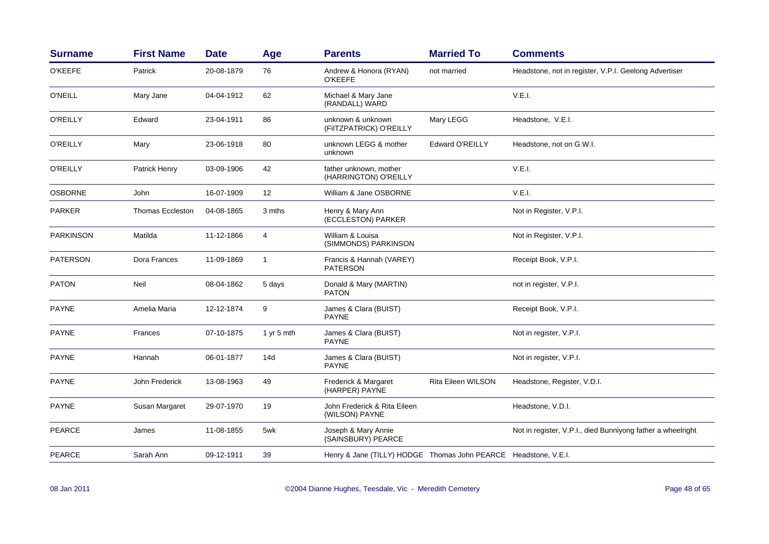| <b>Surname</b>  | <b>First Name</b>       | <b>Date</b> | Age          | <b>Parents</b>                                                  | <b>Married To</b>      | <b>Comments</b>                                             |
|-----------------|-------------------------|-------------|--------------|-----------------------------------------------------------------|------------------------|-------------------------------------------------------------|
| <b>O'KEEFE</b>  | Patrick                 | 20-08-1879  | 76           | Andrew & Honora (RYAN)<br><b>O'KEEFE</b>                        | not married            | Headstone, not in register, V.P.I. Geelong Advertiser       |
| <b>O'NEILL</b>  | Mary Jane               | 04-04-1912  | 62           | Michael & Mary Jane<br>(RANDALL) WARD                           |                        | V.E.I.                                                      |
| <b>O'REILLY</b> | Edward                  | 23-04-1911  | 86           | unknown & unknown<br>(FIITZPATRICK) O'REILLY                    | Mary LEGG              | Headstone, V.E.I.                                           |
| <b>O'REILLY</b> | Mary                    | 23-06-1918  | 80           | unknown LEGG & mother<br>unknown                                | <b>Edward O'REILLY</b> | Headstone, not on G.W.I.                                    |
| <b>O'REILLY</b> | Patrick Henry           | 03-09-1906  | 42           | father unknown, mother<br>(HARRINGTON) O'REILLY                 |                        | V.E.I.                                                      |
| <b>OSBORNE</b>  | John                    | 16-07-1909  | 12           | William & Jane OSBORNE                                          |                        | V.E.I.                                                      |
| <b>PARKER</b>   | <b>Thomas Eccleston</b> | 04-08-1865  | 3 mths       | Henry & Mary Ann<br>(ECCLESTON) PARKER                          |                        | Not in Register, V.P.I.                                     |
| PARKINSON       | Matilda                 | 11-12-1866  | 4            | William & Louisa<br>(SIMMONDS) PARKINSON                        |                        | Not in Register, V.P.I.                                     |
| <b>PATERSON</b> | Dora Frances            | 11-09-1869  | $\mathbf{1}$ | Francis & Hannah (VAREY)<br><b>PATERSON</b>                     |                        | Receipt Book, V.P.I.                                        |
| <b>PATON</b>    | Neil                    | 08-04-1862  | 5 days       | Donald & Mary (MARTIN)<br><b>PATON</b>                          |                        | not in register, V.P.I.                                     |
| <b>PAYNE</b>    | Amelia Maria            | 12-12-1874  | 9            | James & Clara (BUIST)<br><b>PAYNE</b>                           |                        | Receipt Book, V.P.I.                                        |
| <b>PAYNE</b>    | Frances                 | 07-10-1875  | 1 yr 5 mth   | James & Clara (BUIST)<br><b>PAYNE</b>                           |                        | Not in register, V.P.I.                                     |
| <b>PAYNE</b>    | Hannah                  | 06-01-1877  | 14d          | James & Clara (BUIST)<br><b>PAYNE</b>                           |                        | Not in register, V.P.I.                                     |
| <b>PAYNE</b>    | John Frederick          | 13-08-1963  | 49           | Frederick & Margaret<br>(HARPER) PAYNE                          | Rita Eileen WILSON     | Headstone, Register, V.D.I.                                 |
| <b>PAYNE</b>    | Susan Margaret          | 29-07-1970  | 19           | John Frederick & Rita Eileen<br>(WILSON) PAYNE                  |                        | Headstone, V.D.I.                                           |
| <b>PEARCE</b>   | James                   | 11-08-1855  | 5wk          | Joseph & Mary Annie<br>(SAINSBURY) PEARCE                       |                        | Not in register, V.P.I., died Bunniyong father a wheelright |
| <b>PEARCE</b>   | Sarah Ann               | 09-12-1911  | 39           | Henry & Jane (TILLY) HODGE Thomas John PEARCE Headstone, V.E.I. |                        |                                                             |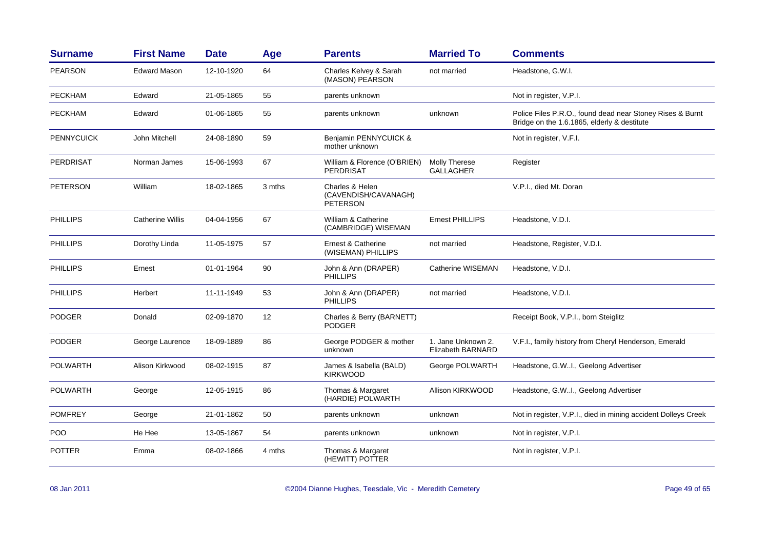| <b>Surname</b>    | <b>First Name</b>       | <b>Date</b> | Age    | <b>Parents</b>                                      | <b>Married To</b>                              | <b>Comments</b>                                                                                          |
|-------------------|-------------------------|-------------|--------|-----------------------------------------------------|------------------------------------------------|----------------------------------------------------------------------------------------------------------|
| <b>PEARSON</b>    | <b>Edward Mason</b>     | 12-10-1920  | 64     | Charles Kelvey & Sarah<br>(MASON) PEARSON           | not married                                    | Headstone, G.W.I.                                                                                        |
| <b>PECKHAM</b>    | Edward                  | 21-05-1865  | 55     | parents unknown                                     |                                                | Not in register, V.P.I.                                                                                  |
| <b>PECKHAM</b>    | Edward                  | 01-06-1865  | 55     | parents unknown                                     | unknown                                        | Police Files P.R.O., found dead near Stoney Rises & Burnt<br>Bridge on the 1.6.1865, elderly & destitute |
| <b>PENNYCUICK</b> | John Mitchell           | 24-08-1890  | 59     | Benjamin PENNYCUICK &<br>mother unknown             |                                                | Not in register, V.F.I.                                                                                  |
| <b>PERDRISAT</b>  | Norman James            | 15-06-1993  | 67     | William & Florence (O'BRIEN)<br>PERDRISAT           | <b>Molly Therese</b><br><b>GALLAGHER</b>       | Register                                                                                                 |
| <b>PETERSON</b>   | William                 | 18-02-1865  | 3 mths | Charles & Helen<br>(CAVENDISH/CAVANAGH)<br>PETERSON |                                                | V.P.I., died Mt. Doran                                                                                   |
| <b>PHILLIPS</b>   | <b>Catherine Willis</b> | 04-04-1956  | 67     | William & Catherine<br>(CAMBRIDGE) WISEMAN          | <b>Ernest PHILLIPS</b>                         | Headstone, V.D.I.                                                                                        |
| <b>PHILLIPS</b>   | Dorothy Linda           | 11-05-1975  | 57     | Ernest & Catherine<br>(WISEMAN) PHILLIPS            | not married                                    | Headstone, Register, V.D.I.                                                                              |
| <b>PHILLIPS</b>   | Ernest                  | 01-01-1964  | 90     | John & Ann (DRAPER)<br>PHILLIPS                     | Catherine WISEMAN                              | Headstone, V.D.I.                                                                                        |
| <b>PHILLIPS</b>   | Herbert                 | 11-11-1949  | 53     | John & Ann (DRAPER)<br><b>PHILLIPS</b>              | not married                                    | Headstone, V.D.I.                                                                                        |
| <b>PODGER</b>     | Donald                  | 02-09-1870  | 12     | Charles & Berry (BARNETT)<br><b>PODGER</b>          |                                                | Receipt Book, V.P.I., born Steiglitz                                                                     |
| <b>PODGER</b>     | George Laurence         | 18-09-1889  | 86     | George PODGER & mother<br>unknown                   | 1. Jane Unknown 2.<br><b>Elizabeth BARNARD</b> | V.F.I., family history from Cheryl Henderson, Emerald                                                    |
| POLWARTH          | Alison Kirkwood         | 08-02-1915  | 87     | James & Isabella (BALD)<br><b>KIRKWOOD</b>          | George POLWARTH                                | Headstone, G.WI., Geelong Advertiser                                                                     |
| <b>POLWARTH</b>   | George                  | 12-05-1915  | 86     | Thomas & Margaret<br>(HARDIE) POLWARTH              | Allison KIRKWOOD                               | Headstone, G.WI., Geelong Advertiser                                                                     |
| <b>POMFREY</b>    | George                  | 21-01-1862  | 50     | parents unknown                                     | unknown                                        | Not in register, V.P.I., died in mining accident Dolleys Creek                                           |
| POO               | He Hee                  | 13-05-1867  | 54     | parents unknown                                     | unknown                                        | Not in register, V.P.I.                                                                                  |
| <b>POTTER</b>     | Emma                    | 08-02-1866  | 4 mths | Thomas & Margaret<br>(HEWITT) POTTER                |                                                | Not in register, V.P.I.                                                                                  |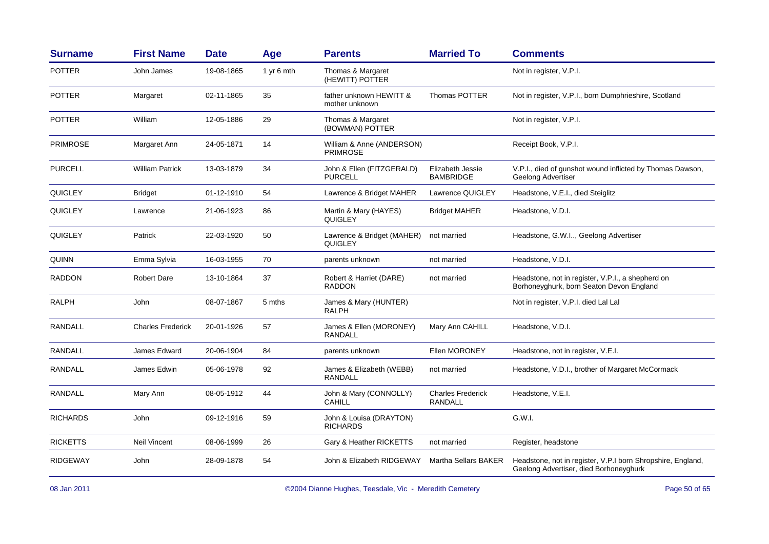| <b>Surname</b>  | <b>First Name</b>        | <b>Date</b> | Age        | <b>Parents</b>                               | <b>Married To</b>                    | <b>Comments</b>                                                                                       |
|-----------------|--------------------------|-------------|------------|----------------------------------------------|--------------------------------------|-------------------------------------------------------------------------------------------------------|
| <b>POTTER</b>   | John James               | 19-08-1865  | 1 yr 6 mth | Thomas & Margaret<br>(HEWITT) POTTER         |                                      | Not in register, V.P.I.                                                                               |
| <b>POTTER</b>   | Margaret                 | 02-11-1865  | 35         | father unknown HEWITT &<br>mother unknown    | Thomas POTTER                        | Not in register, V.P.I., born Dumphrieshire, Scotland                                                 |
| <b>POTTER</b>   | William                  | 12-05-1886  | 29         | Thomas & Margaret<br>(BOWMAN) POTTER         |                                      | Not in register, V.P.I.                                                                               |
| <b>PRIMROSE</b> | Margaret Ann             | 24-05-1871  | 14         | William & Anne (ANDERSON)<br><b>PRIMROSE</b> |                                      | Receipt Book, V.P.I.                                                                                  |
| <b>PURCELL</b>  | <b>William Patrick</b>   | 13-03-1879  | 34         | John & Ellen (FITZGERALD)<br><b>PURCELL</b>  | Elizabeth Jessie<br><b>BAMBRIDGE</b> | V.P.I., died of gunshot wound inflicted by Thomas Dawson,<br>Geelong Advertiser                       |
| <b>QUIGLEY</b>  | <b>Bridget</b>           | 01-12-1910  | 54         | Lawrence & Bridget MAHER                     | Lawrence QUIGLEY                     | Headstone, V.E.I., died Steiglitz                                                                     |
| <b>QUIGLEY</b>  | Lawrence                 | 21-06-1923  | 86         | Martin & Mary (HAYES)<br><b>QUIGLEY</b>      | <b>Bridget MAHER</b>                 | Headstone, V.D.I.                                                                                     |
| <b>QUIGLEY</b>  | Patrick                  | 22-03-1920  | 50         | Lawrence & Bridget (MAHER)<br>QUIGLEY        | not married                          | Headstone, G.W.I, Geelong Advertiser                                                                  |
| QUINN           | Emma Sylvia              | 16-03-1955  | 70         | parents unknown                              | not married                          | Headstone, V.D.I.                                                                                     |
| <b>RADDON</b>   | <b>Robert Dare</b>       | 13-10-1864  | 37         | Robert & Harriet (DARE)<br><b>RADDON</b>     | not married                          | Headstone, not in register, V.P.I., a shepherd on<br>Borhoneyghurk, born Seaton Devon England         |
| <b>RALPH</b>    | John                     | 08-07-1867  | 5 mths     | James & Mary (HUNTER)<br><b>RALPH</b>        |                                      | Not in register, V.P.I. died Lal Lal                                                                  |
| <b>RANDALL</b>  | <b>Charles Frederick</b> | 20-01-1926  | 57         | James & Ellen (MORONEY)<br><b>RANDALL</b>    | Mary Ann CAHILL                      | Headstone, V.D.I.                                                                                     |
| <b>RANDALL</b>  | James Edward             | 20-06-1904  | 84         | parents unknown                              | <b>Ellen MORONEY</b>                 | Headstone, not in register, V.E.I.                                                                    |
| <b>RANDALL</b>  | James Edwin              | 05-06-1978  | 92         | James & Elizabeth (WEBB)<br>RANDALL          | not married                          | Headstone, V.D.I., brother of Margaret McCormack                                                      |
| RANDALL         | Mary Ann                 | 08-05-1912  | 44         | John & Mary (CONNOLLY)<br><b>CAHILL</b>      | <b>Charles Frederick</b><br>RANDALL  | Headstone, V.E.I.                                                                                     |
| <b>RICHARDS</b> | John                     | 09-12-1916  | 59         | John & Louisa (DRAYTON)<br><b>RICHARDS</b>   |                                      | G.W.I.                                                                                                |
| <b>RICKETTS</b> | <b>Neil Vincent</b>      | 08-06-1999  | 26         | Gary & Heather RICKETTS                      | not married                          | Register, headstone                                                                                   |
| <b>RIDGEWAY</b> | John                     | 28-09-1878  | 54         | John & Elizabeth RIDGEWAY                    | <b>Martha Sellars BAKER</b>          | Headstone, not in register, V.P.I born Shropshire, England,<br>Geelong Advertiser, died Borhoneyghurk |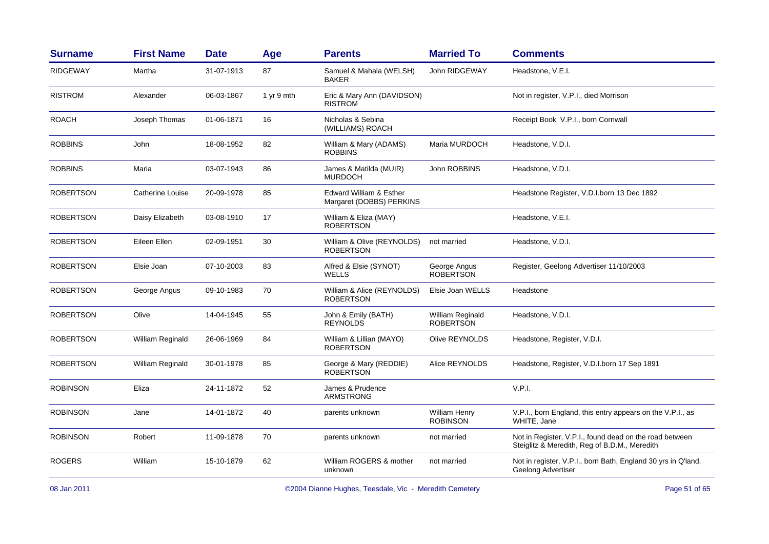| <b>First Name</b> | <b>Date</b> | Age        | <b>Parents</b>                                      | <b>Married To</b>                       | <b>Comments</b>                                                                                          |
|-------------------|-------------|------------|-----------------------------------------------------|-----------------------------------------|----------------------------------------------------------------------------------------------------------|
| Martha            | 31-07-1913  | 87         | Samuel & Mahala (WELSH)<br>BAKER                    | <b>John RIDGEWAY</b>                    | Headstone, V.E.I.                                                                                        |
| Alexander         | 06-03-1867  | 1 yr 9 mth | Eric & Mary Ann (DAVIDSON)<br><b>RISTROM</b>        |                                         | Not in register, V.P.I., died Morrison                                                                   |
| Joseph Thomas     | 01-06-1871  | 16         | Nicholas & Sebina<br>(WILLIAMS) ROACH               |                                         | Receipt Book V.P.I., born Cornwall                                                                       |
| John              | 18-08-1952  | 82         | William & Mary (ADAMS)<br><b>ROBBINS</b>            | Maria MURDOCH                           | Headstone, V.D.I.                                                                                        |
| Maria             | 03-07-1943  | 86         | James & Matilda (MUIR)<br><b>MURDOCH</b>            | John ROBBINS                            | Headstone, V.D.I.                                                                                        |
| Catherine Louise  | 20-09-1978  | 85         | Edward William & Esther<br>Margaret (DOBBS) PERKINS |                                         | Headstone Register, V.D.I.born 13 Dec 1892                                                               |
| Daisy Elizabeth   | 03-08-1910  | 17         | William & Eliza (MAY)<br><b>ROBERTSON</b>           |                                         | Headstone, V.E.I.                                                                                        |
| Eileen Ellen      | 02-09-1951  | 30         | William & Olive (REYNOLDS)<br><b>ROBERTSON</b>      | not married                             | Headstone, V.D.I.                                                                                        |
| Elsie Joan        | 07-10-2003  | 83         | Alfred & Elsie (SYNOT)<br><b>WELLS</b>              | George Angus<br><b>ROBERTSON</b>        | Register, Geelong Advertiser 11/10/2003                                                                  |
| George Angus      | 09-10-1983  | 70         | William & Alice (REYNOLDS)<br><b>ROBERTSON</b>      | Elsie Joan WELLS                        | Headstone                                                                                                |
| Olive             | 14-04-1945  | 55         | John & Emily (BATH)<br><b>REYNOLDS</b>              | William Reginald<br><b>ROBERTSON</b>    | Headstone, V.D.I.                                                                                        |
| William Reginald  | 26-06-1969  | 84         | William & Lillian (MAYO)<br><b>ROBERTSON</b>        | Olive REYNOLDS                          | Headstone, Register, V.D.I.                                                                              |
| William Reginald  | 30-01-1978  | 85         | George & Mary (REDDIE)<br><b>ROBERTSON</b>          | Alice REYNOLDS                          | Headstone, Register, V.D.I.born 17 Sep 1891                                                              |
| Eliza             | 24-11-1872  | 52         | James & Prudence<br><b>ARMSTRONG</b>                |                                         | V.P.I.                                                                                                   |
| Jane              | 14-01-1872  | 40         | parents unknown                                     | <b>William Henry</b><br><b>ROBINSON</b> | V.P.I., born England, this entry appears on the V.P.I., as<br>WHITE, Jane                                |
| Robert            | 11-09-1878  | 70         | parents unknown                                     | not married                             | Not in Register, V.P.I., found dead on the road between<br>Steiglitz & Meredith, Reg of B.D.M., Meredith |
| William           | 15-10-1879  | 62         | William ROGERS & mother<br>unknown                  | not married                             | Not in register, V.P.I., born Bath, England 30 yrs in Q'land,<br>Geelong Advertiser                      |
|                   |             |            |                                                     |                                         |                                                                                                          |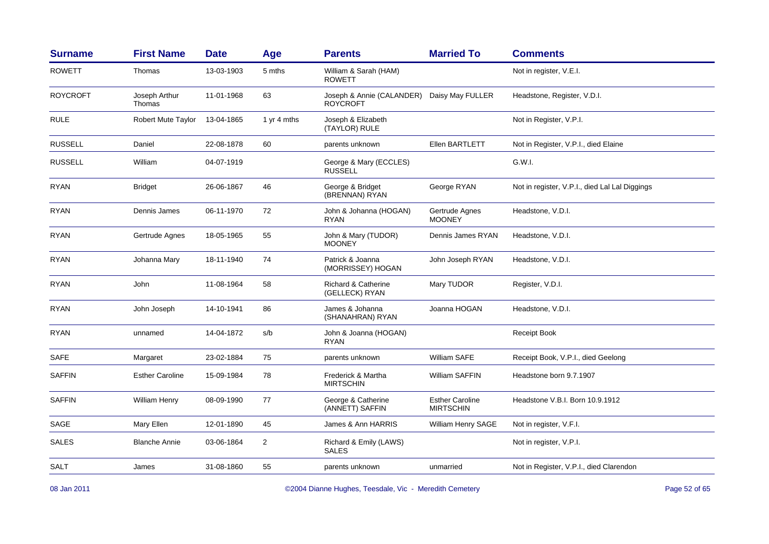| <b>Surname</b>  | <b>First Name</b>       | <b>Date</b> | Age            | <b>Parents</b>                                   | <b>Married To</b>                          | <b>Comments</b>                                |
|-----------------|-------------------------|-------------|----------------|--------------------------------------------------|--------------------------------------------|------------------------------------------------|
| <b>ROWETT</b>   | Thomas                  | 13-03-1903  | 5 mths         | William & Sarah (HAM)<br><b>ROWETT</b>           |                                            | Not in register, V.E.I.                        |
| <b>ROYCROFT</b> | Joseph Arthur<br>Thomas | 11-01-1968  | 63             | Joseph & Annie (CALANDER)<br><b>ROYCROFT</b>     | Daisy May FULLER                           | Headstone, Register, V.D.I.                    |
| <b>RULE</b>     | Robert Mute Taylor      | 13-04-1865  | 1 yr 4 mths    | Joseph & Elizabeth<br>(TAYLOR) RULE              |                                            | Not in Register, V.P.I.                        |
| <b>RUSSELL</b>  | Daniel                  | 22-08-1878  | 60             | parents unknown                                  | Ellen BARTLETT                             | Not in Register, V.P.I., died Elaine           |
| <b>RUSSELL</b>  | William                 | 04-07-1919  |                | George & Mary (ECCLES)<br><b>RUSSELL</b>         |                                            | G.W.I.                                         |
| <b>RYAN</b>     | <b>Bridget</b>          | 26-06-1867  | 46             | George & Bridget<br>(BRENNAN) RYAN               | George RYAN                                | Not in register, V.P.I., died Lal Lal Diggings |
| <b>RYAN</b>     | Dennis James            | 06-11-1970  | 72             | John & Johanna (HOGAN)<br>RYAN                   | Gertrude Agnes<br><b>MOONEY</b>            | Headstone, V.D.I.                              |
| <b>RYAN</b>     | Gertrude Agnes          | 18-05-1965  | 55             | John & Mary (TUDOR)<br><b>MOONEY</b>             | Dennis James RYAN                          | Headstone, V.D.I.                              |
| <b>RYAN</b>     | Johanna Mary            | 18-11-1940  | 74             | Patrick & Joanna<br>(MORRISSEY) HOGAN            | John Joseph RYAN                           | Headstone, V.D.I.                              |
| <b>RYAN</b>     | John                    | 11-08-1964  | 58             | <b>Richard &amp; Catherine</b><br>(GELLECK) RYAN | Mary TUDOR                                 | Register, V.D.I.                               |
| <b>RYAN</b>     | John Joseph             | 14-10-1941  | 86             | James & Johanna<br>(SHANAHRAN) RYAN              | Joanna HOGAN                               | Headstone, V.D.I.                              |
| <b>RYAN</b>     | unnamed                 | 14-04-1872  | s/b            | John & Joanna (HOGAN)<br><b>RYAN</b>             |                                            | Receipt Book                                   |
| <b>SAFE</b>     | Margaret                | 23-02-1884  | 75             | parents unknown                                  | William SAFE                               | Receipt Book, V.P.I., died Geelong             |
| <b>SAFFIN</b>   | <b>Esther Caroline</b>  | 15-09-1984  | 78             | Frederick & Martha<br><b>MIRTSCHIN</b>           | William SAFFIN                             | Headstone born 9.7.1907                        |
| <b>SAFFIN</b>   | William Henry           | 08-09-1990  | 77             | George & Catherine<br>(ANNETT) SAFFIN            | <b>Esther Caroline</b><br><b>MIRTSCHIN</b> | Headstone V.B.I. Born 10.9.1912                |
| SAGE            | Mary Ellen              | 12-01-1890  | 45             | James & Ann HARRIS                               | William Henry SAGE                         | Not in register, V.F.I.                        |
| <b>SALES</b>    | <b>Blanche Annie</b>    | 03-06-1864  | $\overline{2}$ | Richard & Emily (LAWS)<br><b>SALES</b>           |                                            | Not in register, V.P.I.                        |
| SALT            | James                   | 31-08-1860  | 55             | parents unknown                                  | unmarried                                  | Not in Register, V.P.I., died Clarendon        |
|                 |                         |             |                |                                                  |                                            |                                                |

08 Jan 2011

©2004 Dianne Hughes, Teesdale, Vic - Meredith Cemetery entitled and the extendio page 52 of 65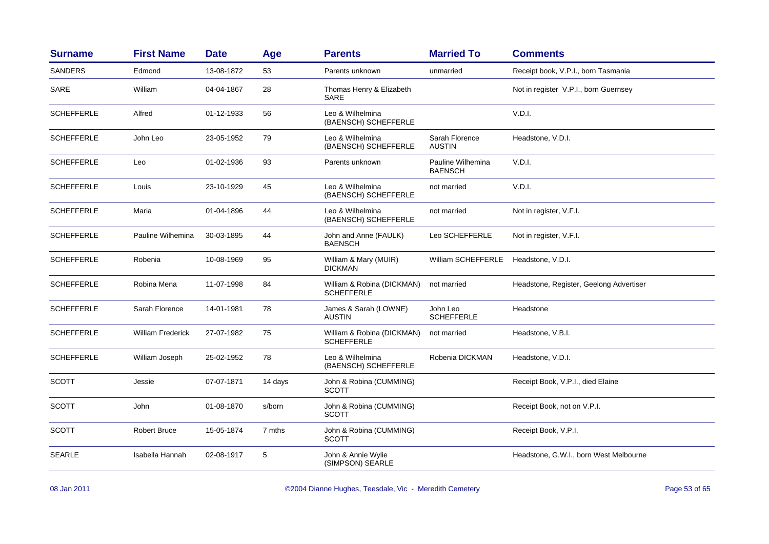| <b>Surname</b>    | <b>First Name</b>        | <b>Date</b> | Age     | <b>Parents</b>                                  | <b>Married To</b>                   | <b>Comments</b>                         |
|-------------------|--------------------------|-------------|---------|-------------------------------------------------|-------------------------------------|-----------------------------------------|
| <b>SANDERS</b>    | Edmond                   | 13-08-1872  | 53      | Parents unknown                                 | unmarried                           | Receipt book, V.P.I., born Tasmania     |
| SARE              | William                  | 04-04-1867  | 28      | Thomas Henry & Elizabeth<br><b>SARE</b>         |                                     | Not in register V.P.I., born Guernsey   |
| <b>SCHEFFERLE</b> | Alfred                   | 01-12-1933  | 56      | Leo & Wilhelmina<br>(BAENSCH) SCHEFFERLE        |                                     | V.D.I.                                  |
| <b>SCHEFFERLE</b> | John Leo                 | 23-05-1952  | 79      | Leo & Wilhelmina<br>(BAENSCH) SCHEFFERLE        | Sarah Florence<br><b>AUSTIN</b>     | Headstone, V.D.I.                       |
| <b>SCHEFFERLE</b> | Leo                      | 01-02-1936  | 93      | Parents unknown                                 | Pauline Wilhemina<br><b>BAENSCH</b> | V.D.I.                                  |
| <b>SCHEFFERLE</b> | Louis                    | 23-10-1929  | 45      | Leo & Wilhelmina<br>(BAENSCH) SCHEFFERLE        | not married                         | V.D.I.                                  |
| <b>SCHEFFERLE</b> | Maria                    | 01-04-1896  | 44      | Leo & Wilhelmina<br>(BAENSCH) SCHEFFERLE        | not married                         | Not in register, V.F.I.                 |
| <b>SCHEFFERLE</b> | Pauline Wilhemina        | 30-03-1895  | 44      | John and Anne (FAULK)<br><b>BAENSCH</b>         | Leo SCHEFFERLE                      | Not in register, V.F.I.                 |
| <b>SCHEFFERLE</b> | Robenia                  | 10-08-1969  | 95      | William & Mary (MUIR)<br><b>DICKMAN</b>         | William SCHEFFERLE                  | Headstone, V.D.I.                       |
| <b>SCHEFFERLE</b> | Robina Mena              | 11-07-1998  | 84      | William & Robina (DICKMAN)<br><b>SCHEFFERLE</b> | not married                         | Headstone, Register, Geelong Advertiser |
| <b>SCHEFFERLE</b> | Sarah Florence           | 14-01-1981  | 78      | James & Sarah (LOWNE)<br><b>AUSTIN</b>          | John Leo<br><b>SCHEFFERLE</b>       | Headstone                               |
| <b>SCHEFFERLE</b> | <b>William Frederick</b> | 27-07-1982  | 75      | William & Robina (DICKMAN)<br><b>SCHEFFERLE</b> | not married                         | Headstone, V.B.I.                       |
| <b>SCHEFFERLE</b> | William Joseph           | 25-02-1952  | 78      | Leo & Wilhelmina<br>(BAENSCH) SCHEFFERLE        | Robenia DICKMAN                     | Headstone, V.D.I.                       |
| <b>SCOTT</b>      | Jessie                   | 07-07-1871  | 14 days | John & Robina (CUMMING)<br><b>SCOTT</b>         |                                     | Receipt Book, V.P.I., died Elaine       |
| <b>SCOTT</b>      | John                     | 01-08-1870  | s/born  | John & Robina (CUMMING)<br><b>SCOTT</b>         |                                     | Receipt Book, not on V.P.I.             |
| <b>SCOTT</b>      | <b>Robert Bruce</b>      | 15-05-1874  | 7 mths  | John & Robina (CUMMING)<br><b>SCOTT</b>         |                                     | Receipt Book, V.P.I.                    |
| <b>SEARLE</b>     | Isabella Hannah          | 02-08-1917  | 5       | John & Annie Wylie<br>(SIMPSON) SEARLE          |                                     | Headstone, G.W.I., born West Melbourne  |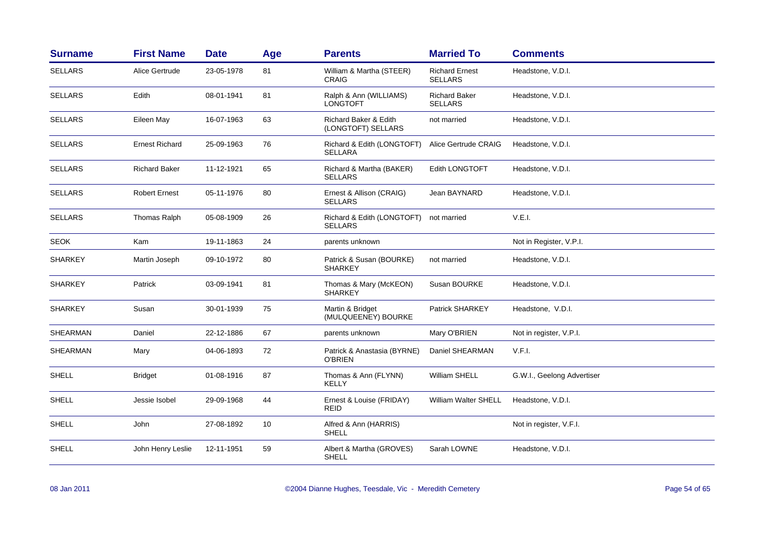| <b>Surname</b>  | <b>First Name</b>     | <b>Date</b> | Age | <b>Parents</b>                               | <b>Married To</b>                       | <b>Comments</b>            |
|-----------------|-----------------------|-------------|-----|----------------------------------------------|-----------------------------------------|----------------------------|
| <b>SELLARS</b>  | Alice Gertrude        | 23-05-1978  | 81  | William & Martha (STEER)<br>CRAIG            | <b>Richard Ernest</b><br><b>SELLARS</b> | Headstone, V.D.I.          |
| <b>SELLARS</b>  | Edith                 | 08-01-1941  | 81  | Ralph & Ann (WILLIAMS)<br><b>LONGTOFT</b>    | <b>Richard Baker</b><br><b>SELLARS</b>  | Headstone, V.D.I.          |
| <b>SELLARS</b>  | Eileen May            | 16-07-1963  | 63  | Richard Baker & Edith<br>(LONGTOFT) SELLARS  | not married                             | Headstone, V.D.I.          |
| <b>SELLARS</b>  | <b>Ernest Richard</b> | 25-09-1963  | 76  | Richard & Edith (LONGTOFT)<br><b>SELLARA</b> | Alice Gertrude CRAIG                    | Headstone, V.D.I.          |
| <b>SELLARS</b>  | <b>Richard Baker</b>  | 11-12-1921  | 65  | Richard & Martha (BAKER)<br><b>SELLARS</b>   | <b>Edith LONGTOFT</b>                   | Headstone, V.D.I.          |
| <b>SELLARS</b>  | <b>Robert Ernest</b>  | 05-11-1976  | 80  | Ernest & Allison (CRAIG)<br><b>SELLARS</b>   | Jean BAYNARD                            | Headstone, V.D.I.          |
| <b>SELLARS</b>  | Thomas Ralph          | 05-08-1909  | 26  | Richard & Edith (LONGTOFT)<br><b>SELLARS</b> | not married                             | V.E.I.                     |
| <b>SEOK</b>     | Kam                   | 19-11-1863  | 24  | parents unknown                              |                                         | Not in Register, V.P.I.    |
| <b>SHARKEY</b>  | Martin Joseph         | 09-10-1972  | 80  | Patrick & Susan (BOURKE)<br><b>SHARKEY</b>   | not married                             | Headstone, V.D.I.          |
| <b>SHARKEY</b>  | Patrick               | 03-09-1941  | 81  | Thomas & Mary (McKEON)<br><b>SHARKEY</b>     | Susan BOURKE                            | Headstone, V.D.I.          |
| <b>SHARKEY</b>  | Susan                 | 30-01-1939  | 75  | Martin & Bridget<br>(MULQUEENEY) BOURKE      | Patrick SHARKEY                         | Headstone, V.D.I.          |
| <b>SHEARMAN</b> | Daniel                | 22-12-1886  | 67  | parents unknown                              | Mary O'BRIEN                            | Not in register, V.P.I.    |
| SHEARMAN        | Mary                  | 04-06-1893  | 72  | Patrick & Anastasia (BYRNE)<br>O'BRIEN       | Daniel SHEARMAN                         | V.F.I.                     |
| <b>SHELL</b>    | <b>Bridget</b>        | 01-08-1916  | 87  | Thomas & Ann (FLYNN)<br><b>KELLY</b>         | <b>William SHELL</b>                    | G.W.I., Geelong Advertiser |
| <b>SHELL</b>    | Jessie Isobel         | 29-09-1968  | 44  | Ernest & Louise (FRIDAY)<br><b>REID</b>      | William Walter SHELL                    | Headstone, V.D.I.          |
| <b>SHELL</b>    | John                  | 27-08-1892  | 10  | Alfred & Ann (HARRIS)<br>SHELL               |                                         | Not in register, V.F.I.    |
| <b>SHELL</b>    | John Henry Leslie     | 12-11-1951  | 59  | Albert & Martha (GROVES)<br>SHELL            | Sarah LOWNE                             | Headstone, V.D.I.          |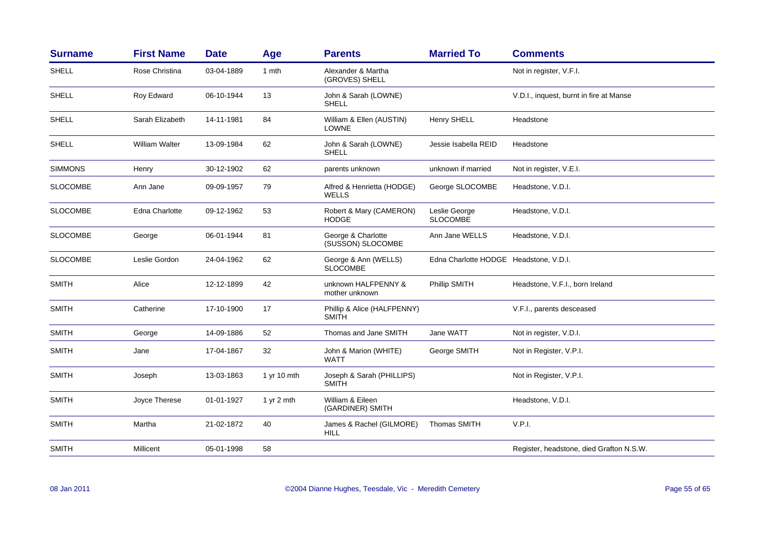| <b>Surname</b>  | <b>First Name</b>     | <b>Date</b> | Age          | <b>Parents</b>                              | <b>Married To</b>                      | <b>Comments</b>                          |
|-----------------|-----------------------|-------------|--------------|---------------------------------------------|----------------------------------------|------------------------------------------|
| <b>SHELL</b>    | Rose Christina        | 03-04-1889  | 1 mth        | Alexander & Martha<br>(GROVES) SHELL        |                                        | Not in register, V.F.I.                  |
| SHELL           | Roy Edward            | 06-10-1944  | 13           | John & Sarah (LOWNE)<br><b>SHELL</b>        |                                        | V.D.I., inquest, burnt in fire at Manse  |
| <b>SHELL</b>    | Sarah Elizabeth       | 14-11-1981  | 84           | William & Ellen (AUSTIN)<br><b>LOWNE</b>    | Henry SHELL                            | Headstone                                |
| <b>SHELL</b>    | <b>William Walter</b> | 13-09-1984  | 62           | John & Sarah (LOWNE)<br><b>SHELL</b>        | Jessie Isabella REID                   | Headstone                                |
| <b>SIMMONS</b>  | Henry                 | 30-12-1902  | 62           | parents unknown                             | unknown if married                     | Not in register, V.E.I.                  |
| <b>SLOCOMBE</b> | Ann Jane              | 09-09-1957  | 79           | Alfred & Henrietta (HODGE)<br>WELLS         | George SLOCOMBE                        | Headstone, V.D.I.                        |
| <b>SLOCOMBE</b> | Edna Charlotte        | 09-12-1962  | 53           | Robert & Mary (CAMERON)<br>HODGE            | Leslie George<br><b>SLOCOMBE</b>       | Headstone, V.D.I.                        |
| <b>SLOCOMBE</b> | George                | 06-01-1944  | 81           | George & Charlotte<br>(SUSSON) SLOCOMBE     | Ann Jane WELLS                         | Headstone, V.D.I.                        |
| <b>SLOCOMBE</b> | Leslie Gordon         | 24-04-1962  | 62           | George & Ann (WELLS)<br><b>SLOCOMBE</b>     | Edna Charlotte HODGE Headstone, V.D.I. |                                          |
| <b>SMITH</b>    | Alice                 | 12-12-1899  | 42           | unknown HALFPENNY &<br>mother unknown       | Phillip SMITH                          | Headstone, V.F.I., born Ireland          |
| <b>SMITH</b>    | Catherine             | 17-10-1900  | 17           | Phillip & Alice (HALFPENNY)<br><b>SMITH</b> |                                        | V.F.I., parents desceased                |
| <b>SMITH</b>    | George                | 14-09-1886  | 52           | Thomas and Jane SMITH                       | Jane WATT                              | Not in register, V.D.I.                  |
| <b>SMITH</b>    | Jane                  | 17-04-1867  | 32           | John & Marion (WHITE)<br><b>WATT</b>        | George SMITH                           | Not in Register, V.P.I.                  |
| <b>SMITH</b>    | Joseph                | 13-03-1863  | 1 yr 10 mth  | Joseph & Sarah (PHILLIPS)<br><b>SMITH</b>   |                                        | Not in Register, V.P.I.                  |
| <b>SMITH</b>    | Joyce Therese         | 01-01-1927  | 1 yr $2$ mth | William & Eileen<br>(GARDINER) SMITH        |                                        | Headstone, V.D.I.                        |
| <b>SMITH</b>    | Martha                | 21-02-1872  | 40           | James & Rachel (GILMORE)<br>HILL            | Thomas SMITH                           | V.P.I.                                   |
| <b>SMITH</b>    | Millicent             | 05-01-1998  | 58           |                                             |                                        | Register, headstone, died Grafton N.S.W. |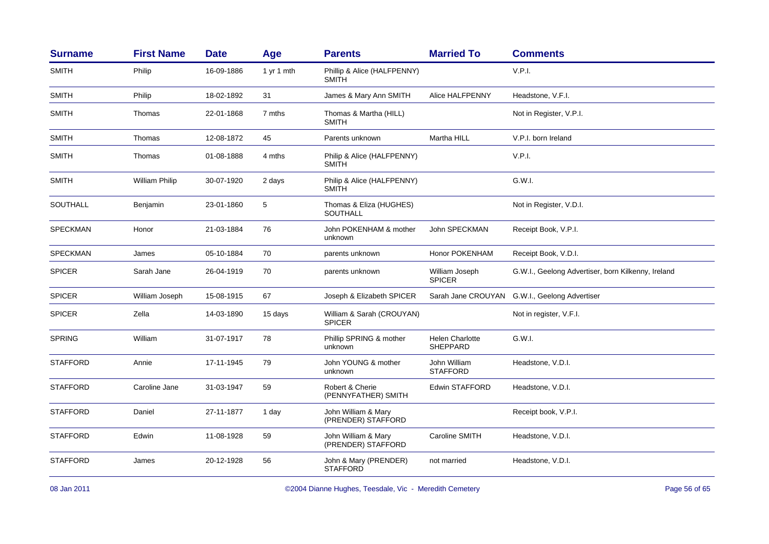| <b>Surname</b>  | <b>First Name</b> | <b>Date</b> | Age        | <b>Parents</b>                              | <b>Married To</b>                  | <b>Comments</b>                                    |
|-----------------|-------------------|-------------|------------|---------------------------------------------|------------------------------------|----------------------------------------------------|
| <b>SMITH</b>    | Philip            | 16-09-1886  | 1 yr 1 mth | Phillip & Alice (HALFPENNY)<br><b>SMITH</b> |                                    | V.P.I.                                             |
| <b>SMITH</b>    | Philip            | 18-02-1892  | 31         | James & Mary Ann SMITH                      | Alice HALFPENNY                    | Headstone, V.F.I.                                  |
| <b>SMITH</b>    | Thomas            | 22-01-1868  | 7 mths     | Thomas & Martha (HILL)<br><b>SMITH</b>      |                                    | Not in Register, V.P.I.                            |
| <b>SMITH</b>    | Thomas            | 12-08-1872  | 45         | Parents unknown                             | Martha HILL                        | V.P.I. born Ireland                                |
| <b>SMITH</b>    | Thomas            | 01-08-1888  | 4 mths     | Philip & Alice (HALFPENNY)<br><b>SMITH</b>  |                                    | V.P.I.                                             |
| <b>SMITH</b>    | William Philip    | 30-07-1920  | 2 days     | Philip & Alice (HALFPENNY)<br><b>SMITH</b>  |                                    | G.W.I.                                             |
| SOUTHALL        | Benjamin          | 23-01-1860  | 5          | Thomas & Eliza (HUGHES)<br>SOUTHALL         |                                    | Not in Register, V.D.I.                            |
| <b>SPECKMAN</b> | Honor             | 21-03-1884  | 76         | John POKENHAM & mother<br>unknown           | John SPECKMAN                      | Receipt Book, V.P.I.                               |
| <b>SPECKMAN</b> | James             | 05-10-1884  | 70         | parents unknown                             | Honor POKENHAM                     | Receipt Book, V.D.I.                               |
| <b>SPICER</b>   | Sarah Jane        | 26-04-1919  | 70         | parents unknown                             | William Joseph<br><b>SPICER</b>    | G.W.I., Geelong Advertiser, born Kilkenny, Ireland |
| <b>SPICER</b>   | William Joseph    | 15-08-1915  | 67         | Joseph & Elizabeth SPICER                   |                                    | Sarah Jane CROUYAN G.W.I., Geelong Advertiser      |
| <b>SPICER</b>   | Zella             | 14-03-1890  | 15 days    | William & Sarah (CROUYAN)<br><b>SPICER</b>  |                                    | Not in register, V.F.I.                            |
| <b>SPRING</b>   | William           | 31-07-1917  | 78         | Phillip SPRING & mother<br>unknown          | <b>Helen Charlotte</b><br>SHEPPARD | G.W.I.                                             |
| <b>STAFFORD</b> | Annie             | 17-11-1945  | 79         | John YOUNG & mother<br>unknown              | John William<br><b>STAFFORD</b>    | Headstone, V.D.I.                                  |
| <b>STAFFORD</b> | Caroline Jane     | 31-03-1947  | 59         | Robert & Cherie<br>(PENNYFATHER) SMITH      | Edwin STAFFORD                     | Headstone, V.D.I.                                  |
| <b>STAFFORD</b> | Daniel            | 27-11-1877  | 1 day      | John William & Mary<br>(PRENDER) STAFFORD   |                                    | Receipt book, V.P.I.                               |
| <b>STAFFORD</b> | Edwin             | 11-08-1928  | 59         | John William & Mary<br>(PRENDER) STAFFORD   | Caroline SMITH                     | Headstone, V.D.I.                                  |
| <b>STAFFORD</b> | James             | 20-12-1928  | 56         | John & Mary (PRENDER)<br><b>STAFFORD</b>    | not married                        | Headstone, V.D.I.                                  |
|                 |                   |             |            |                                             |                                    |                                                    |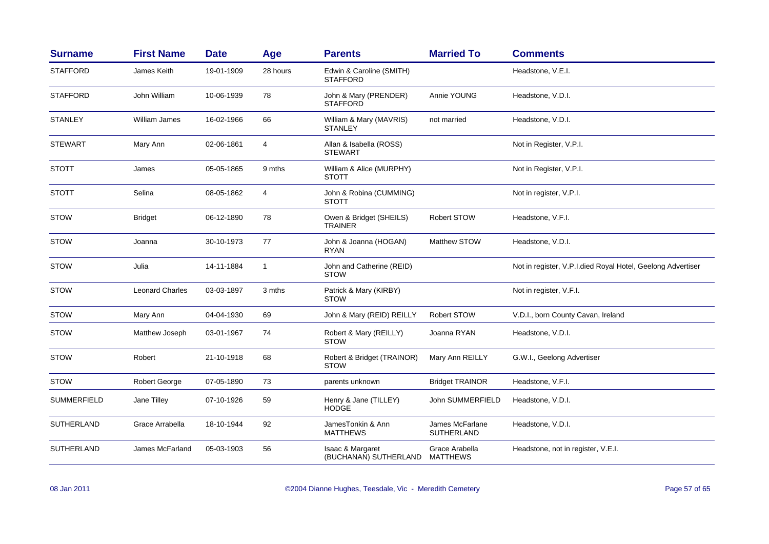| <b>Surname</b>     | <b>First Name</b>      | <b>Date</b> | Age            | <b>Parents</b>                              | <b>Married To</b>             | <b>Comments</b>                                             |
|--------------------|------------------------|-------------|----------------|---------------------------------------------|-------------------------------|-------------------------------------------------------------|
| <b>STAFFORD</b>    | James Keith            | 19-01-1909  | 28 hours       | Edwin & Caroline (SMITH)<br><b>STAFFORD</b> |                               | Headstone, V.E.I.                                           |
| <b>STAFFORD</b>    | John William           | 10-06-1939  | 78             | John & Mary (PRENDER)<br><b>STAFFORD</b>    | Annie YOUNG                   | Headstone, V.D.I.                                           |
| <b>STANLEY</b>     | William James          | 16-02-1966  | 66             | William & Mary (MAVRIS)<br><b>STANLEY</b>   | not married                   | Headstone, V.D.I.                                           |
| <b>STEWART</b>     | Mary Ann               | 02-06-1861  | 4              | Allan & Isabella (ROSS)<br><b>STEWART</b>   |                               | Not in Register, V.P.I.                                     |
| <b>STOTT</b>       | James                  | 05-05-1865  | 9 mths         | William & Alice (MURPHY)<br><b>STOTT</b>    |                               | Not in Register, V.P.I.                                     |
| <b>STOTT</b>       | Selina                 | 08-05-1862  | $\overline{4}$ | John & Robina (CUMMING)<br><b>STOTT</b>     |                               | Not in register, V.P.I.                                     |
| <b>STOW</b>        | <b>Bridget</b>         | 06-12-1890  | 78             | Owen & Bridget (SHEILS)<br><b>TRAINER</b>   | <b>Robert STOW</b>            | Headstone, V.F.I.                                           |
| <b>STOW</b>        | Joanna                 | 30-10-1973  | 77             | John & Joanna (HOGAN)<br><b>RYAN</b>        | Matthew STOW                  | Headstone, V.D.I.                                           |
| <b>STOW</b>        | Julia                  | 14-11-1884  | $\mathbf{1}$   | John and Catherine (REID)<br><b>STOW</b>    |                               | Not in register, V.P.I.died Royal Hotel, Geelong Advertiser |
| <b>STOW</b>        | <b>Leonard Charles</b> | 03-03-1897  | 3 mths         | Patrick & Mary (KIRBY)<br><b>STOW</b>       |                               | Not in register, V.F.I.                                     |
| <b>STOW</b>        | Mary Ann               | 04-04-1930  | 69             | John & Mary (REID) REILLY                   | Robert STOW                   | V.D.I., born County Cavan, Ireland                          |
| <b>STOW</b>        | Matthew Joseph         | 03-01-1967  | 74             | Robert & Mary (REILLY)<br><b>STOW</b>       | Joanna RYAN                   | Headstone, V.D.I.                                           |
| <b>STOW</b>        | Robert                 | 21-10-1918  | 68             | Robert & Bridget (TRAINOR)<br><b>STOW</b>   | Mary Ann REILLY               | G.W.I., Geelong Advertiser                                  |
| <b>STOW</b>        | Robert George          | 07-05-1890  | 73             | parents unknown                             | <b>Bridget TRAINOR</b>        | Headstone, V.F.I.                                           |
| <b>SUMMERFIELD</b> | Jane Tilley            | 07-10-1926  | 59             | Henry & Jane (TILLEY)<br><b>HODGE</b>       | John SUMMERFIELD              | Headstone, V.D.I.                                           |
| <b>SUTHERLAND</b>  | Grace Arrabella        | 18-10-1944  | 92             | JamesTonkin & Ann<br><b>MATTHEWS</b>        | James McFarlane<br>SUTHERLAND | Headstone, V.D.I.                                           |
| <b>SUTHERLAND</b>  | James McFarland        | 05-03-1903  | 56             | Isaac & Margaret<br>(BUCHANAN) SUTHERLAND   | Grace Arabella<br>MATTHEWS    | Headstone, not in register, V.E.I.                          |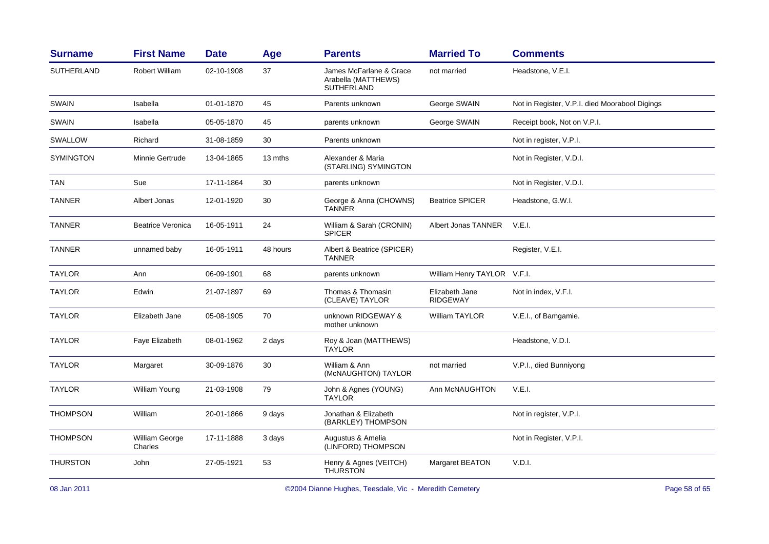| SUTHERLAND       | <b>Robert William</b>     | 02-10-1908 |          |                                                              |                                   |                                                |
|------------------|---------------------------|------------|----------|--------------------------------------------------------------|-----------------------------------|------------------------------------------------|
|                  |                           |            | 37       | James McFarlane & Grace<br>Arabella (MATTHEWS)<br>SUTHERLAND | not married                       | Headstone, V.E.I.                              |
| <b>SWAIN</b>     | Isabella                  | 01-01-1870 | 45       | Parents unknown                                              | George SWAIN                      | Not in Register, V.P.I. died Moorabool Digings |
| <b>SWAIN</b>     | Isabella                  | 05-05-1870 | 45       | parents unknown                                              | George SWAIN                      | Receipt book, Not on V.P.I.                    |
| SWALLOW          | Richard                   | 31-08-1859 | 30       | Parents unknown                                              |                                   | Not in register, V.P.I.                        |
| <b>SYMINGTON</b> | Minnie Gertrude           | 13-04-1865 | 13 mths  | Alexander & Maria<br>(STARLING) SYMINGTON                    |                                   | Not in Register, V.D.I.                        |
| <b>TAN</b>       | Sue                       | 17-11-1864 | 30       | parents unknown                                              |                                   | Not in Register, V.D.I.                        |
| <b>TANNER</b>    | Albert Jonas              | 12-01-1920 | 30       | George & Anna (CHOWNS)<br><b>TANNER</b>                      | <b>Beatrice SPICER</b>            | Headstone, G.W.I.                              |
| <b>TANNER</b>    | <b>Beatrice Veronica</b>  | 16-05-1911 | 24       | William & Sarah (CRONIN)<br><b>SPICER</b>                    | Albert Jonas TANNER               | V.E.I.                                         |
| <b>TANNER</b>    | unnamed baby              | 16-05-1911 | 48 hours | Albert & Beatrice (SPICER)<br><b>TANNER</b>                  |                                   | Register, V.E.I.                               |
| <b>TAYLOR</b>    | Ann                       | 06-09-1901 | 68       | parents unknown                                              | William Henry TAYLOR V.F.I.       |                                                |
| <b>TAYLOR</b>    | Edwin                     | 21-07-1897 | 69       | Thomas & Thomasin<br>(CLEAVE) TAYLOR                         | Elizabeth Jane<br><b>RIDGEWAY</b> | Not in index, V.F.I.                           |
| <b>TAYLOR</b>    | Elizabeth Jane            | 05-08-1905 | 70       | unknown RIDGEWAY &<br>mother unknown                         | <b>William TAYLOR</b>             | V.E.I., of Bamgamie.                           |
| <b>TAYLOR</b>    | Faye Elizabeth            | 08-01-1962 | 2 days   | Roy & Joan (MATTHEWS)<br><b>TAYLOR</b>                       |                                   | Headstone, V.D.I.                              |
| <b>TAYLOR</b>    | Margaret                  | 30-09-1876 | 30       | William & Ann<br>(McNAUGHTON) TAYLOR                         | not married                       | V.P.I., died Bunniyong                         |
| <b>TAYLOR</b>    | <b>William Young</b>      | 21-03-1908 | 79       | John & Agnes (YOUNG)<br><b>TAYLOR</b>                        | Ann McNAUGHTON                    | V.E.I.                                         |
| <b>THOMPSON</b>  | William                   | 20-01-1866 | 9 days   | Jonathan & Elizabeth<br>(BARKLEY) THOMPSON                   |                                   | Not in register, V.P.I.                        |
| <b>THOMPSON</b>  | William George<br>Charles | 17-11-1888 | 3 days   | Augustus & Amelia<br>(LINFORD) THOMPSON                      |                                   | Not in Register, V.P.I.                        |
| <b>THURSTON</b>  | John                      | 27-05-1921 | 53       | Henry & Agnes (VEITCH)<br><b>THURSTON</b>                    | Margaret BEATON                   | V.D.I.                                         |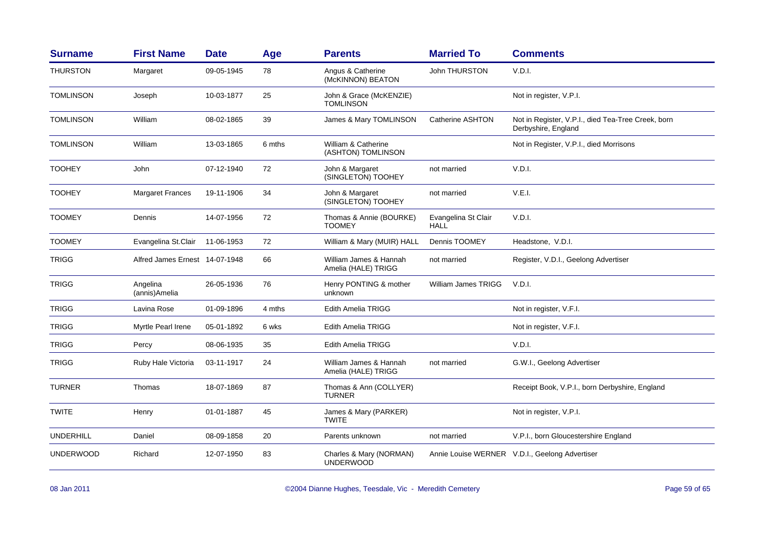| <b>Surname</b>   | <b>First Name</b>              | <b>Date</b> | Age    | <b>Parents</b>                                | <b>Married To</b>                  | <b>Comments</b>                                                           |
|------------------|--------------------------------|-------------|--------|-----------------------------------------------|------------------------------------|---------------------------------------------------------------------------|
| <b>THURSTON</b>  | Margaret                       | 09-05-1945  | 78     | Angus & Catherine<br>(McKINNON) BEATON        | John THURSTON                      | V.D.I.                                                                    |
| <b>TOMLINSON</b> | Joseph                         | 10-03-1877  | 25     | John & Grace (McKENZIE)<br><b>TOMLINSON</b>   |                                    | Not in register, V.P.I.                                                   |
| <b>TOMLINSON</b> | William                        | 08-02-1865  | 39     | James & Mary TOMLINSON                        | Catherine ASHTON                   | Not in Register, V.P.I., died Tea-Tree Creek, born<br>Derbyshire, England |
| <b>TOMLINSON</b> | William                        | 13-03-1865  | 6 mths | William & Catherine<br>(ASHTON) TOMLINSON     |                                    | Not in Register, V.P.I., died Morrisons                                   |
| <b>TOOHEY</b>    | John                           | 07-12-1940  | 72     | John & Margaret<br>(SINGLETON) TOOHEY         | not married                        | V.D.I.                                                                    |
| <b>TOOHEY</b>    | <b>Margaret Frances</b>        | 19-11-1906  | 34     | John & Margaret<br>(SINGLETON) TOOHEY         | not married                        | V.E.I.                                                                    |
| <b>TOOMEY</b>    | Dennis                         | 14-07-1956  | 72     | Thomas & Annie (BOURKE)<br><b>TOOMEY</b>      | Evangelina St Clair<br><b>HALL</b> | V.D.I.                                                                    |
| <b>TOOMEY</b>    | Evangelina St.Clair            | 11-06-1953  | 72     | William & Mary (MUIR) HALL                    | Dennis TOOMEY                      | Headstone, V.D.I.                                                         |
| <b>TRIGG</b>     | Alfred James Ernest 14-07-1948 |             | 66     | William James & Hannah<br>Amelia (HALE) TRIGG | not married                        | Register, V.D.I., Geelong Advertiser                                      |
| <b>TRIGG</b>     | Angelina<br>(annis)Amelia      | 26-05-1936  | 76     | Henry PONTING & mother<br>unknown             | William James TRIGG                | V.D.I.                                                                    |
| <b>TRIGG</b>     | Lavina Rose                    | 01-09-1896  | 4 mths | <b>Edith Amelia TRIGG</b>                     |                                    | Not in register, V.F.I.                                                   |
| <b>TRIGG</b>     | Myrtle Pearl Irene             | 05-01-1892  | 6 wks  | Edith Amelia TRIGG                            |                                    | Not in register, V.F.I.                                                   |
| <b>TRIGG</b>     | Percy                          | 08-06-1935  | 35     | Edith Amelia TRIGG                            |                                    | V.D.I.                                                                    |
| <b>TRIGG</b>     | Ruby Hale Victoria             | 03-11-1917  | 24     | William James & Hannah<br>Amelia (HALE) TRIGG | not married                        | G.W.I., Geelong Advertiser                                                |
| <b>TURNER</b>    | Thomas                         | 18-07-1869  | 87     | Thomas & Ann (COLLYER)<br><b>TURNER</b>       |                                    | Receipt Book, V.P.I., born Derbyshire, England                            |
| <b>TWITE</b>     | Henry                          | 01-01-1887  | 45     | James & Mary (PARKER)<br><b>TWITE</b>         |                                    | Not in register, V.P.I.                                                   |
| <b>UNDERHILL</b> | Daniel                         | 08-09-1858  | 20     | Parents unknown                               | not married                        | V.P.I., born Gloucestershire England                                      |
| <b>UNDERWOOD</b> | Richard                        | 12-07-1950  | 83     | Charles & Mary (NORMAN)<br><b>UNDERWOOD</b>   |                                    | Annie Louise WERNER V.D.I., Geelong Advertiser                            |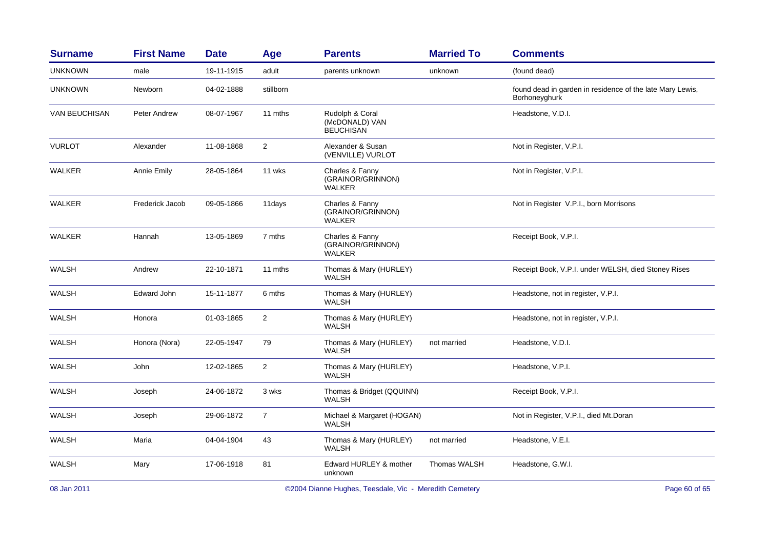| <b>Surname</b> | <b>First Name</b> | <b>Date</b> | Age            | <b>Parents</b>                                        | <b>Married To</b> | <b>Comments</b>                                                            |
|----------------|-------------------|-------------|----------------|-------------------------------------------------------|-------------------|----------------------------------------------------------------------------|
| <b>UNKNOWN</b> | male              | 19-11-1915  | adult          | parents unknown                                       | unknown           | (found dead)                                                               |
| <b>UNKNOWN</b> | Newborn           | 04-02-1888  | stillborn      |                                                       |                   | found dead in garden in residence of the late Mary Lewis,<br>Borhoneyghurk |
| VAN BEUCHISAN  | Peter Andrew      | 08-07-1967  | 11 mths        | Rudolph & Coral<br>(McDONALD) VAN<br><b>BEUCHISAN</b> |                   | Headstone, V.D.I.                                                          |
| <b>VURLOT</b>  | Alexander         | 11-08-1868  | $\overline{c}$ | Alexander & Susan<br>(VENVILLE) VURLOT                |                   | Not in Register, V.P.I.                                                    |
| <b>WALKER</b>  | Annie Emily       | 28-05-1864  | 11 wks         | Charles & Fanny<br>(GRAINOR/GRINNON)<br>WALKER        |                   | Not in Register, V.P.I.                                                    |
| WALKER         | Frederick Jacob   | 09-05-1866  | 11days         | Charles & Fanny<br>(GRAINOR/GRINNON)<br><b>WALKER</b> |                   | Not in Register V.P.I., born Morrisons                                     |
| <b>WALKER</b>  | Hannah            | 13-05-1869  | 7 mths         | Charles & Fanny<br>(GRAINOR/GRINNON)<br>WALKER        |                   | Receipt Book, V.P.I.                                                       |
| <b>WALSH</b>   | Andrew            | 22-10-1871  | 11 mths        | Thomas & Mary (HURLEY)<br>WALSH                       |                   | Receipt Book, V.P.I. under WELSH, died Stoney Rises                        |
| <b>WALSH</b>   | Edward John       | 15-11-1877  | 6 mths         | Thomas & Mary (HURLEY)<br><b>WALSH</b>                |                   | Headstone, not in register, V.P.I.                                         |
| <b>WALSH</b>   | Honora            | 01-03-1865  | $\overline{c}$ | Thomas & Mary (HURLEY)<br><b>WALSH</b>                |                   | Headstone, not in register, V.P.I.                                         |
| WALSH          | Honora (Nora)     | 22-05-1947  | 79             | Thomas & Mary (HURLEY)<br><b>WALSH</b>                | not married       | Headstone, V.D.I.                                                          |
| <b>WALSH</b>   | John              | 12-02-1865  | $\overline{2}$ | Thomas & Mary (HURLEY)<br><b>WALSH</b>                |                   | Headstone, V.P.I.                                                          |
| <b>WALSH</b>   | Joseph            | 24-06-1872  | 3 wks          | Thomas & Bridget (QQUINN)<br><b>WALSH</b>             |                   | Receipt Book, V.P.I.                                                       |
| WALSH          | Joseph            | 29-06-1872  | $\overline{7}$ | Michael & Margaret (HOGAN)<br><b>WALSH</b>            |                   | Not in Register, V.P.I., died Mt.Doran                                     |
| <b>WALSH</b>   | Maria             | 04-04-1904  | 43             | Thomas & Mary (HURLEY)<br><b>WALSH</b>                | not married       | Headstone, V.E.I.                                                          |
| WALSH          | Mary              | 17-06-1918  | 81             | Edward HURLEY & mother<br>unknown                     | Thomas WALSH      | Headstone, G.W.I.                                                          |

©2004 Dianne Hughes, Teesdale, Vic - Meredith Cemetery entitled and the extendio of 65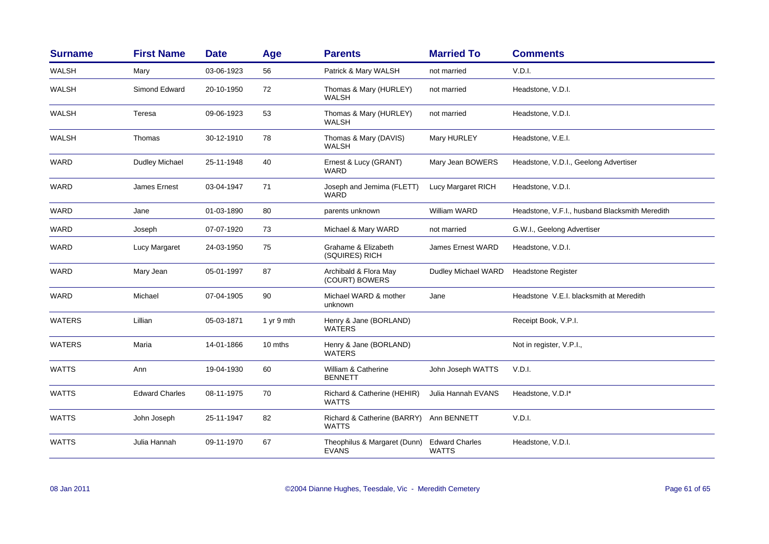| <b>Surname</b> | <b>First Name</b>     | <b>Date</b> | Age            | <b>Parents</b>                               | <b>Married To</b>                     | <b>Comments</b>                                |
|----------------|-----------------------|-------------|----------------|----------------------------------------------|---------------------------------------|------------------------------------------------|
| <b>WALSH</b>   | Mary                  | 03-06-1923  | 56             | Patrick & Mary WALSH                         | not married                           | V.D.I.                                         |
| WALSH          | Simond Edward         | 20-10-1950  | 72             | Thomas & Mary (HURLEY)<br><b>WALSH</b>       | not married                           | Headstone, V.D.I.                              |
| WALSH          | Teresa                | 09-06-1923  | 53             | Thomas & Mary (HURLEY)<br><b>WALSH</b>       | not married                           | Headstone, V.D.I.                              |
| WALSH          | Thomas                | 30-12-1910  | 78             | Thomas & Mary (DAVIS)<br>WALSH               | Mary HURLEY                           | Headstone, V.E.I.                              |
| WARD           | Dudley Michael        | 25-11-1948  | 40             | Ernest & Lucy (GRANT)<br><b>WARD</b>         | Mary Jean BOWERS                      | Headstone, V.D.I., Geelong Advertiser          |
| <b>WARD</b>    | James Ernest          | 03-04-1947  | 71             | Joseph and Jemima (FLETT)<br>WARD            | Lucy Margaret RICH                    | Headstone, V.D.I.                              |
| <b>WARD</b>    | Jane                  | 01-03-1890  | 80             | parents unknown                              | <b>William WARD</b>                   | Headstone, V.F.I., husband Blacksmith Meredith |
| WARD           | Joseph                | 07-07-1920  | 73             | Michael & Mary WARD                          | not married                           | G.W.I., Geelong Advertiser                     |
| <b>WARD</b>    | Lucy Margaret         | 24-03-1950  | 75             | Grahame & Elizabeth<br>(SQUIRES) RICH        | <b>James Ernest WARD</b>              | Headstone, V.D.I.                              |
| <b>WARD</b>    | Mary Jean             | 05-01-1997  | 87             | Archibald & Flora May<br>(COURT) BOWERS      | Dudley Michael WARD                   | <b>Headstone Register</b>                      |
| WARD           | Michael               | 07-04-1905  | 90             | Michael WARD & mother<br>unknown             | Jane                                  | Headstone V.E.I. blacksmith at Meredith        |
| <b>WATERS</b>  | Lillian               | 05-03-1871  | $1$ yr $9$ mth | Henry & Jane (BORLAND)<br><b>WATERS</b>      |                                       | Receipt Book, V.P.I.                           |
| <b>WATERS</b>  | Maria                 | 14-01-1866  | 10 mths        | Henry & Jane (BORLAND)<br>WATERS             |                                       | Not in register, V.P.I.,                       |
| <b>WATTS</b>   | Ann                   | 19-04-1930  | 60             | William & Catherine<br><b>BENNETT</b>        | John Joseph WATTS                     | V.D.I.                                         |
| <b>WATTS</b>   | <b>Edward Charles</b> | 08-11-1975  | 70             | Richard & Catherine (HEHIR)<br><b>WATTS</b>  | Julia Hannah EVANS                    | Headstone, V.D.I*                              |
| <b>WATTS</b>   | John Joseph           | 25-11-1947  | 82             | Richard & Catherine (BARRY)<br><b>WATTS</b>  | Ann BENNETT                           | V.D.I.                                         |
| <b>WATTS</b>   | Julia Hannah          | 09-11-1970  | 67             | Theophilus & Margaret (Dunn)<br><b>EVANS</b> | <b>Edward Charles</b><br><b>WATTS</b> | Headstone, V.D.I.                              |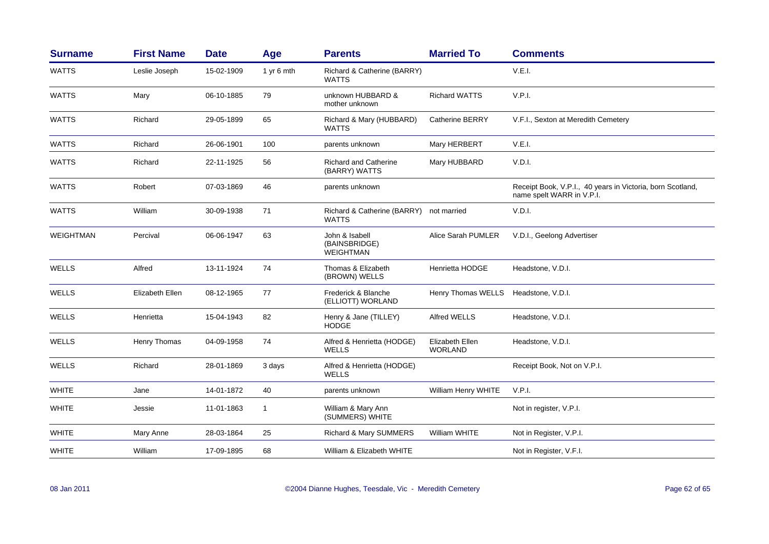| <b>Surname</b>   | <b>First Name</b> | <b>Date</b> | Age          | <b>Parents</b>                                      | <b>Married To</b>                 | <b>Comments</b>                                                                         |
|------------------|-------------------|-------------|--------------|-----------------------------------------------------|-----------------------------------|-----------------------------------------------------------------------------------------|
| <b>WATTS</b>     | Leslie Joseph     | 15-02-1909  | 1 yr 6 mth   | Richard & Catherine (BARRY)<br>WATTS                |                                   | V.E.I.                                                                                  |
| <b>WATTS</b>     | Mary              | 06-10-1885  | 79           | unknown HUBBARD &<br>mother unknown                 | <b>Richard WATTS</b>              | V.P.I.                                                                                  |
| <b>WATTS</b>     | Richard           | 29-05-1899  | 65           | Richard & Mary (HUBBARD)<br>WATTS                   | <b>Catherine BERRY</b>            | V.F.I., Sexton at Meredith Cemetery                                                     |
| <b>WATTS</b>     | Richard           | 26-06-1901  | 100          | parents unknown                                     | Mary HERBERT                      | V.E.I.                                                                                  |
| <b>WATTS</b>     | Richard           | 22-11-1925  | 56           | <b>Richard and Catherine</b><br>(BARRY) WATTS       | Mary HUBBARD                      | V.D.I.                                                                                  |
| <b>WATTS</b>     | Robert            | 07-03-1869  | 46           | parents unknown                                     |                                   | Receipt Book, V.P.I., 40 years in Victoria, born Scotland,<br>name spelt WARR in V.P.I. |
| <b>WATTS</b>     | William           | 30-09-1938  | 71           | Richard & Catherine (BARRY)<br>WATTS                | not married                       | V.D.I.                                                                                  |
| <b>WEIGHTMAN</b> | Percival          | 06-06-1947  | 63           | John & Isabell<br>(BAINSBRIDGE)<br><b>WEIGHTMAN</b> | Alice Sarah PUMLER                | V.D.I., Geelong Advertiser                                                              |
| <b>WELLS</b>     | Alfred            | 13-11-1924  | 74           | Thomas & Elizabeth<br>(BROWN) WELLS                 | Henrietta HODGE                   | Headstone, V.D.I.                                                                       |
| WELLS            | Elizabeth Ellen   | 08-12-1965  | 77           | Frederick & Blanche<br>(ELLIOTT) WORLAND            | Henry Thomas WELLS                | Headstone, V.D.I.                                                                       |
| <b>WELLS</b>     | Henrietta         | 15-04-1943  | 82           | Henry & Jane (TILLEY)<br><b>HODGE</b>               | Alfred WELLS                      | Headstone, V.D.I.                                                                       |
| <b>WELLS</b>     | Henry Thomas      | 04-09-1958  | 74           | Alfred & Henrietta (HODGE)<br>WELLS                 | Elizabeth Ellen<br><b>WORLAND</b> | Headstone, V.D.I.                                                                       |
| <b>WELLS</b>     | Richard           | 28-01-1869  | 3 days       | Alfred & Henrietta (HODGE)<br><b>WELLS</b>          |                                   | Receipt Book, Not on V.P.I.                                                             |
| <b>WHITE</b>     | Jane              | 14-01-1872  | 40           | parents unknown                                     | William Henry WHITE               | V.P.I.                                                                                  |
| <b>WHITE</b>     | Jessie            | 11-01-1863  | $\mathbf{1}$ | William & Mary Ann<br>(SUMMERS) WHITE               |                                   | Not in register, V.P.I.                                                                 |
| <b>WHITE</b>     | Mary Anne         | 28-03-1864  | 25           | Richard & Mary SUMMERS                              | William WHITE                     | Not in Register, V.P.I.                                                                 |
| <b>WHITE</b>     | William           | 17-09-1895  | 68           | William & Elizabeth WHITE                           |                                   | Not in Register, V.F.I.                                                                 |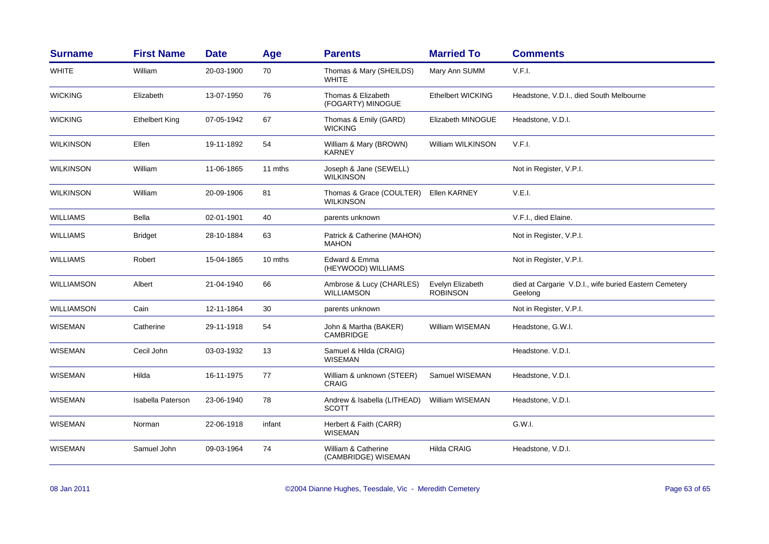| <b>Surname</b>    | <b>First Name</b>     | <b>Date</b> | Age     | <b>Parents</b>                               | <b>Married To</b>                   | <b>Comments</b>                                                  |
|-------------------|-----------------------|-------------|---------|----------------------------------------------|-------------------------------------|------------------------------------------------------------------|
| <b>WHITE</b>      | William               | 20-03-1900  | 70      | Thomas & Mary (SHEILDS)<br><b>WHITE</b>      | Mary Ann SUMM                       | V.F.I.                                                           |
| <b>WICKING</b>    | Elizabeth             | 13-07-1950  | 76      | Thomas & Elizabeth<br>(FOGARTY) MINOGUE      | <b>Ethelbert WICKING</b>            | Headstone, V.D.I., died South Melbourne                          |
| <b>WICKING</b>    | <b>Ethelbert King</b> | 07-05-1942  | 67      | Thomas & Emily (GARD)<br><b>WICKING</b>      | Elizabeth MINOGUE                   | Headstone, V.D.I.                                                |
| <b>WILKINSON</b>  | Ellen                 | 19-11-1892  | 54      | William & Mary (BROWN)<br><b>KARNEY</b>      | William WILKINSON                   | V.F.I.                                                           |
| <b>WILKINSON</b>  | William               | 11-06-1865  | 11 mths | Joseph & Jane (SEWELL)<br><b>WILKINSON</b>   |                                     | Not in Register, V.P.I.                                          |
| <b>WILKINSON</b>  | William               | 20-09-1906  | 81      | Thomas & Grace (COULTER)<br><b>WILKINSON</b> | Ellen KARNEY                        | V.E.I.                                                           |
| <b>WILLIAMS</b>   | Bella                 | 02-01-1901  | 40      | parents unknown                              |                                     | V.F.I., died Elaine.                                             |
| <b>WILLIAMS</b>   | <b>Bridget</b>        | 28-10-1884  | 63      | Patrick & Catherine (MAHON)<br><b>MAHON</b>  |                                     | Not in Register, V.P.I.                                          |
| <b>WILLIAMS</b>   | Robert                | 15-04-1865  | 10 mths | Edward & Emma<br>(HEYWOOD) WILLIAMS          |                                     | Not in Register, V.P.I.                                          |
| <b>WILLIAMSON</b> | Albert                | 21-04-1940  | 66      | Ambrose & Lucy (CHARLES)<br>WILLIAMSON       | Evelyn Elizabeth<br><b>ROBINSON</b> | died at Cargarie V.D.I., wife buried Eastern Cemetery<br>Geelong |
| WILLIAMSON        | Cain                  | 12-11-1864  | 30      | parents unknown                              |                                     | Not in Register, V.P.I.                                          |
| <b>WISEMAN</b>    | Catherine             | 29-11-1918  | 54      | John & Martha (BAKER)<br><b>CAMBRIDGE</b>    | William WISEMAN                     | Headstone, G.W.I.                                                |
| <b>WISEMAN</b>    | Cecil John            | 03-03-1932  | 13      | Samuel & Hilda (CRAIG)<br><b>WISEMAN</b>     |                                     | Headstone. V.D.I.                                                |
| <b>WISEMAN</b>    | Hilda                 | 16-11-1975  | 77      | William & unknown (STEER)<br><b>CRAIG</b>    | Samuel WISEMAN                      | Headstone, V.D.I.                                                |
| <b>WISEMAN</b>    | Isabella Paterson     | 23-06-1940  | 78      | Andrew & Isabella (LITHEAD)<br>SCOTT         | William WISEMAN                     | Headstone, V.D.I.                                                |
| <b>WISEMAN</b>    | Norman                | 22-06-1918  | infant  | Herbert & Faith (CARR)<br><b>WISEMAN</b>     |                                     | G.W.I.                                                           |
| <b>WISEMAN</b>    | Samuel John           | 09-03-1964  | 74      | William & Catherine<br>(CAMBRIDGE) WISEMAN   | <b>Hilda CRAIG</b>                  | Headstone, V.D.I.                                                |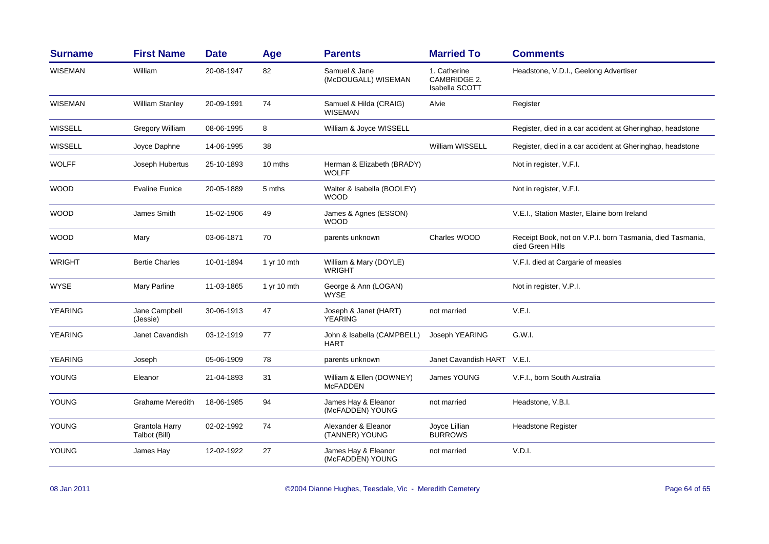| <b>Surname</b> | <b>First Name</b>               | <b>Date</b> | Age         | <b>Parents</b>                              | <b>Married To</b>                              | <b>Comments</b>                                                               |
|----------------|---------------------------------|-------------|-------------|---------------------------------------------|------------------------------------------------|-------------------------------------------------------------------------------|
| <b>WISEMAN</b> | William                         | 20-08-1947  | 82          | Samuel & Jane<br>(McDOUGALL) WISEMAN        | 1. Catherine<br>CAMBRIDGE 2.<br>Isabella SCOTT | Headstone, V.D.I., Geelong Advertiser                                         |
| <b>WISEMAN</b> | <b>William Stanley</b>          | 20-09-1991  | 74          | Samuel & Hilda (CRAIG)<br><b>WISEMAN</b>    | Alvie                                          | Register                                                                      |
| WISSELL        | Gregory William                 | 08-06-1995  | 8           | William & Joyce WISSELL                     |                                                | Register, died in a car accident at Gheringhap, headstone                     |
| <b>WISSELL</b> | Joyce Daphne                    | 14-06-1995  | 38          |                                             | William WISSELL                                | Register, died in a car accident at Gheringhap, headstone                     |
| <b>WOLFF</b>   | Joseph Hubertus                 | 25-10-1893  | 10 mths     | Herman & Elizabeth (BRADY)<br><b>WOLFF</b>  |                                                | Not in register, V.F.I.                                                       |
| <b>WOOD</b>    | <b>Evaline Eunice</b>           | 20-05-1889  | 5 mths      | Walter & Isabella (BOOLEY)<br><b>WOOD</b>   |                                                | Not in register, V.F.I.                                                       |
| <b>WOOD</b>    | James Smith                     | 15-02-1906  | 49          | James & Agnes (ESSON)<br><b>WOOD</b>        |                                                | V.E.I., Station Master, Elaine born Ireland                                   |
| <b>WOOD</b>    | Mary                            | 03-06-1871  | 70          | parents unknown                             | Charles WOOD                                   | Receipt Book, not on V.P.I. born Tasmania, died Tasmania,<br>died Green Hills |
| <b>WRIGHT</b>  | <b>Bertie Charles</b>           | 10-01-1894  | 1 yr 10 mth | William & Mary (DOYLE)<br><b>WRIGHT</b>     |                                                | V.F.I. died at Cargarie of measles                                            |
| <b>WYSE</b>    | <b>Mary Parline</b>             | 11-03-1865  | 1 yr 10 mth | George & Ann (LOGAN)<br><b>WYSE</b>         |                                                | Not in register, V.P.I.                                                       |
| <b>YEARING</b> | Jane Campbell<br>(Jessie)       | 30-06-1913  | 47          | Joseph & Janet (HART)<br><b>YEARING</b>     | not married                                    | V.E.I.                                                                        |
| <b>YEARING</b> | Janet Cavandish                 | 03-12-1919  | 77          | John & Isabella (CAMPBELL)<br><b>HART</b>   | Joseph YEARING                                 | G.W.I.                                                                        |
| <b>YEARING</b> | Joseph                          | 05-06-1909  | 78          | parents unknown                             | Janet Cavandish HART V.E.I.                    |                                                                               |
| <b>YOUNG</b>   | Eleanor                         | 21-04-1893  | 31          | William & Ellen (DOWNEY)<br><b>McFADDEN</b> | James YOUNG                                    | V.F.I., born South Australia                                                  |
| <b>YOUNG</b>   | <b>Grahame Meredith</b>         | 18-06-1985  | 94          | James Hay & Eleanor<br>(McFADDEN) YOUNG     | not married                                    | Headstone, V.B.I.                                                             |
| <b>YOUNG</b>   | Grantola Harry<br>Talbot (Bill) | 02-02-1992  | 74          | Alexander & Eleanor<br>(TANNER) YOUNG       | Joyce Lillian<br><b>BURROWS</b>                | <b>Headstone Register</b>                                                     |
| <b>YOUNG</b>   | James Hay                       | 12-02-1922  | 27          | James Hay & Eleanor<br>(McFADDEN) YOUNG     | not married                                    | V.D.I.                                                                        |